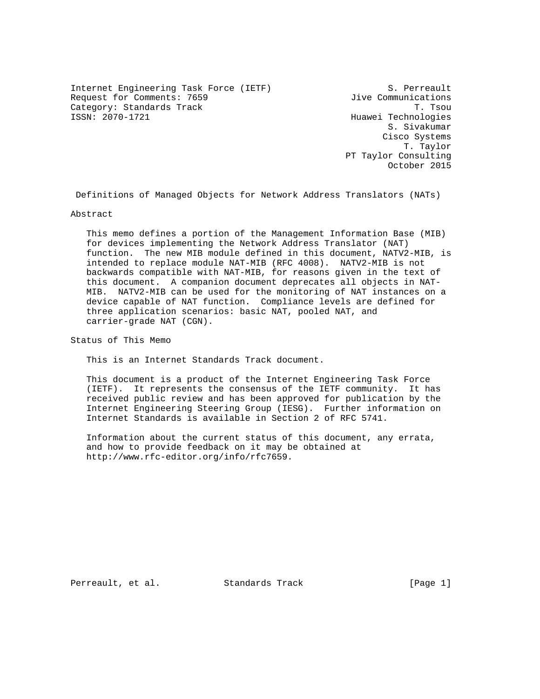Internet Engineering Task Force (IETF) S. Perreault Request for Comments: 7659  $Jive$  Communications Category: Standards Track Track T. Tsou<br>
T. Tsou T. Tsou T. Tsou<br>
Huawei Technologies

Huawei Technologies S. Sivakumar Cisco Systems T. Taylor PT Taylor Consulting October 2015

Definitions of Managed Objects for Network Address Translators (NATs)

Abstract

 This memo defines a portion of the Management Information Base (MIB) for devices implementing the Network Address Translator (NAT) function. The new MIB module defined in this document, NATV2-MIB, is intended to replace module NAT-MIB (RFC 4008). NATV2-MIB is not backwards compatible with NAT-MIB, for reasons given in the text of this document. A companion document deprecates all objects in NAT- MIB. NATV2-MIB can be used for the monitoring of NAT instances on a device capable of NAT function. Compliance levels are defined for three application scenarios: basic NAT, pooled NAT, and carrier-grade NAT (CGN).

Status of This Memo

This is an Internet Standards Track document.

 This document is a product of the Internet Engineering Task Force (IETF). It represents the consensus of the IETF community. It has received public review and has been approved for publication by the Internet Engineering Steering Group (IESG). Further information on Internet Standards is available in Section 2 of RFC 5741.

 Information about the current status of this document, any errata, and how to provide feedback on it may be obtained at http://www.rfc-editor.org/info/rfc7659.

Perreault, et al. Standards Track [Page 1]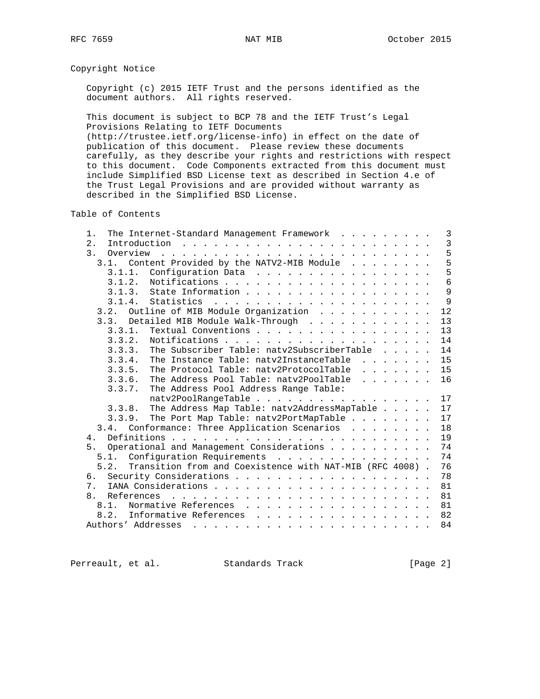# Copyright Notice

 Copyright (c) 2015 IETF Trust and the persons identified as the document authors. All rights reserved.

 This document is subject to BCP 78 and the IETF Trust's Legal Provisions Relating to IETF Documents (http://trustee.ietf.org/license-info) in effect on the date of

 publication of this document. Please review these documents carefully, as they describe your rights and restrictions with respect to this document. Code Components extracted from this document must include Simplified BSD License text as described in Section 4.e of the Trust Legal Provisions and are provided without warranty as described in the Simplified BSD License.

Table of Contents

| The Internet-Standard Management Framework<br>1.                                                                                                                                                                               | 3              |
|--------------------------------------------------------------------------------------------------------------------------------------------------------------------------------------------------------------------------------|----------------|
| 2.<br>Introduction                                                                                                                                                                                                             | $\overline{3}$ |
| 3.<br>Overview                                                                                                                                                                                                                 | 5              |
| the contract of the contract of the contract of the contract of the contract of the contract of the contract of the contract of the contract of the contract of the contract of the contract of the contract of the contract o | 5              |
| Content Provided by the NATV2-MIB Module<br>3.1.                                                                                                                                                                               |                |
| 3.1.1.<br>Configuration Data                                                                                                                                                                                                   | 5              |
| 3.1.2.                                                                                                                                                                                                                         | 6              |
| State Information<br>3.1.3.                                                                                                                                                                                                    | 9              |
| 3.1.4.<br>Statistics                                                                                                                                                                                                           | 9              |
| Outline of MIB Module Organization<br>3.2.                                                                                                                                                                                     | 12             |
| Detailed MIB Module Walk-Through<br>3 <sup>3</sup>                                                                                                                                                                             | 13             |
| 3.3.1.<br>Textual Conventions                                                                                                                                                                                                  | 13             |
| Notifications.<br>3.3.2.                                                                                                                                                                                                       | 14             |
| The Subscriber Table: natv2SubscriberTable<br>3.3.3.                                                                                                                                                                           | 14             |
| The Instance Table: natv2InstanceTable<br>3.3.4.<br>$\mathbf{r}$ . The contract of the contract of $\mathbf{r}$                                                                                                                | 15             |
| 3.3.5.<br>The Protocol Table: naty2ProtocolTable<br>$\mathbf{r}$ and $\mathbf{r}$ and $\mathbf{r}$ and $\mathbf{r}$                                                                                                            | 15             |
| 3.3.6.<br>The Address Pool Table: natv2PoolTable<br>$\mathbf{r}$ . The set of $\mathbf{r}$                                                                                                                                     | 16             |
| The Address Pool Address Range Table:<br>3.3.7.                                                                                                                                                                                |                |
| $natv2PoolRangeTable$                                                                                                                                                                                                          | 17             |
| The Address Map Table: natv2AddressMapTable<br>3.3.8.                                                                                                                                                                          | 17             |
| The Port Map Table: natv2PortMapTable<br>3.3.9.                                                                                                                                                                                | 17             |
| 3.4. Conformance: Three Application Scenarios                                                                                                                                                                                  | 18             |
| 4 <sub>1</sub>                                                                                                                                                                                                                 | 19             |
| Operational and Management Considerations<br>5.                                                                                                                                                                                | 74             |
| Configuration Requirements<br>5.1.                                                                                                                                                                                             | 74             |
| 5.2.                                                                                                                                                                                                                           | 76             |
| Transition from and Coexistence with NAT-MIB (RFC 4008).                                                                                                                                                                       |                |
| б.                                                                                                                                                                                                                             | 78             |
| 7.                                                                                                                                                                                                                             | 81             |
| 8.<br>References                                                                                                                                                                                                               | 81             |
| Normative References<br>8.1.                                                                                                                                                                                                   | 81             |
| Informative References<br>8.2.<br>.                                                                                                                                                                                            | 82             |
| Authors' Addresses                                                                                                                                                                                                             | 84             |

Perreault, et al. Standards Track [Page 2]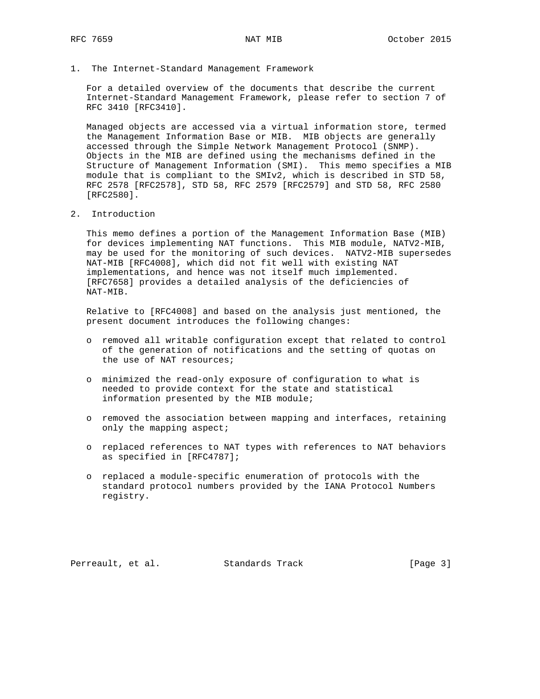1. The Internet-Standard Management Framework

 For a detailed overview of the documents that describe the current Internet-Standard Management Framework, please refer to section 7 of RFC 3410 [RFC3410].

 Managed objects are accessed via a virtual information store, termed the Management Information Base or MIB. MIB objects are generally accessed through the Simple Network Management Protocol (SNMP). Objects in the MIB are defined using the mechanisms defined in the Structure of Management Information (SMI). This memo specifies a MIB module that is compliant to the SMIv2, which is described in STD 58, RFC 2578 [RFC2578], STD 58, RFC 2579 [RFC2579] and STD 58, RFC 2580 [RFC2580].

2. Introduction

 This memo defines a portion of the Management Information Base (MIB) for devices implementing NAT functions. This MIB module, NATV2-MIB, may be used for the monitoring of such devices. NATV2-MIB supersedes NAT-MIB [RFC4008], which did not fit well with existing NAT implementations, and hence was not itself much implemented. [RFC7658] provides a detailed analysis of the deficiencies of NAT-MIB.

 Relative to [RFC4008] and based on the analysis just mentioned, the present document introduces the following changes:

- o removed all writable configuration except that related to control of the generation of notifications and the setting of quotas on the use of NAT resources;
- o minimized the read-only exposure of configuration to what is needed to provide context for the state and statistical information presented by the MIB module;
- o removed the association between mapping and interfaces, retaining only the mapping aspect;
- o replaced references to NAT types with references to NAT behaviors as specified in [RFC4787];
- o replaced a module-specific enumeration of protocols with the standard protocol numbers provided by the IANA Protocol Numbers registry.

Perreault, et al. Standards Track [Page 3]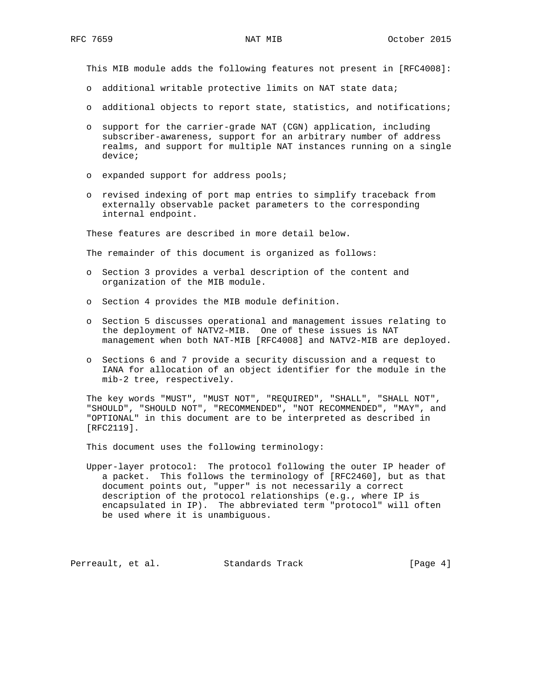This MIB module adds the following features not present in [RFC4008]:

- o additional writable protective limits on NAT state data;
- o additional objects to report state, statistics, and notifications;
- o support for the carrier-grade NAT (CGN) application, including subscriber-awareness, support for an arbitrary number of address realms, and support for multiple NAT instances running on a single device;
- o expanded support for address pools;
- o revised indexing of port map entries to simplify traceback from externally observable packet parameters to the corresponding internal endpoint.

These features are described in more detail below.

The remainder of this document is organized as follows:

- o Section 3 provides a verbal description of the content and organization of the MIB module.
- o Section 4 provides the MIB module definition.
- o Section 5 discusses operational and management issues relating to the deployment of NATV2-MIB. One of these issues is NAT management when both NAT-MIB [RFC4008] and NATV2-MIB are deployed.
- o Sections 6 and 7 provide a security discussion and a request to IANA for allocation of an object identifier for the module in the mib-2 tree, respectively.

 The key words "MUST", "MUST NOT", "REQUIRED", "SHALL", "SHALL NOT", "SHOULD", "SHOULD NOT", "RECOMMENDED", "NOT RECOMMENDED", "MAY", and "OPTIONAL" in this document are to be interpreted as described in [RFC2119].

This document uses the following terminology:

 Upper-layer protocol: The protocol following the outer IP header of a packet. This follows the terminology of [RFC2460], but as that document points out, "upper" is not necessarily a correct description of the protocol relationships (e.g., where IP is encapsulated in IP). The abbreviated term "protocol" will often be used where it is unambiguous.

Perreault, et al. Standards Track [Page 4]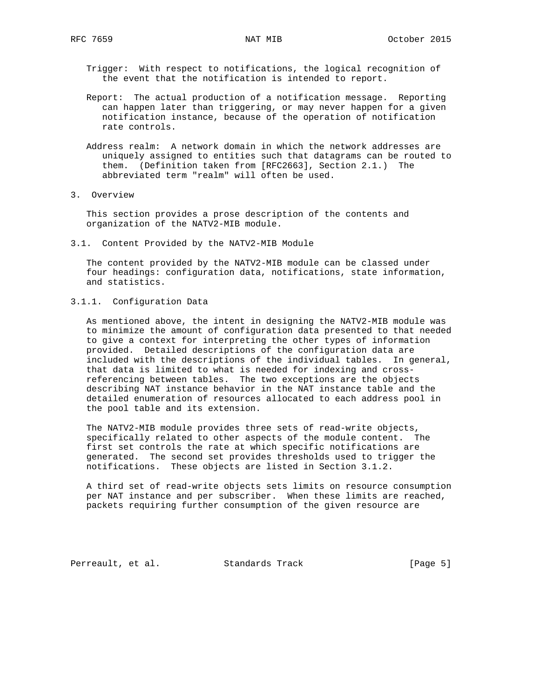Trigger: With respect to notifications, the logical recognition of the event that the notification is intended to report.

- Report: The actual production of a notification message. Reporting can happen later than triggering, or may never happen for a given notification instance, because of the operation of notification rate controls.
- Address realm: A network domain in which the network addresses are uniquely assigned to entities such that datagrams can be routed to them. (Definition taken from [RFC2663], Section 2.1.) The abbreviated term "realm" will often be used.
- 3. Overview

 This section provides a prose description of the contents and organization of the NATV2-MIB module.

3.1. Content Provided by the NATV2-MIB Module

 The content provided by the NATV2-MIB module can be classed under four headings: configuration data, notifications, state information, and statistics.

## 3.1.1. Configuration Data

 As mentioned above, the intent in designing the NATV2-MIB module was to minimize the amount of configuration data presented to that needed to give a context for interpreting the other types of information provided. Detailed descriptions of the configuration data are included with the descriptions of the individual tables. In general, that data is limited to what is needed for indexing and cross referencing between tables. The two exceptions are the objects describing NAT instance behavior in the NAT instance table and the detailed enumeration of resources allocated to each address pool in the pool table and its extension.

 The NATV2-MIB module provides three sets of read-write objects, specifically related to other aspects of the module content. The first set controls the rate at which specific notifications are generated. The second set provides thresholds used to trigger the notifications. These objects are listed in Section 3.1.2.

 A third set of read-write objects sets limits on resource consumption per NAT instance and per subscriber. When these limits are reached, packets requiring further consumption of the given resource are

Perreault, et al. Standards Track [Page 5]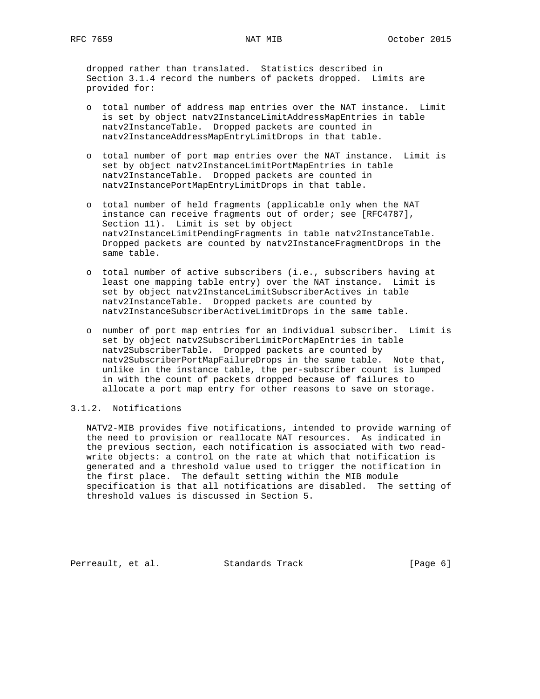dropped rather than translated. Statistics described in Section 3.1.4 record the numbers of packets dropped. Limits are provided for:

- o total number of address map entries over the NAT instance. Limit is set by object natv2InstanceLimitAddressMapEntries in table natv2InstanceTable. Dropped packets are counted in natv2InstanceAddressMapEntryLimitDrops in that table.
- o total number of port map entries over the NAT instance. Limit is set by object natv2InstanceLimitPortMapEntries in table natv2InstanceTable. Dropped packets are counted in natv2InstancePortMapEntryLimitDrops in that table.
- o total number of held fragments (applicable only when the NAT instance can receive fragments out of order; see [RFC4787], Section 11). Limit is set by object natv2InstanceLimitPendingFragments in table natv2InstanceTable. Dropped packets are counted by natv2InstanceFragmentDrops in the same table.
- o total number of active subscribers (i.e., subscribers having at least one mapping table entry) over the NAT instance. Limit is set by object natv2InstanceLimitSubscriberActives in table natv2InstanceTable. Dropped packets are counted by natv2InstanceSubscriberActiveLimitDrops in the same table.
- o number of port map entries for an individual subscriber. Limit is set by object natv2SubscriberLimitPortMapEntries in table natv2SubscriberTable. Dropped packets are counted by natv2SubscriberPortMapFailureDrops in the same table. Note that, unlike in the instance table, the per-subscriber count is lumped in with the count of packets dropped because of failures to allocate a port map entry for other reasons to save on storage.

## 3.1.2. Notifications

 NATV2-MIB provides five notifications, intended to provide warning of the need to provision or reallocate NAT resources. As indicated in the previous section, each notification is associated with two read write objects: a control on the rate at which that notification is generated and a threshold value used to trigger the notification in the first place. The default setting within the MIB module specification is that all notifications are disabled. The setting of threshold values is discussed in Section 5.

Perreault, et al. Standards Track [Page 6]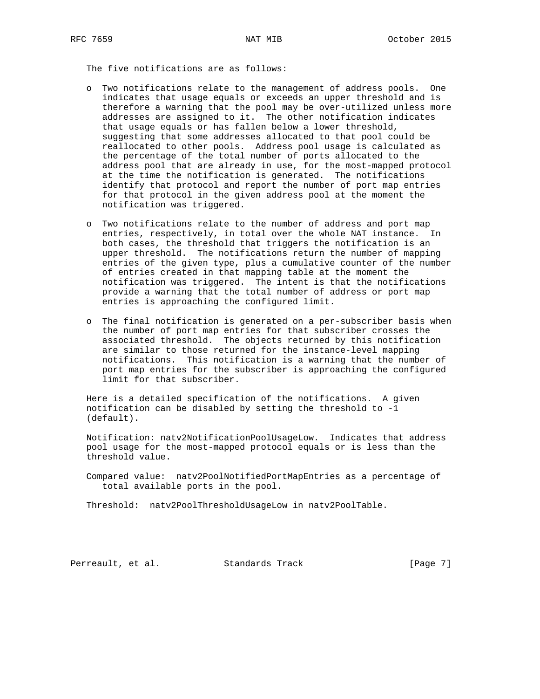The five notifications are as follows:

- o Two notifications relate to the management of address pools. One indicates that usage equals or exceeds an upper threshold and is therefore a warning that the pool may be over-utilized unless more addresses are assigned to it. The other notification indicates that usage equals or has fallen below a lower threshold, suggesting that some addresses allocated to that pool could be reallocated to other pools. Address pool usage is calculated as the percentage of the total number of ports allocated to the address pool that are already in use, for the most-mapped protocol at the time the notification is generated. The notifications identify that protocol and report the number of port map entries for that protocol in the given address pool at the moment the notification was triggered.
- o Two notifications relate to the number of address and port map entries, respectively, in total over the whole NAT instance. In both cases, the threshold that triggers the notification is an upper threshold. The notifications return the number of mapping entries of the given type, plus a cumulative counter of the number of entries created in that mapping table at the moment the notification was triggered. The intent is that the notifications provide a warning that the total number of address or port map entries is approaching the configured limit.
- o The final notification is generated on a per-subscriber basis when the number of port map entries for that subscriber crosses the associated threshold. The objects returned by this notification are similar to those returned for the instance-level mapping notifications. This notification is a warning that the number of port map entries for the subscriber is approaching the configured limit for that subscriber.

 Here is a detailed specification of the notifications. A given notification can be disabled by setting the threshold to -1 (default).

 Notification: natv2NotificationPoolUsageLow. Indicates that address pool usage for the most-mapped protocol equals or is less than the threshold value.

 Compared value: natv2PoolNotifiedPortMapEntries as a percentage of total available ports in the pool.

Threshold: natv2PoolThresholdUsageLow in natv2PoolTable.

Perreault, et al. Standards Track [Page 7]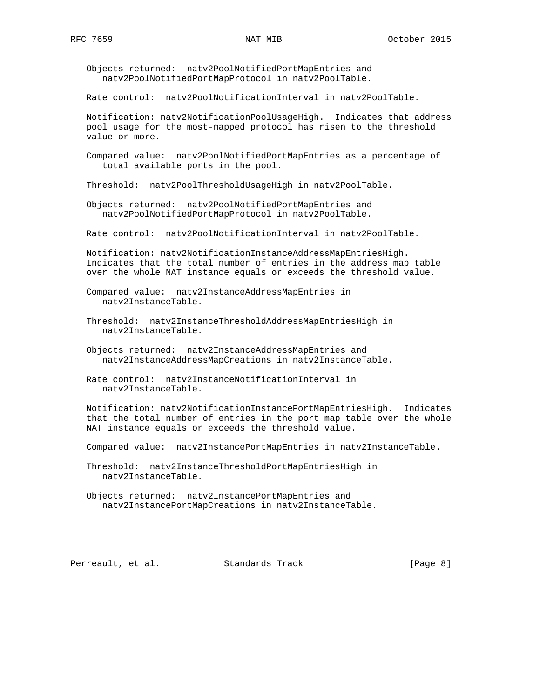Objects returned: natv2PoolNotifiedPortMapEntries and natv2PoolNotifiedPortMapProtocol in natv2PoolTable.

Rate control: natv2PoolNotificationInterval in natv2PoolTable.

 Notification: natv2NotificationPoolUsageHigh. Indicates that address pool usage for the most-mapped protocol has risen to the threshold value or more.

 Compared value: natv2PoolNotifiedPortMapEntries as a percentage of total available ports in the pool.

Threshold: natv2PoolThresholdUsageHigh in natv2PoolTable.

 Objects returned: natv2PoolNotifiedPortMapEntries and natv2PoolNotifiedPortMapProtocol in natv2PoolTable.

Rate control: natv2PoolNotificationInterval in natv2PoolTable.

 Notification: natv2NotificationInstanceAddressMapEntriesHigh. Indicates that the total number of entries in the address map table over the whole NAT instance equals or exceeds the threshold value.

 Compared value: natv2InstanceAddressMapEntries in natv2InstanceTable.

 Threshold: natv2InstanceThresholdAddressMapEntriesHigh in natv2InstanceTable.

 Objects returned: natv2InstanceAddressMapEntries and natv2InstanceAddressMapCreations in natv2InstanceTable.

 Rate control: natv2InstanceNotificationInterval in natv2InstanceTable.

 Notification: natv2NotificationInstancePortMapEntriesHigh. Indicates that the total number of entries in the port map table over the whole NAT instance equals or exceeds the threshold value.

Compared value: natv2InstancePortMapEntries in natv2InstanceTable.

 Threshold: natv2InstanceThresholdPortMapEntriesHigh in natv2InstanceTable.

 Objects returned: natv2InstancePortMapEntries and natv2InstancePortMapCreations in natv2InstanceTable.

Perreault, et al. Standards Track [Page 8]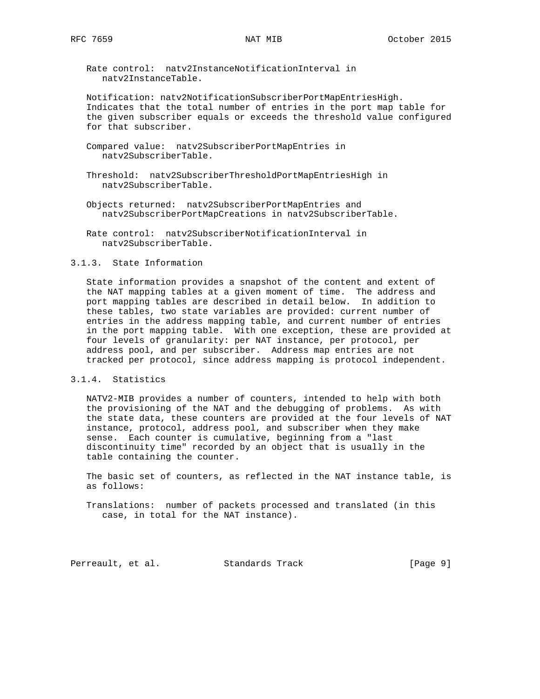Rate control: natv2InstanceNotificationInterval in natv2InstanceTable.

 Notification: natv2NotificationSubscriberPortMapEntriesHigh. Indicates that the total number of entries in the port map table for the given subscriber equals or exceeds the threshold value configured for that subscriber.

- Compared value: natv2SubscriberPortMapEntries in natv2SubscriberTable.
- Threshold: natv2SubscriberThresholdPortMapEntriesHigh in natv2SubscriberTable.
- Objects returned: natv2SubscriberPortMapEntries and natv2SubscriberPortMapCreations in natv2SubscriberTable.
- Rate control: natv2SubscriberNotificationInterval in natv2SubscriberTable.

## 3.1.3. State Information

 State information provides a snapshot of the content and extent of the NAT mapping tables at a given moment of time. The address and port mapping tables are described in detail below. In addition to these tables, two state variables are provided: current number of entries in the address mapping table, and current number of entries in the port mapping table. With one exception, these are provided at four levels of granularity: per NAT instance, per protocol, per address pool, and per subscriber. Address map entries are not tracked per protocol, since address mapping is protocol independent.

## 3.1.4. Statistics

 NATV2-MIB provides a number of counters, intended to help with both the provisioning of the NAT and the debugging of problems. As with the state data, these counters are provided at the four levels of NAT instance, protocol, address pool, and subscriber when they make sense. Each counter is cumulative, beginning from a "last discontinuity time" recorded by an object that is usually in the table containing the counter.

 The basic set of counters, as reflected in the NAT instance table, is as follows:

 Translations: number of packets processed and translated (in this case, in total for the NAT instance).

Perreault, et al. Standards Track [Page 9]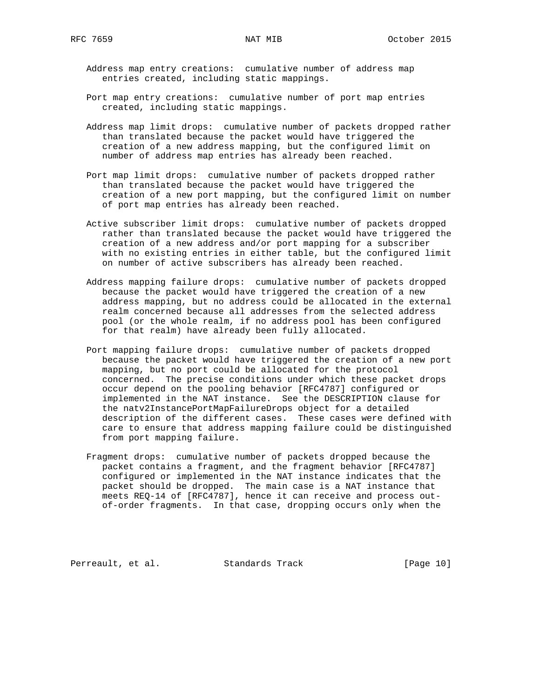- Address map entry creations: cumulative number of address map entries created, including static mappings.
- Port map entry creations: cumulative number of port map entries created, including static mappings.
- Address map limit drops: cumulative number of packets dropped rather than translated because the packet would have triggered the creation of a new address mapping, but the configured limit on number of address map entries has already been reached.
- Port map limit drops: cumulative number of packets dropped rather than translated because the packet would have triggered the creation of a new port mapping, but the configured limit on number of port map entries has already been reached.
- Active subscriber limit drops: cumulative number of packets dropped rather than translated because the packet would have triggered the creation of a new address and/or port mapping for a subscriber with no existing entries in either table, but the configured limit on number of active subscribers has already been reached.
- Address mapping failure drops: cumulative number of packets dropped because the packet would have triggered the creation of a new address mapping, but no address could be allocated in the external realm concerned because all addresses from the selected address pool (or the whole realm, if no address pool has been configured for that realm) have already been fully allocated.
- Port mapping failure drops: cumulative number of packets dropped because the packet would have triggered the creation of a new port mapping, but no port could be allocated for the protocol concerned. The precise conditions under which these packet drops occur depend on the pooling behavior [RFC4787] configured or implemented in the NAT instance. See the DESCRIPTION clause for the natv2InstancePortMapFailureDrops object for a detailed description of the different cases. These cases were defined with care to ensure that address mapping failure could be distinguished from port mapping failure.
- Fragment drops: cumulative number of packets dropped because the packet contains a fragment, and the fragment behavior [RFC4787] configured or implemented in the NAT instance indicates that the packet should be dropped. The main case is a NAT instance that meets REQ-14 of [RFC4787], hence it can receive and process out of-order fragments. In that case, dropping occurs only when the

Perreault, et al. Standards Track [Page 10]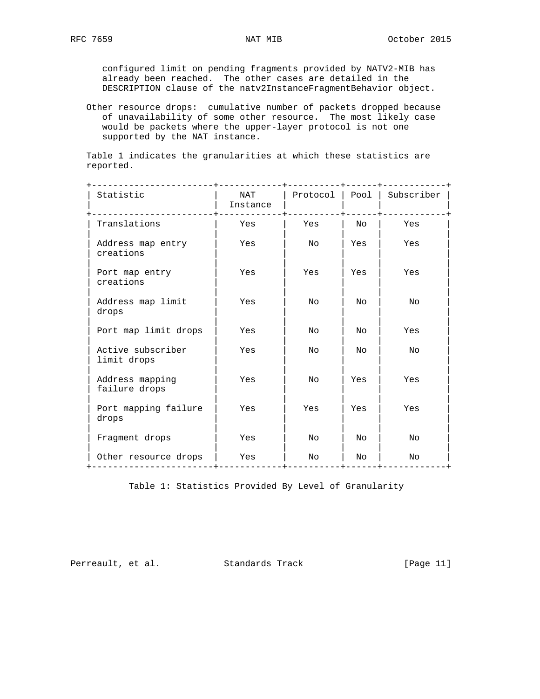configured limit on pending fragments provided by NATV2-MIB has already been reached. The other cases are detailed in the DESCRIPTION clause of the natv2InstanceFragmentBehavior object.

 Other resource drops: cumulative number of packets dropped because of unavailability of some other resource. The most likely case would be packets where the upper-layer protocol is not one supported by the NAT instance.

 Table 1 indicates the granularities at which these statistics are reported.

| Statistic                        | NAT<br>Instance | Protocol       | Pool | Subscriber     |
|----------------------------------|-----------------|----------------|------|----------------|
| Translations                     | Yes             | Yes            | No   | Yes            |
| Address map entry<br>creations   | Yes             | No             | Yes  | Yes            |
| Port map entry<br>creations      | Yes             | Yes            | Yes  | Yes            |
| Address map limit<br>drops       | Yes             | No             | No   | No             |
| Port map limit drops             | Yes             | No             | Nο   | Yes            |
| Active subscriber<br>limit drops | Yes             | No             | No   | No             |
| Address mapping<br>failure drops | Yes             | No             | Yes  | Yes            |
| Port mapping failure<br>drops    | Yes             | Yes            | Yes  | Yes            |
| Fragment drops                   | Yes             | N <sub>O</sub> | No   | N <sub>O</sub> |
| Other resource drops             | Yes             | No             | No   | No             |

Table 1: Statistics Provided By Level of Granularity

Perreault, et al. Standards Track [Page 11]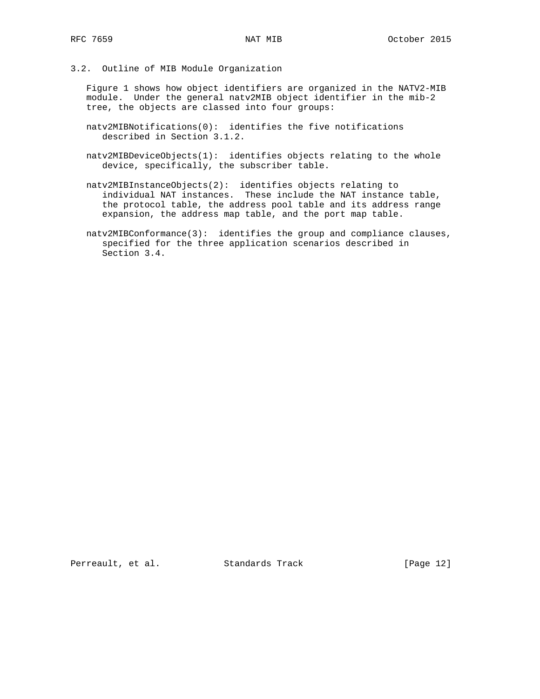# 3.2. Outline of MIB Module Organization

 Figure 1 shows how object identifiers are organized in the NATV2-MIB module. Under the general natv2MIB object identifier in the mib-2 tree, the objects are classed into four groups:

- natv2MIBNotifications(0): identifies the five notifications described in Section 3.1.2.
- natv2MIBDeviceObjects(1): identifies objects relating to the whole device, specifically, the subscriber table.
- natv2MIBInstanceObjects(2): identifies objects relating to individual NAT instances. These include the NAT instance table, the protocol table, the address pool table and its address range expansion, the address map table, and the port map table.
- natv2MIBConformance(3): identifies the group and compliance clauses, specified for the three application scenarios described in Section 3.4.

Perreault, et al. Standards Track [Page 12]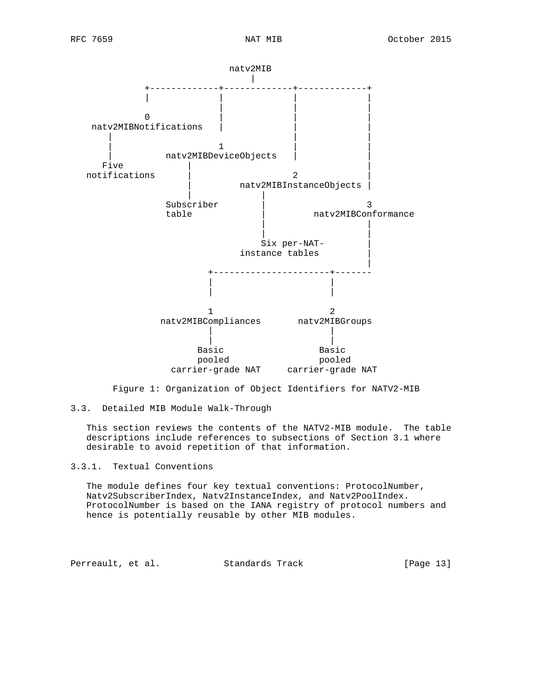

Figure 1: Organization of Object Identifiers for NATV2-MIB

 This section reviews the contents of the NATV2-MIB module. The table descriptions include references to subsections of Section 3.1 where desirable to avoid repetition of that information.

3.3.1. Textual Conventions

 The module defines four key textual conventions: ProtocolNumber, Natv2SubscriberIndex, Natv2InstanceIndex, and Natv2PoolIndex. ProtocolNumber is based on the IANA registry of protocol numbers and hence is potentially reusable by other MIB modules.

Perreault, et al. Standards Track [Page 13]

<sup>3.3.</sup> Detailed MIB Module Walk-Through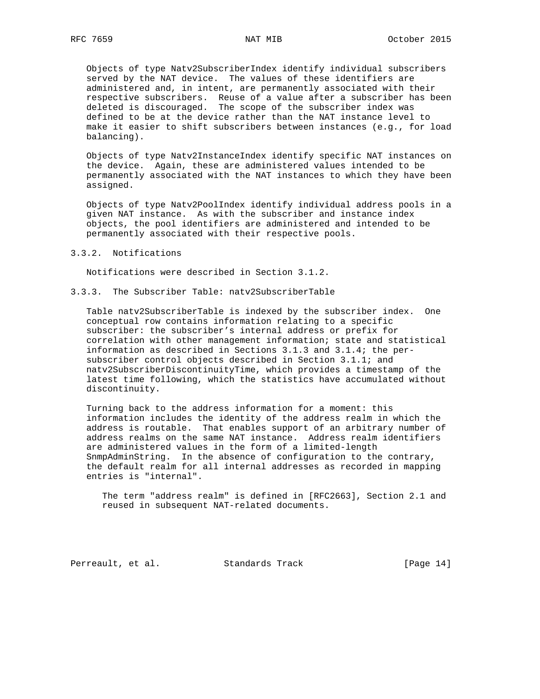Objects of type Natv2SubscriberIndex identify individual subscribers served by the NAT device. The values of these identifiers are administered and, in intent, are permanently associated with their respective subscribers. Reuse of a value after a subscriber has been deleted is discouraged. The scope of the subscriber index was defined to be at the device rather than the NAT instance level to make it easier to shift subscribers between instances (e.g., for load balancing).

 Objects of type Natv2InstanceIndex identify specific NAT instances on the device. Again, these are administered values intended to be permanently associated with the NAT instances to which they have been assigned.

 Objects of type Natv2PoolIndex identify individual address pools in a given NAT instance. As with the subscriber and instance index objects, the pool identifiers are administered and intended to be permanently associated with their respective pools.

### 3.3.2. Notifications

Notifications were described in Section 3.1.2.

3.3.3. The Subscriber Table: natv2SubscriberTable

 Table natv2SubscriberTable is indexed by the subscriber index. One conceptual row contains information relating to a specific subscriber: the subscriber's internal address or prefix for correlation with other management information; state and statistical information as described in Sections 3.1.3 and 3.1.4; the per subscriber control objects described in Section 3.1.1; and natv2SubscriberDiscontinuityTime, which provides a timestamp of the latest time following, which the statistics have accumulated without discontinuity.

 Turning back to the address information for a moment: this information includes the identity of the address realm in which the address is routable. That enables support of an arbitrary number of address realms on the same NAT instance. Address realm identifiers are administered values in the form of a limited-length SnmpAdminString. In the absence of configuration to the contrary, the default realm for all internal addresses as recorded in mapping entries is "internal".

 The term "address realm" is defined in [RFC2663], Section 2.1 and reused in subsequent NAT-related documents.

Perreault, et al. Standards Track [Page 14]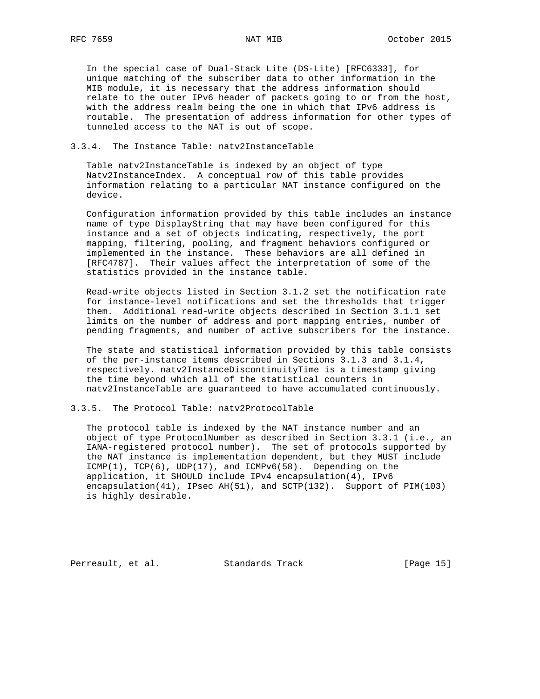In the special case of Dual-Stack Lite (DS-Lite) [RFC6333], for unique matching of the subscriber data to other information in the MIB module, it is necessary that the address information should relate to the outer IPv6 header of packets going to or from the host, with the address realm being the one in which that IPv6 address is routable. The presentation of address information for other types of tunneled access to the NAT is out of scope.

# 3.3.4. The Instance Table: natv2InstanceTable

 Table natv2InstanceTable is indexed by an object of type Natv2InstanceIndex. A conceptual row of this table provides information relating to a particular NAT instance configured on the device.

 Configuration information provided by this table includes an instance name of type DisplayString that may have been configured for this instance and a set of objects indicating, respectively, the port mapping, filtering, pooling, and fragment behaviors configured or implemented in the instance. These behaviors are all defined in [RFC4787]. Their values affect the interpretation of some of the statistics provided in the instance table.

 Read-write objects listed in Section 3.1.2 set the notification rate for instance-level notifications and set the thresholds that trigger them. Additional read-write objects described in Section 3.1.1 set limits on the number of address and port mapping entries, number of pending fragments, and number of active subscribers for the instance.

 The state and statistical information provided by this table consists of the per-instance items described in Sections 3.1.3 and 3.1.4, respectively. natv2InstanceDiscontinuityTime is a timestamp giving the time beyond which all of the statistical counters in natv2InstanceTable are guaranteed to have accumulated continuously.

3.3.5. The Protocol Table: natv2ProtocolTable

 The protocol table is indexed by the NAT instance number and an object of type ProtocolNumber as described in Section 3.3.1 (i.e., an IANA-registered protocol number). The set of protocols supported by the NAT instance is implementation dependent, but they MUST include  $ICMP(1)$ ,  $TCP(6)$ ,  $UDP(17)$ , and  $ICMPV6(58)$ . Depending on the application, it SHOULD include IPv4 encapsulation(4), IPv6 encapsulation(41), IPsec AH(51), and SCTP(132). Support of PIM(103) is highly desirable.

Perreault, et al. Standards Track [Page 15]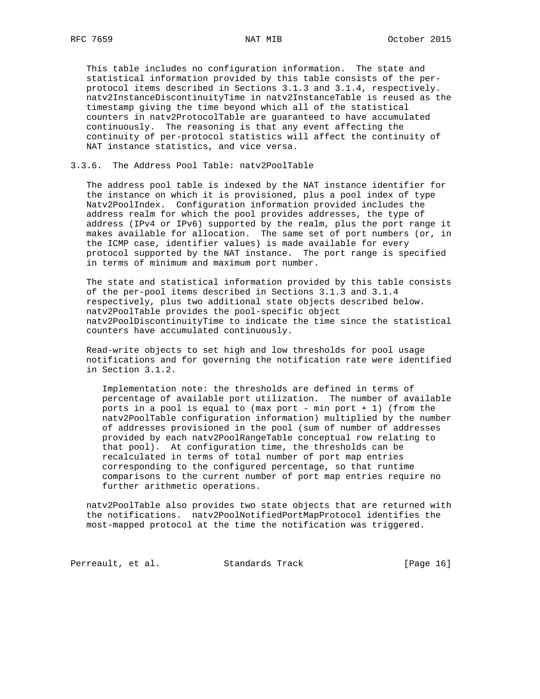This table includes no configuration information. The state and statistical information provided by this table consists of the per protocol items described in Sections 3.1.3 and 3.1.4, respectively. natv2InstanceDiscontinuityTime in natv2InstanceTable is reused as the timestamp giving the time beyond which all of the statistical counters in natv2ProtocolTable are guaranteed to have accumulated continuously. The reasoning is that any event affecting the continuity of per-protocol statistics will affect the continuity of NAT instance statistics, and vice versa.

## 3.3.6. The Address Pool Table: natv2PoolTable

 The address pool table is indexed by the NAT instance identifier for the instance on which it is provisioned, plus a pool index of type Natv2PoolIndex. Configuration information provided includes the address realm for which the pool provides addresses, the type of address (IPv4 or IPv6) supported by the realm, plus the port range it makes available for allocation. The same set of port numbers (or, in the ICMP case, identifier values) is made available for every protocol supported by the NAT instance. The port range is specified in terms of minimum and maximum port number.

 The state and statistical information provided by this table consists of the per-pool items described in Sections 3.1.3 and 3.1.4 respectively, plus two additional state objects described below. natv2PoolTable provides the pool-specific object natv2PoolDiscontinuityTime to indicate the time since the statistical counters have accumulated continuously.

 Read-write objects to set high and low thresholds for pool usage notifications and for governing the notification rate were identified in Section 3.1.2.

 Implementation note: the thresholds are defined in terms of percentage of available port utilization. The number of available ports in a pool is equal to (max port - min port + 1) (from the natv2PoolTable configuration information) multiplied by the number of addresses provisioned in the pool (sum of number of addresses provided by each natv2PoolRangeTable conceptual row relating to that pool). At configuration time, the thresholds can be recalculated in terms of total number of port map entries corresponding to the configured percentage, so that runtime comparisons to the current number of port map entries require no further arithmetic operations.

 natv2PoolTable also provides two state objects that are returned with the notifications. natv2PoolNotifiedPortMapProtocol identifies the most-mapped protocol at the time the notification was triggered.

Perreault, et al. Standards Track [Page 16]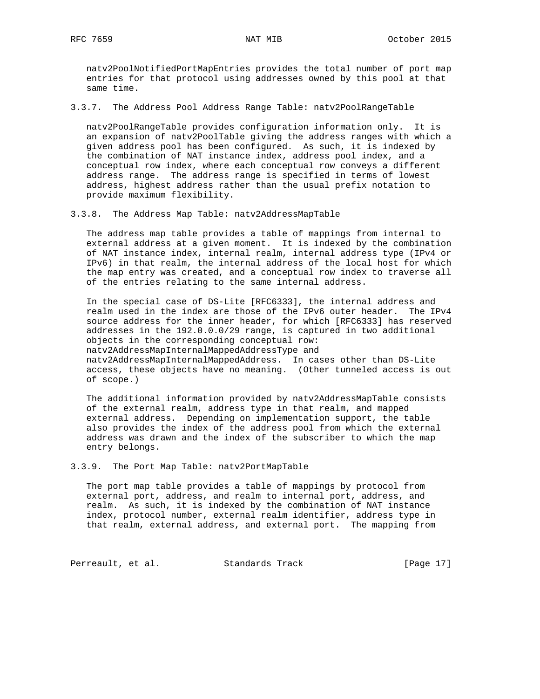natv2PoolNotifiedPortMapEntries provides the total number of port map entries for that protocol using addresses owned by this pool at that same time.

3.3.7. The Address Pool Address Range Table: natv2PoolRangeTable

 natv2PoolRangeTable provides configuration information only. It is an expansion of natv2PoolTable giving the address ranges with which a given address pool has been configured. As such, it is indexed by the combination of NAT instance index, address pool index, and a conceptual row index, where each conceptual row conveys a different address range. The address range is specified in terms of lowest address, highest address rather than the usual prefix notation to provide maximum flexibility.

3.3.8. The Address Map Table: natv2AddressMapTable

 The address map table provides a table of mappings from internal to external address at a given moment. It is indexed by the combination of NAT instance index, internal realm, internal address type (IPv4 or IPv6) in that realm, the internal address of the local host for which the map entry was created, and a conceptual row index to traverse all of the entries relating to the same internal address.

 In the special case of DS-Lite [RFC6333], the internal address and realm used in the index are those of the IPv6 outer header. The IPv4 source address for the inner header, for which [RFC6333] has reserved addresses in the 192.0.0.0/29 range, is captured in two additional objects in the corresponding conceptual row: natv2AddressMapInternalMappedAddressType and natv2AddressMapInternalMappedAddress. In cases other than DS-Lite access, these objects have no meaning. (Other tunneled access is out of scope.)

The additional information provided by natv2AddressMapTable consists of the external realm, address type in that realm, and mapped external address. Depending on implementation support, the table also provides the index of the address pool from which the external address was drawn and the index of the subscriber to which the map entry belongs.

3.3.9. The Port Map Table: natv2PortMapTable

 The port map table provides a table of mappings by protocol from external port, address, and realm to internal port, address, and realm. As such, it is indexed by the combination of NAT instance index, protocol number, external realm identifier, address type in that realm, external address, and external port. The mapping from

Perreault, et al. Standards Track [Page 17]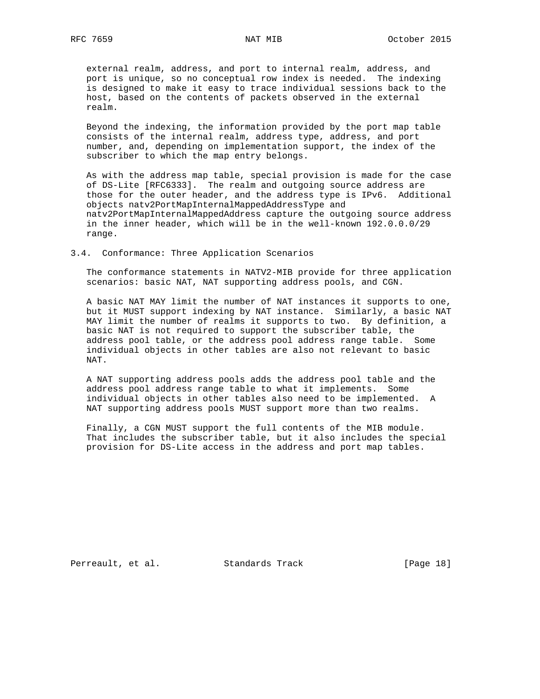external realm, address, and port to internal realm, address, and port is unique, so no conceptual row index is needed. The indexing is designed to make it easy to trace individual sessions back to the host, based on the contents of packets observed in the external realm.

 Beyond the indexing, the information provided by the port map table consists of the internal realm, address type, address, and port number, and, depending on implementation support, the index of the subscriber to which the map entry belongs.

 As with the address map table, special provision is made for the case of DS-Lite [RFC6333]. The realm and outgoing source address are those for the outer header, and the address type is IPv6. Additional objects natv2PortMapInternalMappedAddressType and natv2PortMapInternalMappedAddress capture the outgoing source address in the inner header, which will be in the well-known 192.0.0.0/29 range.

3.4. Conformance: Three Application Scenarios

 The conformance statements in NATV2-MIB provide for three application scenarios: basic NAT, NAT supporting address pools, and CGN.

 A basic NAT MAY limit the number of NAT instances it supports to one, but it MUST support indexing by NAT instance. Similarly, a basic NAT MAY limit the number of realms it supports to two. By definition, a basic NAT is not required to support the subscriber table, the address pool table, or the address pool address range table. Some individual objects in other tables are also not relevant to basic NAT.

 A NAT supporting address pools adds the address pool table and the address pool address range table to what it implements. Some individual objects in other tables also need to be implemented. A NAT supporting address pools MUST support more than two realms.

 Finally, a CGN MUST support the full contents of the MIB module. That includes the subscriber table, but it also includes the special provision for DS-Lite access in the address and port map tables.

Perreault, et al. Standards Track [Page 18]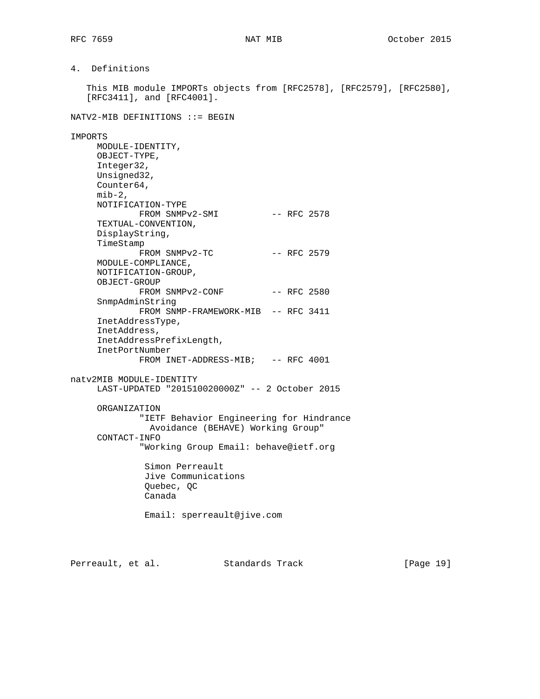4. Definitions

 This MIB module IMPORTs objects from [RFC2578], [RFC2579], [RFC2580], [RFC3411], and [RFC4001].

NATV2-MIB DEFINITIONS ::= BEGIN

### IMPORTS

 MODULE-IDENTITY, OBJECT-TYPE, Integer32, Unsigned32, Counter64,  $min-2$ , NOTIFICATION-TYPE FROM SNMPv2-SMI -- RFC 2578 TEXTUAL-CONVENTION, DisplayString, TimeStamp FROM SNMPv2-TC -- RFC 2579 MODULE-COMPLIANCE, NOTIFICATION-GROUP, OBJECT-GROUP FROM SNMPv2-CONF -- RFC 2580 SnmpAdminString FROM SNMP-FRAMEWORK-MIB -- RFC 3411 InetAddressType, InetAddress, InetAddressPrefixLength, InetPortNumber FROM INET-ADDRESS-MIB; -- RFC 4001 natv2MIB MODULE-IDENTITY LAST-UPDATED "201510020000Z" -- 2 October 2015 ORGANIZATION "IETF Behavior Engineering for Hindrance Avoidance (BEHAVE) Working Group" CONTACT-INFO "Working Group Email: behave@ietf.org Simon Perreault Jive Communications Quebec, QC Canada Email: sperreault@jive.com

Perreault, et al. Standards Track [Page 19]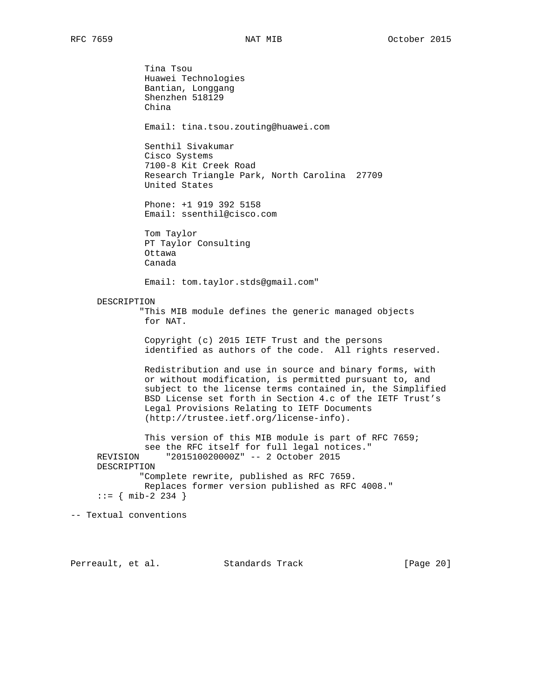Tina Tsou Huawei Technologies Bantian, Longgang Shenzhen 518129 China Email: tina.tsou.zouting@huawei.com Senthil Sivakumar Cisco Systems 7100-8 Kit Creek Road Research Triangle Park, North Carolina 27709 United States Phone: +1 919 392 5158 Email: ssenthil@cisco.com Tom Taylor PT Taylor Consulting Ottawa Canada Email: tom.taylor.stds@gmail.com" DESCRIPTION "This MIB module defines the generic managed objects for NAT. Copyright (c) 2015 IETF Trust and the persons identified as authors of the code. All rights reserved. Redistribution and use in source and binary forms, with or without modification, is permitted pursuant to, and subject to the license terms contained in, the Simplified BSD License set forth in Section 4.c of the IETF Trust's Legal Provisions Relating to IETF Documents (http://trustee.ietf.org/license-info). This version of this MIB module is part of RFC 7659; see the RFC itself for full legal notices." REVISION "201510020000Z" -- 2 October 2015 DESCRIPTION "Complete rewrite, published as RFC 7659. Replaces former version published as RFC 4008."  $::=$  { mib-2 234 } -- Textual conventions

Perreault, et al. Standards Track [Page 20]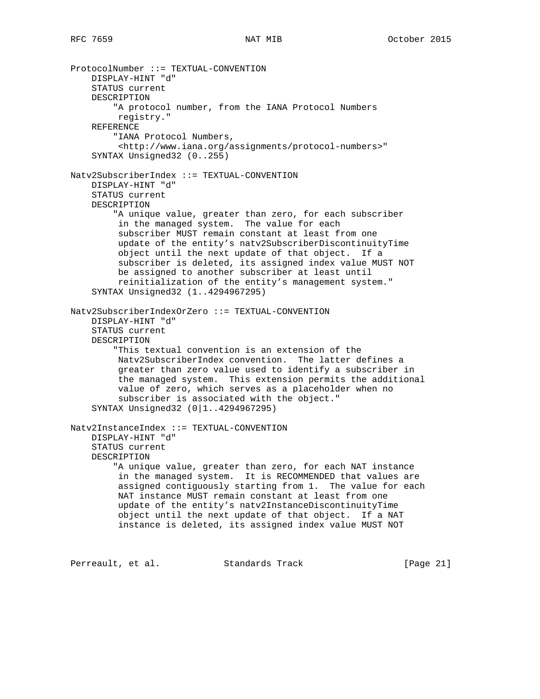```
ProtocolNumber ::= TEXTUAL-CONVENTION
     DISPLAY-HINT "d"
     STATUS current
     DESCRIPTION
         "A protocol number, from the IANA Protocol Numbers
          registry."
     REFERENCE
         "IANA Protocol Numbers,
          <http://www.iana.org/assignments/protocol-numbers>"
     SYNTAX Unsigned32 (0..255)
Natv2SubscriberIndex ::= TEXTUAL-CONVENTION
     DISPLAY-HINT "d"
     STATUS current
     DESCRIPTION
         "A unique value, greater than zero, for each subscriber
          in the managed system. The value for each
          subscriber MUST remain constant at least from one
          update of the entity's natv2SubscriberDiscontinuityTime
          object until the next update of that object. If a
          subscriber is deleted, its assigned index value MUST NOT
          be assigned to another subscriber at least until
          reinitialization of the entity's management system."
     SYNTAX Unsigned32 (1..4294967295)
Natv2SubscriberIndexOrZero ::= TEXTUAL-CONVENTION
     DISPLAY-HINT "d"
     STATUS current
     DESCRIPTION
         "This textual convention is an extension of the
          Natv2SubscriberIndex convention. The latter defines a
          greater than zero value used to identify a subscriber in
          the managed system. This extension permits the additional
          value of zero, which serves as a placeholder when no
          subscriber is associated with the object."
     SYNTAX Unsigned32 (0|1..4294967295)
Natv2InstanceIndex ::= TEXTUAL-CONVENTION
     DISPLAY-HINT "d"
     STATUS current
     DESCRIPTION
         "A unique value, greater than zero, for each NAT instance
          in the managed system. It is RECOMMENDED that values are
          assigned contiguously starting from 1. The value for each
          NAT instance MUST remain constant at least from one
          update of the entity's natv2InstanceDiscontinuityTime
          object until the next update of that object. If a NAT
          instance is deleted, its assigned index value MUST NOT
```
Perreault, et al. Standards Track [Page 21]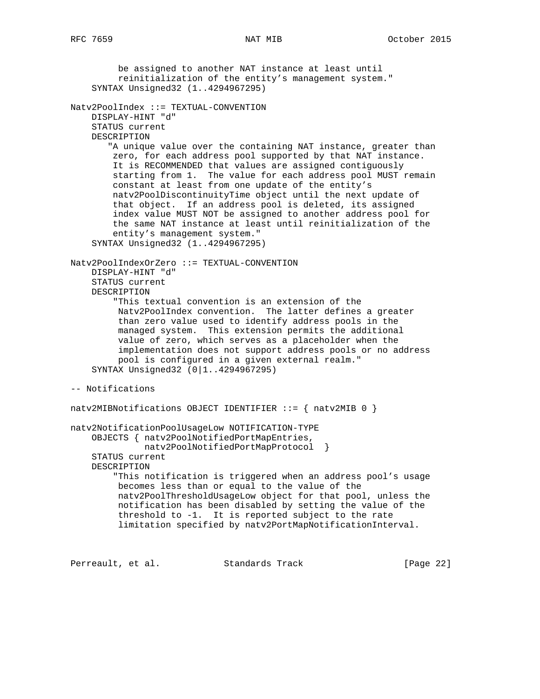be assigned to another NAT instance at least until reinitialization of the entity's management system." SYNTAX Unsigned32 (1..4294967295) Natv2PoolIndex ::= TEXTUAL-CONVENTION DISPLAY-HINT "d" STATUS current DESCRIPTION "A unique value over the containing NAT instance, greater than zero, for each address pool supported by that NAT instance. It is RECOMMENDED that values are assigned contiguously starting from 1. The value for each address pool MUST remain constant at least from one update of the entity's natv2PoolDiscontinuityTime object until the next update of that object. If an address pool is deleted, its assigned index value MUST NOT be assigned to another address pool for the same NAT instance at least until reinitialization of the entity's management system." SYNTAX Unsigned32 (1..4294967295) Natv2PoolIndexOrZero ::= TEXTUAL-CONVENTION DISPLAY-HINT "d" STATUS current DESCRIPTION "This textual convention is an extension of the Natv2PoolIndex convention. The latter defines a greater than zero value used to identify address pools in the managed system. This extension permits the additional value of zero, which serves as a placeholder when the implementation does not support address pools or no address pool is configured in a given external realm." SYNTAX Unsigned32 (0|1..4294967295) -- Notifications natv2MIBNotifications OBJECT IDENTIFIER ::= { natv2MIB 0 } natv2NotificationPoolUsageLow NOTIFICATION-TYPE OBJECTS { natv2PoolNotifiedPortMapEntries, natv2PoolNotifiedPortMapProtocol } STATUS current DESCRIPTION "This notification is triggered when an address pool's usage becomes less than or equal to the value of the natv2PoolThresholdUsageLow object for that pool, unless the notification has been disabled by setting the value of the threshold to -1. It is reported subject to the rate limitation specified by natv2PortMapNotificationInterval.

Perreault, et al. Standards Track [Page 22]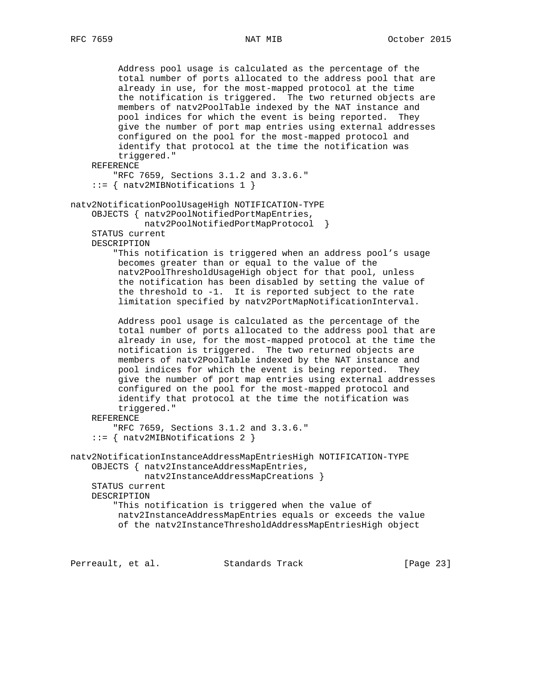```
 Address pool usage is calculated as the percentage of the
          total number of ports allocated to the address pool that are
          already in use, for the most-mapped protocol at the time
          the notification is triggered. The two returned objects are
          members of natv2PoolTable indexed by the NAT instance and
          pool indices for which the event is being reported. They
          give the number of port map entries using external addresses
          configured on the pool for the most-mapped protocol and
          identify that protocol at the time the notification was
          triggered."
     REFERENCE
         "RFC 7659, Sections 3.1.2 and 3.3.6."
     ::= { natv2MIBNotifications 1 }
natv2NotificationPoolUsageHigh NOTIFICATION-TYPE
     OBJECTS { natv2PoolNotifiedPortMapEntries,
              natv2PoolNotifiedPortMapProtocol }
     STATUS current
     DESCRIPTION
         "This notification is triggered when an address pool's usage
         becomes greater than or equal to the value of the
          natv2PoolThresholdUsageHigh object for that pool, unless
          the notification has been disabled by setting the value of
          the threshold to -1. It is reported subject to the rate
          limitation specified by natv2PortMapNotificationInterval.
          Address pool usage is calculated as the percentage of the
          total number of ports allocated to the address pool that are
          already in use, for the most-mapped protocol at the time the
          notification is triggered. The two returned objects are
          members of natv2PoolTable indexed by the NAT instance and
          pool indices for which the event is being reported. They
          give the number of port map entries using external addresses
          configured on the pool for the most-mapped protocol and
          identify that protocol at the time the notification was
          triggered."
     REFERENCE
         "RFC 7659, Sections 3.1.2 and 3.3.6."
     ::= { natv2MIBNotifications 2 }
natv2NotificationInstanceAddressMapEntriesHigh NOTIFICATION-TYPE
     OBJECTS { natv2InstanceAddressMapEntries,
              natv2InstanceAddressMapCreations }
     STATUS current
     DESCRIPTION
         "This notification is triggered when the value of
         natv2InstanceAddressMapEntries equals or exceeds the value
          of the natv2InstanceThresholdAddressMapEntriesHigh object
```
Perreault, et al. Standards Track [Page 23]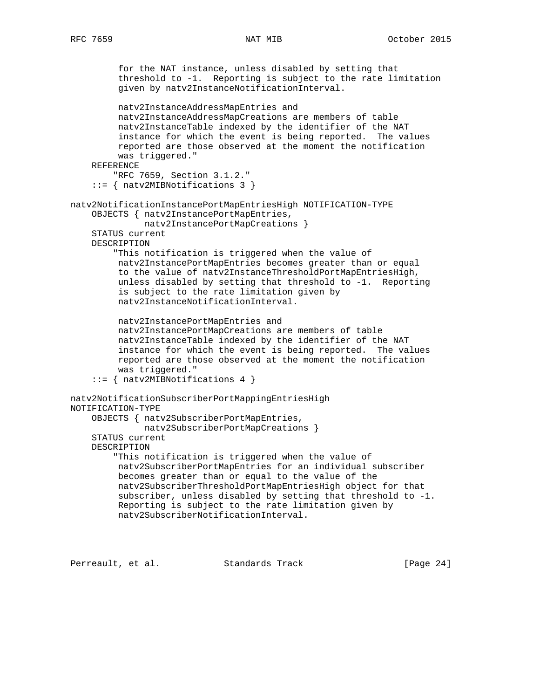```
 for the NAT instance, unless disabled by setting that
          threshold to -1. Reporting is subject to the rate limitation
          given by natv2InstanceNotificationInterval.
          natv2InstanceAddressMapEntries and
          natv2InstanceAddressMapCreations are members of table
          natv2InstanceTable indexed by the identifier of the NAT
          instance for which the event is being reported. The values
          reported are those observed at the moment the notification
          was triggered."
     REFERENCE
         "RFC 7659, Section 3.1.2."
     ::= { natv2MIBNotifications 3 }
natv2NotificationInstancePortMapEntriesHigh NOTIFICATION-TYPE
     OBJECTS { natv2InstancePortMapEntries,
              natv2InstancePortMapCreations }
     STATUS current
     DESCRIPTION
         "This notification is triggered when the value of
          natv2InstancePortMapEntries becomes greater than or equal
          to the value of natv2InstanceThresholdPortMapEntriesHigh,
          unless disabled by setting that threshold to -1. Reporting
          is subject to the rate limitation given by
          natv2InstanceNotificationInterval.
          natv2InstancePortMapEntries and
          natv2InstancePortMapCreations are members of table
          natv2InstanceTable indexed by the identifier of the NAT
          instance for which the event is being reported. The values
          reported are those observed at the moment the notification
          was triggered."
     ::= { natv2MIBNotifications 4 }
natv2NotificationSubscriberPortMappingEntriesHigh
NOTIFICATION-TYPE
     OBJECTS { natv2SubscriberPortMapEntries,
              natv2SubscriberPortMapCreations }
     STATUS current
     DESCRIPTION
         "This notification is triggered when the value of
          natv2SubscriberPortMapEntries for an individual subscriber
          becomes greater than or equal to the value of the
          natv2SubscriberThresholdPortMapEntriesHigh object for that
          subscriber, unless disabled by setting that threshold to -1.
          Reporting is subject to the rate limitation given by
          natv2SubscriberNotificationInterval.
```
Perreault, et al. Standards Track [Page 24]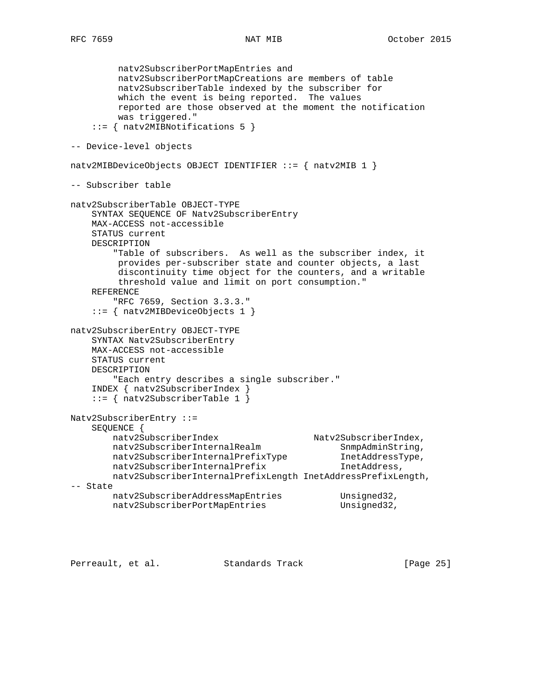natv2SubscriberPortMapEntries and natv2SubscriberPortMapCreations are members of table natv2SubscriberTable indexed by the subscriber for which the event is being reported. The values reported are those observed at the moment the notification was triggered." ::= { natv2MIBNotifications 5 } -- Device-level objects natv2MIBDeviceObjects OBJECT IDENTIFIER ::= { natv2MIB 1 } -- Subscriber table natv2SubscriberTable OBJECT-TYPE SYNTAX SEQUENCE OF Natv2SubscriberEntry MAX-ACCESS not-accessible STATUS current DESCRIPTION "Table of subscribers. As well as the subscriber index, it provides per-subscriber state and counter objects, a last discontinuity time object for the counters, and a writable threshold value and limit on port consumption." REFERENCE "RFC 7659, Section 3.3.3." ::= { natv2MIBDeviceObjects 1 } natv2SubscriberEntry OBJECT-TYPE SYNTAX Natv2SubscriberEntry MAX-ACCESS not-accessible STATUS current DESCRIPTION "Each entry describes a single subscriber." INDEX { natv2SubscriberIndex } ::= { natv2SubscriberTable 1 } Natv2SubscriberEntry ::= SEQUENCE { natv2SubscriberIndex Natv2SubscriberIndex, natv2SubscriberInternalRealm SnmpAdminString, natv2SubscriberInternalPrefixType InetAddressType, natv2SubscriberInternalPrefix InetAddress, natv2SubscriberInternalPrefixLength InetAddressPrefixLength, -- State natv2SubscriberAddressMapEntries Unsigned32, natv2SubscriberPortMapEntries entitled Unsigned32,

Perreault, et al. Standards Track [Page 25]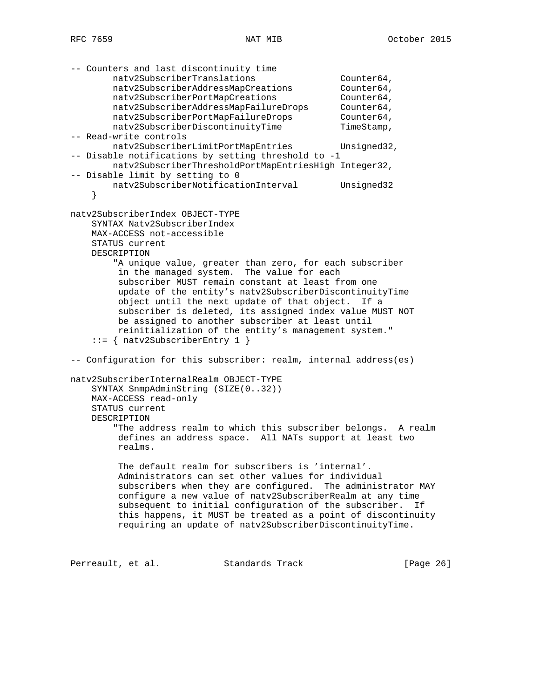```
-- Counters and last discontinuity time
natv2SubscriberTranslations extended not counter64,
natv2SubscriberAddressMapCreations Counter64,
natv2SubscriberPortMapCreations Counter64,
 natv2SubscriberAddressMapFailureDrops Counter64,
 natv2SubscriberPortMapFailureDrops Counter64,
natv2SubscriberDiscontinuityTime TimeStamp,
-- Read-write controls
       natv2SubscriberLimitPortMapEntries Unsigned32,
-- Disable notifications by setting threshold to -1
        natv2SubscriberThresholdPortMapEntriesHigh Integer32,
-- Disable limit by setting to 0
       natv2SubscriberNotificationInterval Unsigned32
     }
natv2SubscriberIndex OBJECT-TYPE
    SYNTAX Natv2SubscriberIndex
    MAX-ACCESS not-accessible
    STATUS current
    DESCRIPTION
        "A unique value, greater than zero, for each subscriber
         in the managed system. The value for each
         subscriber MUST remain constant at least from one
         update of the entity's natv2SubscriberDiscontinuityTime
         object until the next update of that object. If a
         subscriber is deleted, its assigned index value MUST NOT
         be assigned to another subscriber at least until
         reinitialization of the entity's management system."
     ::= { natv2SubscriberEntry 1 }
-- Configuration for this subscriber: realm, internal address(es)
natv2SubscriberInternalRealm OBJECT-TYPE
    SYNTAX SnmpAdminString (SIZE(0..32))
    MAX-ACCESS read-only
    STATUS current
    DESCRIPTION
        "The address realm to which this subscriber belongs. A realm
         defines an address space. All NATs support at least two
         realms.
         The default realm for subscribers is 'internal'.
         Administrators can set other values for individual
         subscribers when they are configured. The administrator MAY
         configure a new value of natv2SubscriberRealm at any time
         subsequent to initial configuration of the subscriber. If
         this happens, it MUST be treated as a point of discontinuity
         requiring an update of natv2SubscriberDiscontinuityTime.
Perreault, et al. Standards Track [Page 26]
```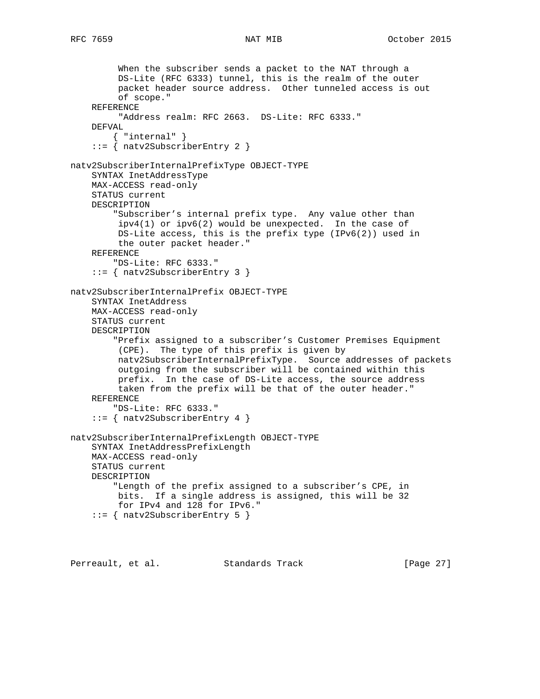When the subscriber sends a packet to the NAT through a DS-Lite (RFC 6333) tunnel, this is the realm of the outer packet header source address. Other tunneled access is out of scope." REFERENCE "Address realm: RFC 2663. DS-Lite: RFC 6333." DEFVAL { "internal" } ::= { natv2SubscriberEntry 2 } natv2SubscriberInternalPrefixType OBJECT-TYPE SYNTAX InetAddressType MAX-ACCESS read-only STATUS current DESCRIPTION "Subscriber's internal prefix type. Any value other than ipv4(1) or ipv6(2) would be unexpected. In the case of DS-Lite access, this is the prefix type (IPv6(2)) used in the outer packet header." REFERENCE "DS-Lite: RFC 6333." ::= { natv2SubscriberEntry 3 } natv2SubscriberInternalPrefix OBJECT-TYPE SYNTAX InetAddress MAX-ACCESS read-only STATUS current DESCRIPTION "Prefix assigned to a subscriber's Customer Premises Equipment (CPE). The type of this prefix is given by natv2SubscriberInternalPrefixType. Source addresses of packets outgoing from the subscriber will be contained within this prefix. In the case of DS-Lite access, the source address taken from the prefix will be that of the outer header." REFERENCE "DS-Lite: RFC 6333." ::= { natv2SubscriberEntry 4 } natv2SubscriberInternalPrefixLength OBJECT-TYPE SYNTAX InetAddressPrefixLength MAX-ACCESS read-only STATUS current DESCRIPTION "Length of the prefix assigned to a subscriber's CPE, in bits. If a single address is assigned, this will be 32 for IPv4 and 128 for IPv6." ::= { natv2SubscriberEntry 5 }

Perreault, et al. Standards Track [Page 27]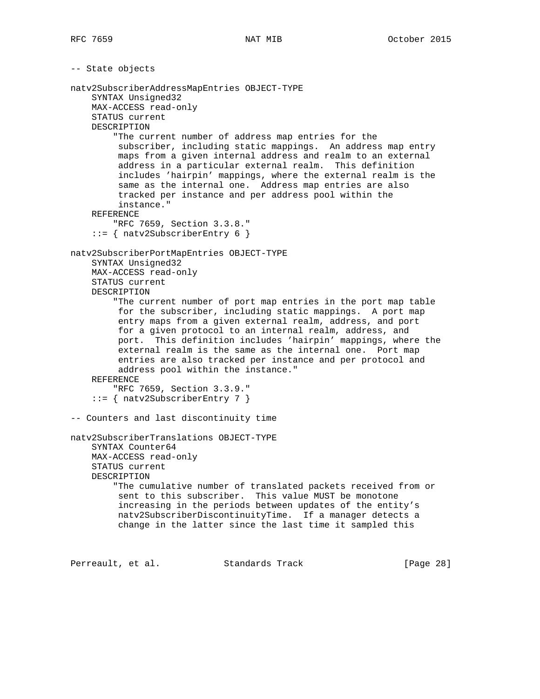```
-- State objects
natv2SubscriberAddressMapEntries OBJECT-TYPE
     SYNTAX Unsigned32
     MAX-ACCESS read-only
     STATUS current
     DESCRIPTION
         "The current number of address map entries for the
         subscriber, including static mappings. An address map entry
          maps from a given internal address and realm to an external
          address in a particular external realm. This definition
          includes 'hairpin' mappings, where the external realm is the
          same as the internal one. Address map entries are also
          tracked per instance and per address pool within the
          instance."
     REFERENCE
         "RFC 7659, Section 3.3.8."
     ::= { natv2SubscriberEntry 6 }
natv2SubscriberPortMapEntries OBJECT-TYPE
     SYNTAX Unsigned32
    MAX-ACCESS read-only
     STATUS current
     DESCRIPTION
         "The current number of port map entries in the port map table
          for the subscriber, including static mappings. A port map
          entry maps from a given external realm, address, and port
          for a given protocol to an internal realm, address, and
          port. This definition includes 'hairpin' mappings, where the
          external realm is the same as the internal one. Port map
          entries are also tracked per instance and per protocol and
          address pool within the instance."
     REFERENCE
         "RFC 7659, Section 3.3.9."
     ::= { natv2SubscriberEntry 7 }
-- Counters and last discontinuity time
natv2SubscriberTranslations OBJECT-TYPE
     SYNTAX Counter64
     MAX-ACCESS read-only
     STATUS current
     DESCRIPTION
         "The cumulative number of translated packets received from or
         sent to this subscriber. This value MUST be monotone
         increasing in the periods between updates of the entity's
         natv2SubscriberDiscontinuityTime. If a manager detects a
          change in the latter since the last time it sampled this
Perreault, et al. Standards Track [Page 28]
```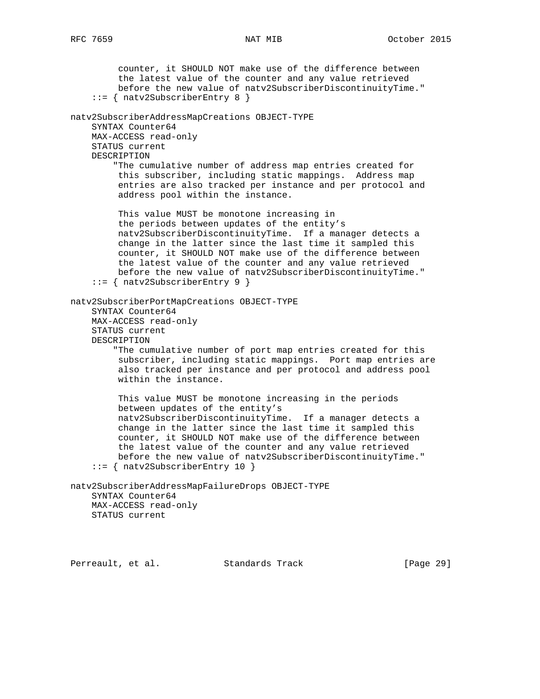counter, it SHOULD NOT make use of the difference between the latest value of the counter and any value retrieved before the new value of natv2SubscriberDiscontinuityTime." ::= { natv2SubscriberEntry 8 } natv2SubscriberAddressMapCreations OBJECT-TYPE SYNTAX Counter64 MAX-ACCESS read-only STATUS current DESCRIPTION "The cumulative number of address map entries created for this subscriber, including static mappings. Address map entries are also tracked per instance and per protocol and address pool within the instance. This value MUST be monotone increasing in the periods between updates of the entity's natv2SubscriberDiscontinuityTime. If a manager detects a change in the latter since the last time it sampled this counter, it SHOULD NOT make use of the difference between the latest value of the counter and any value retrieved before the new value of natv2SubscriberDiscontinuityTime." ::= { natv2SubscriberEntry 9 } natv2SubscriberPortMapCreations OBJECT-TYPE SYNTAX Counter64 MAX-ACCESS read-only STATUS current DESCRIPTION "The cumulative number of port map entries created for this subscriber, including static mappings. Port map entries are also tracked per instance and per protocol and address pool within the instance. This value MUST be monotone increasing in the periods between updates of the entity's natv2SubscriberDiscontinuityTime. If a manager detects a change in the latter since the last time it sampled this counter, it SHOULD NOT make use of the difference between the latest value of the counter and any value retrieved before the new value of natv2SubscriberDiscontinuityTime." ::= { natv2SubscriberEntry 10 } natv2SubscriberAddressMapFailureDrops OBJECT-TYPE SYNTAX Counter64 MAX-ACCESS read-only STATUS current

Perreault, et al. Standards Track [Page 29]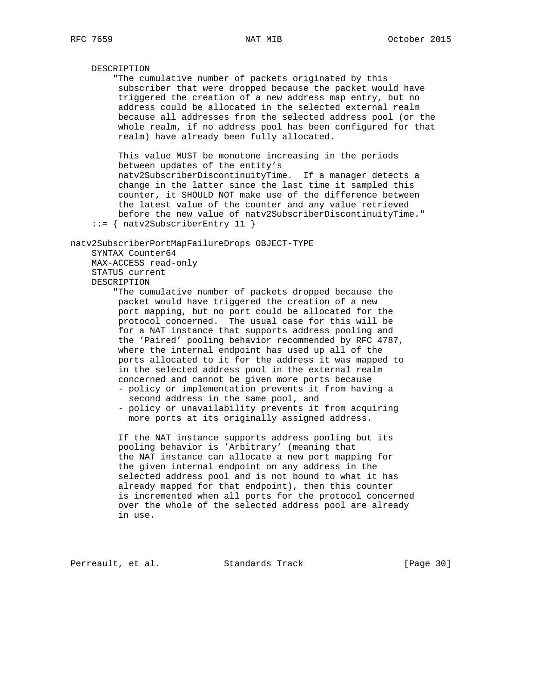DESCRIPTION "The cumulative number of packets originated by this subscriber that were dropped because the packet would have triggered the creation of a new address map entry, but no address could be allocated in the selected external realm because all addresses from the selected address pool (or the whole realm, if no address pool has been configured for that realm) have already been fully allocated. This value MUST be monotone increasing in the periods between updates of the entity's natv2SubscriberDiscontinuityTime. If a manager detects a change in the latter since the last time it sampled this counter, it SHOULD NOT make use of the difference between the latest value of the counter and any value retrieved before the new value of natv2SubscriberDiscontinuityTime." ::= { natv2SubscriberEntry 11 } natv2SubscriberPortMapFailureDrops OBJECT-TYPE SYNTAX Counter64 MAX-ACCESS read-only STATUS current DESCRIPTION "The cumulative number of packets dropped because the packet would have triggered the creation of a new port mapping, but no port could be allocated for the protocol concerned. The usual case for this will be for a NAT instance that supports address pooling and the 'Paired' pooling behavior recommended by RFC 4787, where the internal endpoint has used up all of the ports allocated to it for the address it was mapped to in the selected address pool in the external realm concerned and cannot be given more ports because - policy or implementation prevents it from having a second address in the same pool, and - policy or unavailability prevents it from acquiring more ports at its originally assigned address. If the NAT instance supports address pooling but its pooling behavior is 'Arbitrary' (meaning that the NAT instance can allocate a new port mapping for the given internal endpoint on any address in the selected address pool and is not bound to what it has already mapped for that endpoint), then this counter is incremented when all ports for the protocol concerned over the whole of the selected address pool are already in use.

Perreault, et al. Standards Track [Page 30]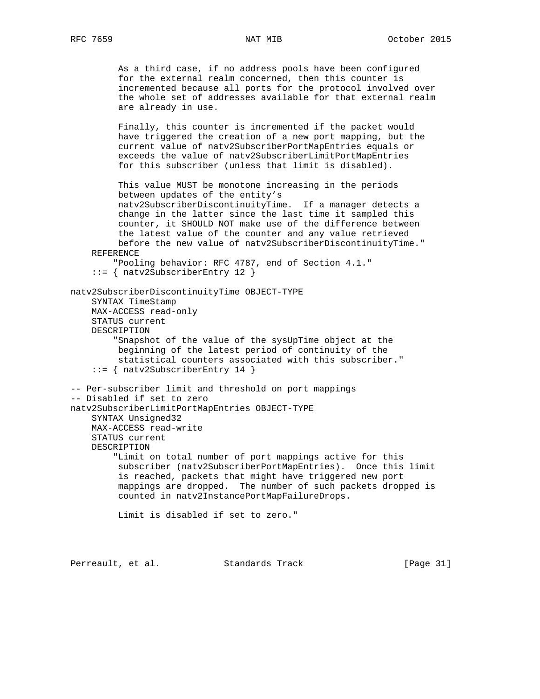As a third case, if no address pools have been configured for the external realm concerned, then this counter is incremented because all ports for the protocol involved over the whole set of addresses available for that external realm are already in use. Finally, this counter is incremented if the packet would have triggered the creation of a new port mapping, but the current value of natv2SubscriberPortMapEntries equals or exceeds the value of natv2SubscriberLimitPortMapEntries for this subscriber (unless that limit is disabled). This value MUST be monotone increasing in the periods between updates of the entity's natv2SubscriberDiscontinuityTime. If a manager detects a change in the latter since the last time it sampled this counter, it SHOULD NOT make use of the difference between the latest value of the counter and any value retrieved before the new value of natv2SubscriberDiscontinuityTime." REFERENCE "Pooling behavior: RFC 4787, end of Section 4.1." ::= { natv2SubscriberEntry 12 } natv2SubscriberDiscontinuityTime OBJECT-TYPE SYNTAX TimeStamp MAX-ACCESS read-only STATUS current DESCRIPTION "Snapshot of the value of the sysUpTime object at the beginning of the latest period of continuity of the statistical counters associated with this subscriber." ::= { natv2SubscriberEntry 14 } -- Per-subscriber limit and threshold on port mappings -- Disabled if set to zero natv2SubscriberLimitPortMapEntries OBJECT-TYPE SYNTAX Unsigned32 MAX-ACCESS read-write STATUS current DESCRIPTION "Limit on total number of port mappings active for this subscriber (natv2SubscriberPortMapEntries). Once this limit is reached, packets that might have triggered new port mappings are dropped. The number of such packets dropped is counted in natv2InstancePortMapFailureDrops. Limit is disabled if set to zero."

Perreault, et al. Standards Track [Page 31]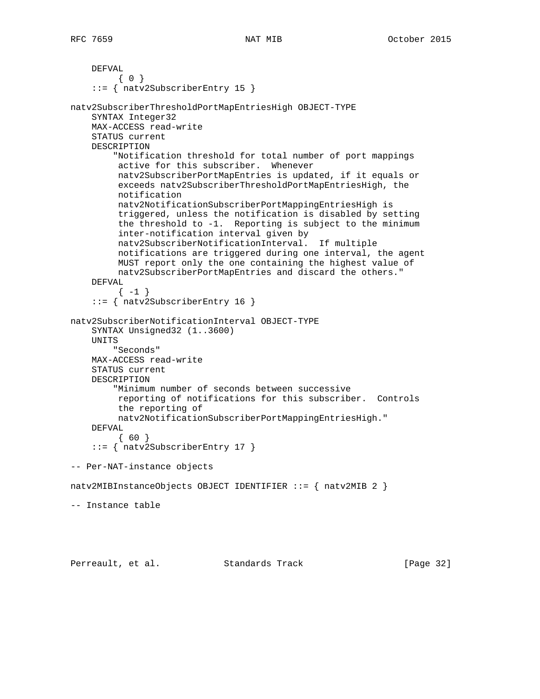```
 DEFVAL
         { 0 }
     ::= { natv2SubscriberEntry 15 }
natv2SubscriberThresholdPortMapEntriesHigh OBJECT-TYPE
     SYNTAX Integer32
     MAX-ACCESS read-write
     STATUS current
     DESCRIPTION
         "Notification threshold for total number of port mappings
         active for this subscriber. Whenever
         natv2SubscriberPortMapEntries is updated, if it equals or
          exceeds natv2SubscriberThresholdPortMapEntriesHigh, the
          notification
          natv2NotificationSubscriberPortMappingEntriesHigh is
          triggered, unless the notification is disabled by setting
          the threshold to -1. Reporting is subject to the minimum
          inter-notification interval given by
         natv2SubscriberNotificationInterval. If multiple
          notifications are triggered during one interval, the agent
          MUST report only the one containing the highest value of
         natv2SubscriberPortMapEntries and discard the others."
     DEFVAL
         \{-1\} ::= { natv2SubscriberEntry 16 }
natv2SubscriberNotificationInterval OBJECT-TYPE
     SYNTAX Unsigned32 (1..3600)
     UNITS
         "Seconds"
     MAX-ACCESS read-write
     STATUS current
     DESCRIPTION
         "Minimum number of seconds between successive
          reporting of notifications for this subscriber. Controls
         the reporting of
         natv2NotificationSubscriberPortMappingEntriesHigh."
     DEFVAL
          { 60 }
     ::= { natv2SubscriberEntry 17 }
-- Per-NAT-instance objects
natv2MIBInstanceObjects OBJECT IDENTIFIER ::= { natv2MIB 2 }
-- Instance table
Perreault, et al. Standards Track [Page 32]
```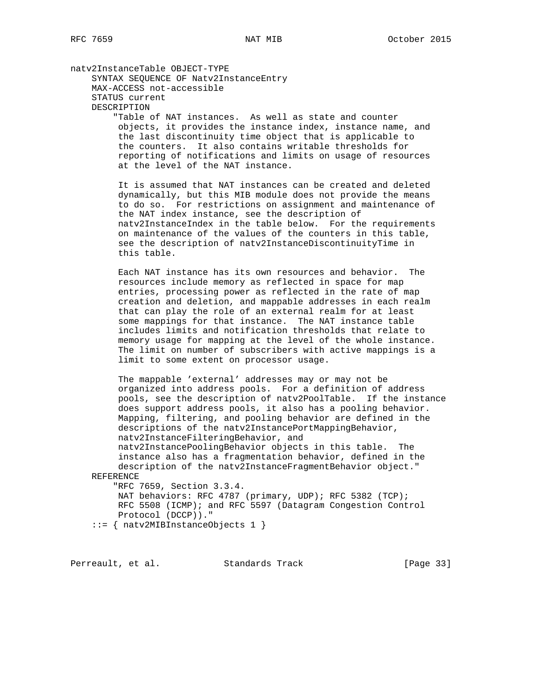natv2InstanceTable OBJECT-TYPE SYNTAX SEQUENCE OF Natv2InstanceEntry MAX-ACCESS not-accessible STATUS current DESCRIPTION

 "Table of NAT instances. As well as state and counter objects, it provides the instance index, instance name, and the last discontinuity time object that is applicable to the counters. It also contains writable thresholds for reporting of notifications and limits on usage of resources at the level of the NAT instance.

 It is assumed that NAT instances can be created and deleted dynamically, but this MIB module does not provide the means to do so. For restrictions on assignment and maintenance of the NAT index instance, see the description of natv2InstanceIndex in the table below. For the requirements on maintenance of the values of the counters in this table, see the description of natv2InstanceDiscontinuityTime in this table.

 Each NAT instance has its own resources and behavior. The resources include memory as reflected in space for map entries, processing power as reflected in the rate of map creation and deletion, and mappable addresses in each realm that can play the role of an external realm for at least some mappings for that instance. The NAT instance table includes limits and notification thresholds that relate to memory usage for mapping at the level of the whole instance. The limit on number of subscribers with active mappings is a limit to some extent on processor usage.

 The mappable 'external' addresses may or may not be organized into address pools. For a definition of address pools, see the description of natv2PoolTable. If the instance does support address pools, it also has a pooling behavior. Mapping, filtering, and pooling behavior are defined in the descriptions of the natv2InstancePortMappingBehavior, natv2InstanceFilteringBehavior, and

 natv2InstancePoolingBehavior objects in this table. The instance also has a fragmentation behavior, defined in the description of the natv2InstanceFragmentBehavior object."

REFERENCE

 "RFC 7659, Section 3.3.4. NAT behaviors: RFC 4787 (primary, UDP); RFC 5382 (TCP); RFC 5508 (ICMP); and RFC 5597 (Datagram Congestion Control Protocol (DCCP))."

::= { natv2MIBInstanceObjects 1 }

Perreault, et al. Standards Track [Page 33]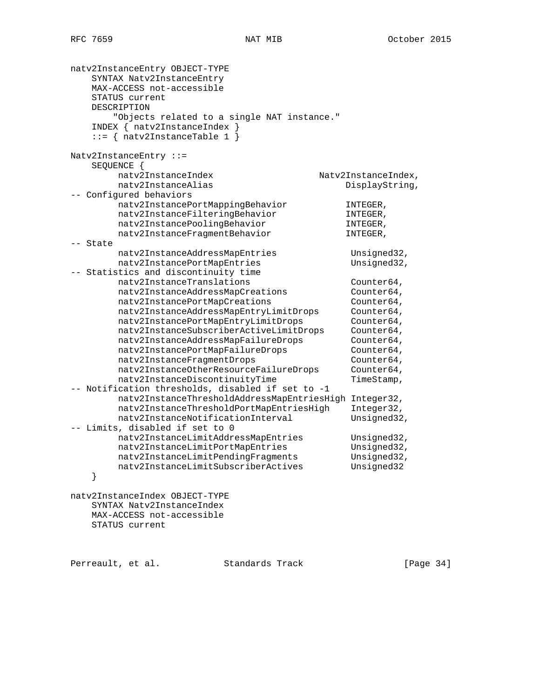| natv2InstanceEntry OBJECT-TYPE<br>SYNTAX Natv2InstanceEntry<br>MAX-ACCESS not-accessible<br>STATUS current<br>DESCRIPTION<br>"Objects related to a single NAT instance."<br>$INDEX \{ natv2InstanceIndex\}$<br>$::=$ { natv2InstanceTable 1 } |                     |
|-----------------------------------------------------------------------------------------------------------------------------------------------------------------------------------------------------------------------------------------------|---------------------|
| $Natv2InstanceEntry : :=$                                                                                                                                                                                                                     |                     |
| SEQUENCE {                                                                                                                                                                                                                                    |                     |
| natv2InstanceIndex                                                                                                                                                                                                                            | Natv2InstanceIndex, |
| natv2InstanceAlias                                                                                                                                                                                                                            | DisplayString,      |
| -- Configured behaviors                                                                                                                                                                                                                       |                     |
| natv2InstancePortMappingBehavior                                                                                                                                                                                                              | INTEGER,            |
| natv2InstanceFilteringBehavior                                                                                                                                                                                                                | INTEGER,            |
| natv2InstancePoolingBehavior                                                                                                                                                                                                                  | INTEGER,            |
| natv2InstanceFragmentBehavior                                                                                                                                                                                                                 | INTEGER,            |
| -- State                                                                                                                                                                                                                                      |                     |
| natv2InstanceAddressMapEntries                                                                                                                                                                                                                | Unsigned32,         |
| natv2InstancePortMapEntries                                                                                                                                                                                                                   | Unsigned32,         |
| -- Statistics and discontinuity time                                                                                                                                                                                                          |                     |
| natv2InstanceTranslations                                                                                                                                                                                                                     | Counter64,          |
| natv2InstanceAddressMapCreations                                                                                                                                                                                                              | Counter64,          |
| natv2InstancePortMapCreations                                                                                                                                                                                                                 | Counter64,          |
| natv2InstanceAddressMapEntryLimitDrops                                                                                                                                                                                                        | Counter64,          |
| natv2InstancePortMapEntryLimitDrops                                                                                                                                                                                                           | Counter64,          |
| natv2InstanceSubscriberActiveLimitDrops                                                                                                                                                                                                       | Counter64,          |
| natv2InstanceAddressMapFailureDrops                                                                                                                                                                                                           | Counter64,          |
| natv2InstancePortMapFailureDrops                                                                                                                                                                                                              | Counter64,          |
| natv2InstanceFragmentDrops                                                                                                                                                                                                                    | Counter64,          |
| natv2InstanceOtherResourceFailureDrops                                                                                                                                                                                                        | Counter64,          |
| natv2InstanceDiscontinuityTime                                                                                                                                                                                                                | TimeStamp,          |
| -- Notification thresholds, disabled if set to -1                                                                                                                                                                                             |                     |
| natv2InstanceThresholdAddressMapEntriesHigh Integer32,                                                                                                                                                                                        |                     |
| natv2InstanceThresholdPortMapEntriesHigh                                                                                                                                                                                                      | Integer32,          |
| natv2InstanceNotificationInterval                                                                                                                                                                                                             | Unsigned32,         |
| -- Limits, disabled if set to 0                                                                                                                                                                                                               |                     |
| natv2InstanceLimitAddressMapEntries                                                                                                                                                                                                           | Unsigned32,         |
| natv2InstanceLimitPortMapEntries                                                                                                                                                                                                              | Unsigned32,         |
| natv2InstanceLimitPendingFragments                                                                                                                                                                                                            | Unsigned32,         |
| natv2InstanceLimitSubscriberActives                                                                                                                                                                                                           | Unsigned32          |
|                                                                                                                                                                                                                                               |                     |
| natv2InstanceIndex OBJECT-TYPE<br>SYNTAX Natv2InstanceIndex                                                                                                                                                                                   |                     |
|                                                                                                                                                                                                                                               |                     |

 MAX-ACCESS not-accessible STATUS current

Perreault, et al. Standards Track [Page 34]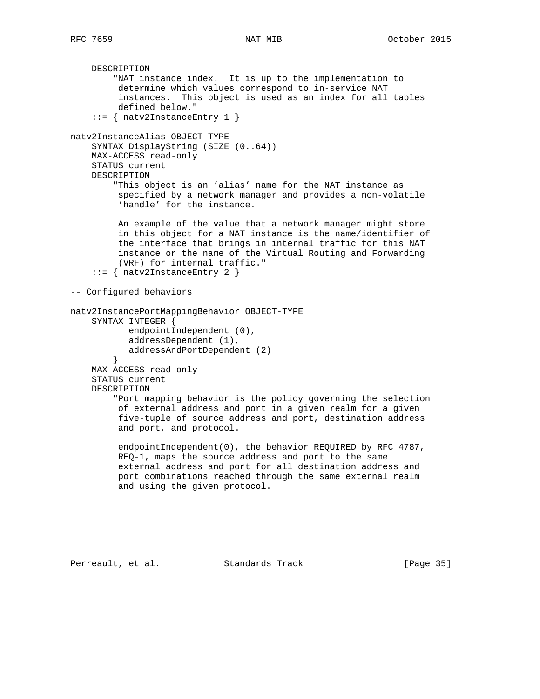```
 DESCRIPTION
         "NAT instance index. It is up to the implementation to
          determine which values correspond to in-service NAT
          instances. This object is used as an index for all tables
          defined below."
     ::= { natv2InstanceEntry 1 }
natv2InstanceAlias OBJECT-TYPE
     SYNTAX DisplayString (SIZE (0..64))
    MAX-ACCESS read-only
     STATUS current
     DESCRIPTION
         "This object is an 'alias' name for the NAT instance as
          specified by a network manager and provides a non-volatile
          'handle' for the instance.
          An example of the value that a network manager might store
          in this object for a NAT instance is the name/identifier of
          the interface that brings in internal traffic for this NAT
          instance or the name of the Virtual Routing and Forwarding
          (VRF) for internal traffic."
     ::= { natv2InstanceEntry 2 }
-- Configured behaviors
natv2InstancePortMappingBehavior OBJECT-TYPE
     SYNTAX INTEGER {
           endpointIndependent (0),
            addressDependent (1),
            addressAndPortDependent (2)
 }
     MAX-ACCESS read-only
     STATUS current
     DESCRIPTION
         "Port mapping behavior is the policy governing the selection
          of external address and port in a given realm for a given
          five-tuple of source address and port, destination address
          and port, and protocol.
          endpointIndependent(0), the behavior REQUIRED by RFC 4787,
          REQ-1, maps the source address and port to the same
          external address and port for all destination address and
          port combinations reached through the same external realm
          and using the given protocol.
```
Perreault, et al. Standards Track [Page 35]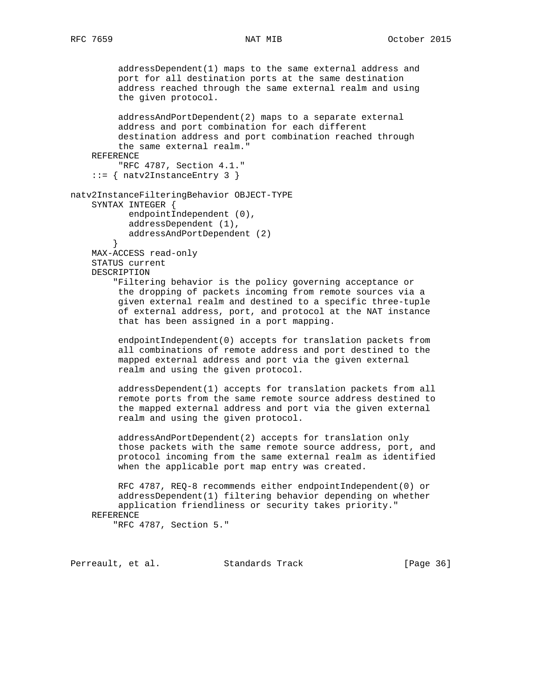addressDependent(1) maps to the same external address and port for all destination ports at the same destination address reached through the same external realm and using the given protocol. addressAndPortDependent(2) maps to a separate external address and port combination for each different destination address and port combination reached through the same external realm." REFERENCE "RFC 4787, Section 4.1." ::= { natv2InstanceEntry 3 } natv2InstanceFilteringBehavior OBJECT-TYPE SYNTAX INTEGER { endpointIndependent (0), addressDependent (1), addressAndPortDependent (2) } MAX-ACCESS read-only STATUS current DESCRIPTION "Filtering behavior is the policy governing acceptance or the dropping of packets incoming from remote sources via a given external realm and destined to a specific three-tuple of external address, port, and protocol at the NAT instance that has been assigned in a port mapping. endpointIndependent(0) accepts for translation packets from all combinations of remote address and port destined to the mapped external address and port via the given external realm and using the given protocol. addressDependent(1) accepts for translation packets from all remote ports from the same remote source address destined to the mapped external address and port via the given external realm and using the given protocol. addressAndPortDependent(2) accepts for translation only those packets with the same remote source address, port, and protocol incoming from the same external realm as identified when the applicable port map entry was created. RFC 4787, REQ-8 recommends either endpointIndependent(0) or addressDependent(1) filtering behavior depending on whether application friendliness or security takes priority." REFERENCE "RFC 4787, Section 5."

Perreault, et al. Standards Track [Page 36]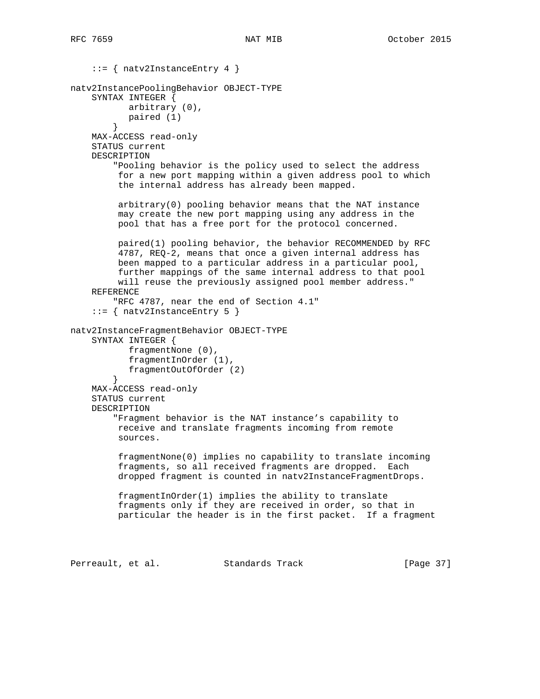```
 ::= { natv2InstanceEntry 4 }
natv2InstancePoolingBehavior OBJECT-TYPE
     SYNTAX INTEGER {
           arbitrary (0),
           paired (1)
 }
    MAX-ACCESS read-only
     STATUS current
     DESCRIPTION
         "Pooling behavior is the policy used to select the address
         for a new port mapping within a given address pool to which
          the internal address has already been mapped.
          arbitrary(0) pooling behavior means that the NAT instance
          may create the new port mapping using any address in the
          pool that has a free port for the protocol concerned.
         paired(1) pooling behavior, the behavior RECOMMENDED by RFC
          4787, REQ-2, means that once a given internal address has
         been mapped to a particular address in a particular pool,
         further mappings of the same internal address to that pool
         will reuse the previously assigned pool member address."
     REFERENCE
         "RFC 4787, near the end of Section 4.1"
    ::= { natv2InstanceEntry 5 }
natv2InstanceFragmentBehavior OBJECT-TYPE
     SYNTAX INTEGER {
           fragmentNone (0),
           fragmentInOrder (1),
        fragmentOutOfOrder (2)<br>}
 }
     MAX-ACCESS read-only
     STATUS current
     DESCRIPTION
         "Fragment behavior is the NAT instance's capability to
         receive and translate fragments incoming from remote
          sources.
          fragmentNone(0) implies no capability to translate incoming
          fragments, so all received fragments are dropped. Each
          dropped fragment is counted in natv2InstanceFragmentDrops.
          fragmentInOrder(1) implies the ability to translate
          fragments only if they are received in order, so that in
          particular the header is in the first packet. If a fragment
Perreault, et al. Standards Track [Page 37]
```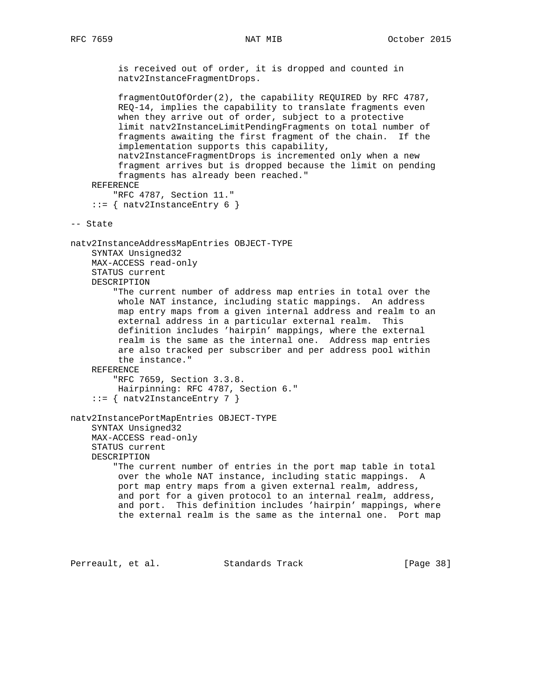is received out of order, it is dropped and counted in natv2InstanceFragmentDrops.

 fragmentOutOfOrder(2), the capability REQUIRED by RFC 4787, REQ-14, implies the capability to translate fragments even when they arrive out of order, subject to a protective limit natv2InstanceLimitPendingFragments on total number of fragments awaiting the first fragment of the chain. If the implementation supports this capability, natv2InstanceFragmentDrops is incremented only when a new fragment arrives but is dropped because the limit on pending fragments has already been reached." REFERENCE "RFC 4787, Section 11."  $::=$  { natv2InstanceEntry 6 } -- State natv2InstanceAddressMapEntries OBJECT-TYPE SYNTAX Unsigned32 MAX-ACCESS read-only STATUS current DESCRIPTION "The current number of address map entries in total over the whole NAT instance, including static mappings. An address map entry maps from a given internal address and realm to an external address in a particular external realm. This definition includes 'hairpin' mappings, where the external realm is the same as the internal one. Address map entries are also tracked per subscriber and per address pool within the instance." REFERENCE "RFC 7659, Section 3.3.8. Hairpinning: RFC 4787, Section 6."  $::=$  { natv2InstanceEntry 7 } natv2InstancePortMapEntries OBJECT-TYPE SYNTAX Unsigned32 MAX-ACCESS read-only STATUS current DESCRIPTION "The current number of entries in the port map table in total over the whole NAT instance, including static mappings. A port map entry maps from a given external realm, address, and port for a given protocol to an internal realm, address, and port. This definition includes 'hairpin' mappings, where the external realm is the same as the internal one. Port map

Perreault, et al. Standards Track [Page 38]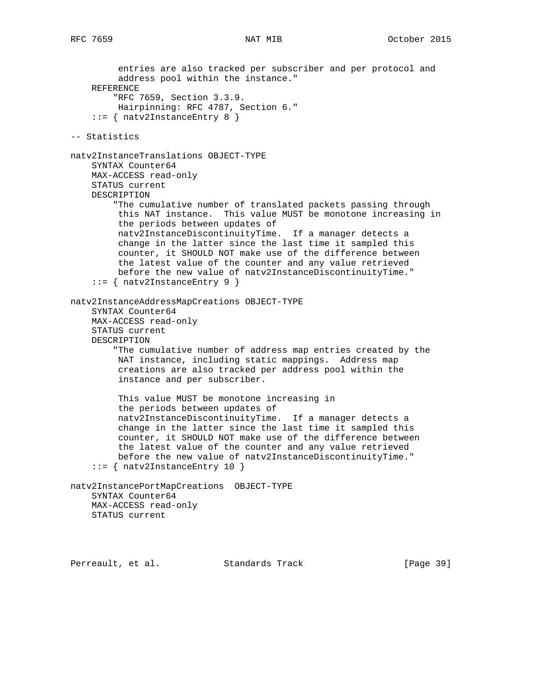entries are also tracked per subscriber and per protocol and address pool within the instance." REFERENCE "RFC 7659, Section 3.3.9. Hairpinning: RFC 4787, Section 6." ::= { natv2InstanceEntry 8 } -- Statistics natv2InstanceTranslations OBJECT-TYPE SYNTAX Counter64 MAX-ACCESS read-only STATUS current DESCRIPTION "The cumulative number of translated packets passing through this NAT instance. This value MUST be monotone increasing in the periods between updates of natv2InstanceDiscontinuityTime. If a manager detects a change in the latter since the last time it sampled this counter, it SHOULD NOT make use of the difference between the latest value of the counter and any value retrieved before the new value of natv2InstanceDiscontinuityTime." ::= { natv2InstanceEntry 9 } natv2InstanceAddressMapCreations OBJECT-TYPE SYNTAX Counter64 MAX-ACCESS read-only STATUS current DESCRIPTION "The cumulative number of address map entries created by the NAT instance, including static mappings. Address map creations are also tracked per address pool within the instance and per subscriber. This value MUST be monotone increasing in the periods between updates of natv2InstanceDiscontinuityTime. If a manager detects a change in the latter since the last time it sampled this counter, it SHOULD NOT make use of the difference between the latest value of the counter and any value retrieved before the new value of natv2InstanceDiscontinuityTime." ::= { natv2InstanceEntry 10 } natv2InstancePortMapCreations OBJECT-TYPE SYNTAX Counter64 MAX-ACCESS read-only STATUS current

Perreault, et al. Standards Track [Page 39]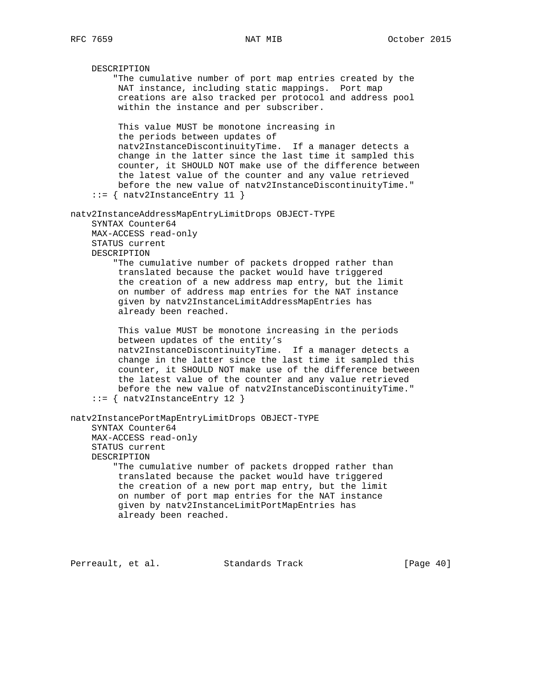DESCRIPTION "The cumulative number of port map entries created by the NAT instance, including static mappings. Port map creations are also tracked per protocol and address pool within the instance and per subscriber. This value MUST be monotone increasing in the periods between updates of natv2InstanceDiscontinuityTime. If a manager detects a change in the latter since the last time it sampled this counter, it SHOULD NOT make use of the difference between the latest value of the counter and any value retrieved before the new value of natv2InstanceDiscontinuityTime." ::= { natv2InstanceEntry 11 } natv2InstanceAddressMapEntryLimitDrops OBJECT-TYPE SYNTAX Counter64 MAX-ACCESS read-only STATUS current DESCRIPTION "The cumulative number of packets dropped rather than translated because the packet would have triggered the creation of a new address map entry, but the limit on number of address map entries for the NAT instance given by natv2InstanceLimitAddressMapEntries has already been reached. This value MUST be monotone increasing in the periods between updates of the entity's natv2InstanceDiscontinuityTime. If a manager detects a change in the latter since the last time it sampled this counter, it SHOULD NOT make use of the difference between the latest value of the counter and any value retrieved before the new value of natv2InstanceDiscontinuityTime." ::= { natv2InstanceEntry 12 } natv2InstancePortMapEntryLimitDrops OBJECT-TYPE SYNTAX Counter64 MAX-ACCESS read-only STATUS current DESCRIPTION "The cumulative number of packets dropped rather than translated because the packet would have triggered the creation of a new port map entry, but the limit on number of port map entries for the NAT instance given by natv2InstanceLimitPortMapEntries has already been reached.

Perreault, et al. Standards Track [Page 40]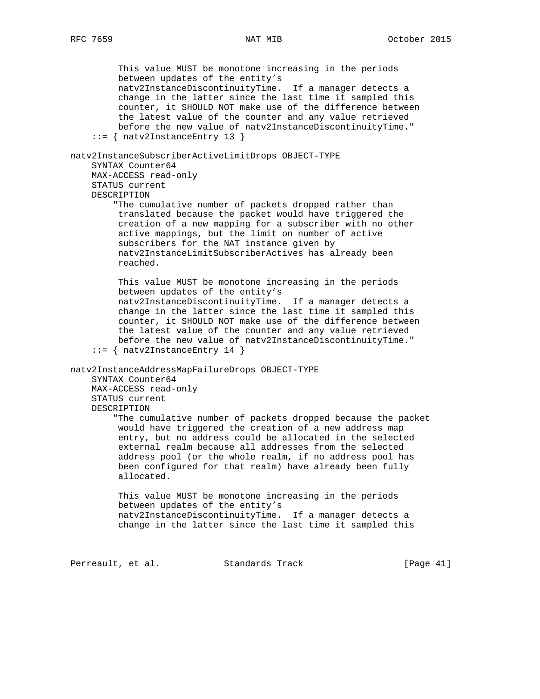This value MUST be monotone increasing in the periods between updates of the entity's natv2InstanceDiscontinuityTime. If a manager detects a change in the latter since the last time it sampled this counter, it SHOULD NOT make use of the difference between the latest value of the counter and any value retrieved before the new value of natv2InstanceDiscontinuityTime." ::= { natv2InstanceEntry 13 } natv2InstanceSubscriberActiveLimitDrops OBJECT-TYPE SYNTAX Counter64 MAX-ACCESS read-only STATUS current DESCRIPTION "The cumulative number of packets dropped rather than translated because the packet would have triggered the creation of a new mapping for a subscriber with no other active mappings, but the limit on number of active subscribers for the NAT instance given by natv2InstanceLimitSubscriberActives has already been reached. This value MUST be monotone increasing in the periods between updates of the entity's natv2InstanceDiscontinuityTime. If a manager detects a change in the latter since the last time it sampled this counter, it SHOULD NOT make use of the difference between the latest value of the counter and any value retrieved before the new value of natv2InstanceDiscontinuityTime." ::= { natv2InstanceEntry 14 } natv2InstanceAddressMapFailureDrops OBJECT-TYPE SYNTAX Counter64 MAX-ACCESS read-only STATUS current DESCRIPTION "The cumulative number of packets dropped because the packet would have triggered the creation of a new address map entry, but no address could be allocated in the selected external realm because all addresses from the selected address pool (or the whole realm, if no address pool has been configured for that realm) have already been fully allocated. This value MUST be monotone increasing in the periods between updates of the entity's natv2InstanceDiscontinuityTime. If a manager detects a change in the latter since the last time it sampled this

Perreault, et al. Standards Track [Page 41]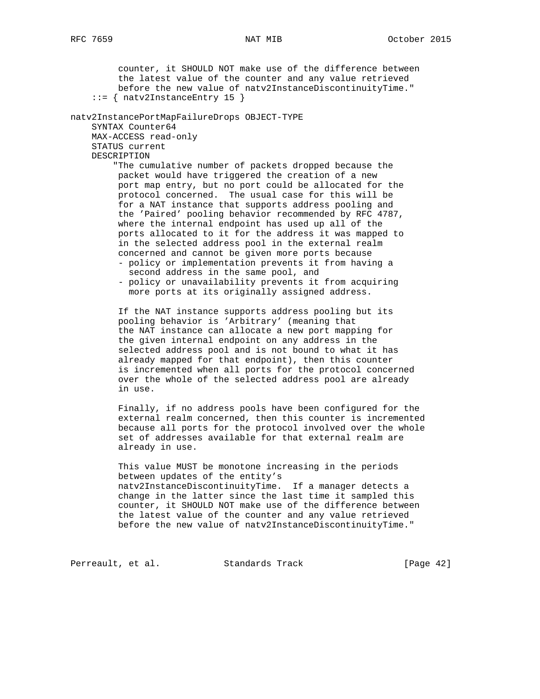counter, it SHOULD NOT make use of the difference between the latest value of the counter and any value retrieved before the new value of natv2InstanceDiscontinuityTime." ::= { natv2InstanceEntry 15 } natv2InstancePortMapFailureDrops OBJECT-TYPE SYNTAX Counter64 MAX-ACCESS read-only STATUS current DESCRIPTION "The cumulative number of packets dropped because the packet would have triggered the creation of a new port map entry, but no port could be allocated for the protocol concerned. The usual case for this will be for a NAT instance that supports address pooling and the 'Paired' pooling behavior recommended by RFC 4787, where the internal endpoint has used up all of the ports allocated to it for the address it was mapped to in the selected address pool in the external realm concerned and cannot be given more ports because - policy or implementation prevents it from having a second address in the same pool, and - policy or unavailability prevents it from acquiring more ports at its originally assigned address. If the NAT instance supports address pooling but its pooling behavior is 'Arbitrary' (meaning that the NAT instance can allocate a new port mapping for the given internal endpoint on any address in the selected address pool and is not bound to what it has already mapped for that endpoint), then this counter is incremented when all ports for the protocol concerned over the whole of the selected address pool are already in use. Finally, if no address pools have been configured for the external realm concerned, then this counter is incremented because all ports for the protocol involved over the whole set of addresses available for that external realm are already in use. This value MUST be monotone increasing in the periods between updates of the entity's natv2InstanceDiscontinuityTime. If a manager detects a change in the latter since the last time it sampled this counter, it SHOULD NOT make use of the difference between the latest value of the counter and any value retrieved before the new value of natv2InstanceDiscontinuityTime." Perreault, et al. Standards Track [Page 42]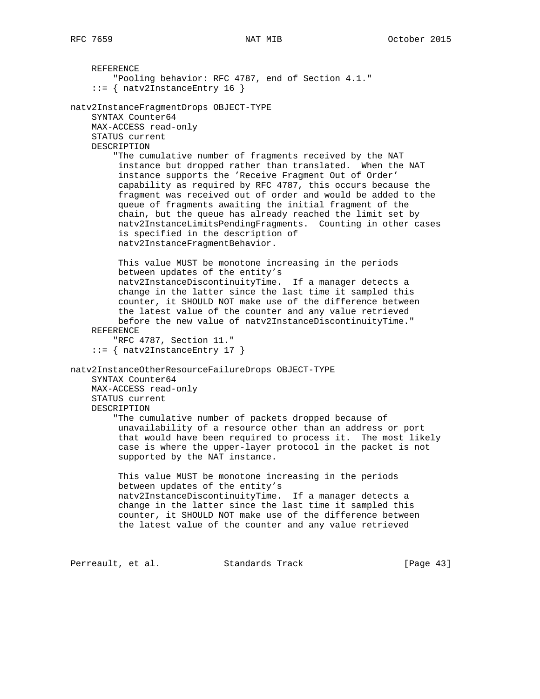REFERENCE "Pooling behavior: RFC 4787, end of Section 4.1." ::= { natv2InstanceEntry 16 } natv2InstanceFragmentDrops OBJECT-TYPE SYNTAX Counter64 MAX-ACCESS read-only STATUS current DESCRIPTION "The cumulative number of fragments received by the NAT instance but dropped rather than translated. When the NAT instance supports the 'Receive Fragment Out of Order' capability as required by RFC 4787, this occurs because the fragment was received out of order and would be added to the queue of fragments awaiting the initial fragment of the chain, but the queue has already reached the limit set by natv2InstanceLimitsPendingFragments. Counting in other cases is specified in the description of natv2InstanceFragmentBehavior. This value MUST be monotone increasing in the periods between updates of the entity's natv2InstanceDiscontinuityTime. If a manager detects a change in the latter since the last time it sampled this counter, it SHOULD NOT make use of the difference between the latest value of the counter and any value retrieved before the new value of natv2InstanceDiscontinuityTime." REFERENCE "RFC 4787, Section 11." ::= { natv2InstanceEntry 17 } natv2InstanceOtherResourceFailureDrops OBJECT-TYPE SYNTAX Counter64 MAX-ACCESS read-only STATUS current DESCRIPTION "The cumulative number of packets dropped because of unavailability of a resource other than an address or port that would have been required to process it. The most likely case is where the upper-layer protocol in the packet is not supported by the NAT instance. This value MUST be monotone increasing in the periods between updates of the entity's natv2InstanceDiscontinuityTime. If a manager detects a change in the latter since the last time it sampled this counter, it SHOULD NOT make use of the difference between the latest value of the counter and any value retrieved

Perreault, et al. Standards Track [Page 43]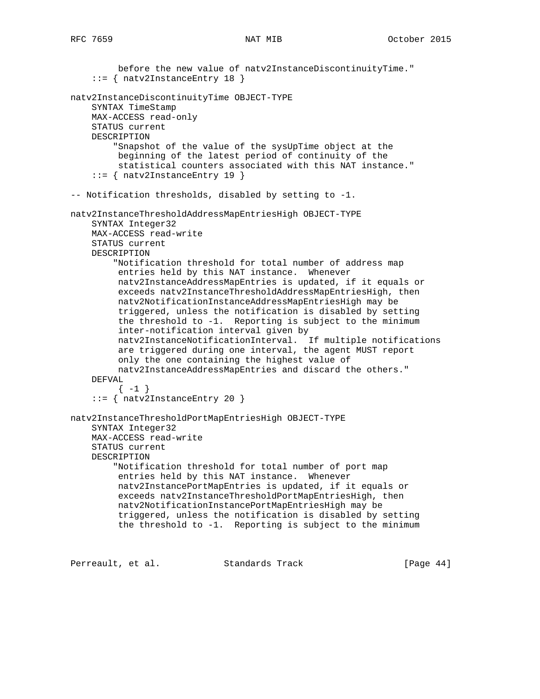before the new value of natv2InstanceDiscontinuityTime." ::= { natv2InstanceEntry 18 } natv2InstanceDiscontinuityTime OBJECT-TYPE SYNTAX TimeStamp MAX-ACCESS read-only STATUS current DESCRIPTION "Snapshot of the value of the sysUpTime object at the beginning of the latest period of continuity of the statistical counters associated with this NAT instance." ::= { natv2InstanceEntry 19 } -- Notification thresholds, disabled by setting to -1. natv2InstanceThresholdAddressMapEntriesHigh OBJECT-TYPE SYNTAX Integer32 MAX-ACCESS read-write STATUS current DESCRIPTION "Notification threshold for total number of address map entries held by this NAT instance. Whenever natv2InstanceAddressMapEntries is updated, if it equals or exceeds natv2InstanceThresholdAddressMapEntriesHigh, then natv2NotificationInstanceAddressMapEntriesHigh may be triggered, unless the notification is disabled by setting the threshold to -1. Reporting is subject to the minimum inter-notification interval given by natv2InstanceNotificationInterval. If multiple notifications are triggered during one interval, the agent MUST report only the one containing the highest value of natv2InstanceAddressMapEntries and discard the others." DEFVAL  $\{-1\}$  ::= { natv2InstanceEntry 20 } natv2InstanceThresholdPortMapEntriesHigh OBJECT-TYPE SYNTAX Integer32 MAX-ACCESS read-write STATUS current DESCRIPTION "Notification threshold for total number of port map entries held by this NAT instance. Whenever natv2InstancePortMapEntries is updated, if it equals or exceeds natv2InstanceThresholdPortMapEntriesHigh, then natv2NotificationInstancePortMapEntriesHigh may be triggered, unless the notification is disabled by setting the threshold to -1. Reporting is subject to the minimum

Perreault, et al. Standards Track [Page 44]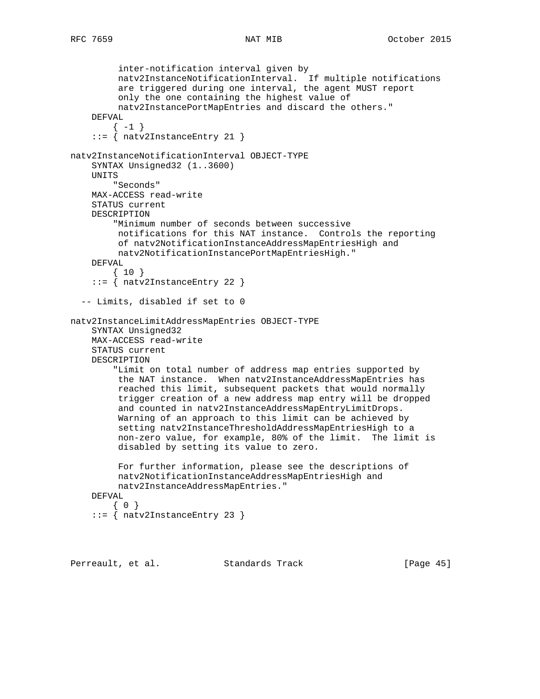```
 inter-notification interval given by
 natv2InstanceNotificationInterval. If multiple notifications
 are triggered during one interval, the agent MUST report
          only the one containing the highest value of
         natv2InstancePortMapEntries and discard the others."
     DEFVAL
       \{-1\} ::= { natv2InstanceEntry 21 }
natv2InstanceNotificationInterval OBJECT-TYPE
     SYNTAX Unsigned32 (1..3600)
     UNITS
         "Seconds"
     MAX-ACCESS read-write
     STATUS current
     DESCRIPTION
         "Minimum number of seconds between successive
         notifications for this NAT instance. Controls the reporting
         of natv2NotificationInstanceAddressMapEntriesHigh and
         natv2NotificationInstancePortMapEntriesHigh."
    DEFVAL
         { 10 }
     ::= { natv2InstanceEntry 22 }
   -- Limits, disabled if set to 0
natv2InstanceLimitAddressMapEntries OBJECT-TYPE
     SYNTAX Unsigned32
     MAX-ACCESS read-write
     STATUS current
     DESCRIPTION
         "Limit on total number of address map entries supported by
         the NAT instance. When natv2InstanceAddressMapEntries has
         reached this limit, subsequent packets that would normally
         trigger creation of a new address map entry will be dropped
          and counted in natv2InstanceAddressMapEntryLimitDrops.
          Warning of an approach to this limit can be achieved by
          setting natv2InstanceThresholdAddressMapEntriesHigh to a
          non-zero value, for example, 80% of the limit. The limit is
          disabled by setting its value to zero.
          For further information, please see the descriptions of
         natv2NotificationInstanceAddressMapEntriesHigh and
         natv2InstanceAddressMapEntries."
     DEFVAL
       { 0 }
     ::= { natv2InstanceEntry 23 }
Perreault, et al. Standards Track [Page 45]
```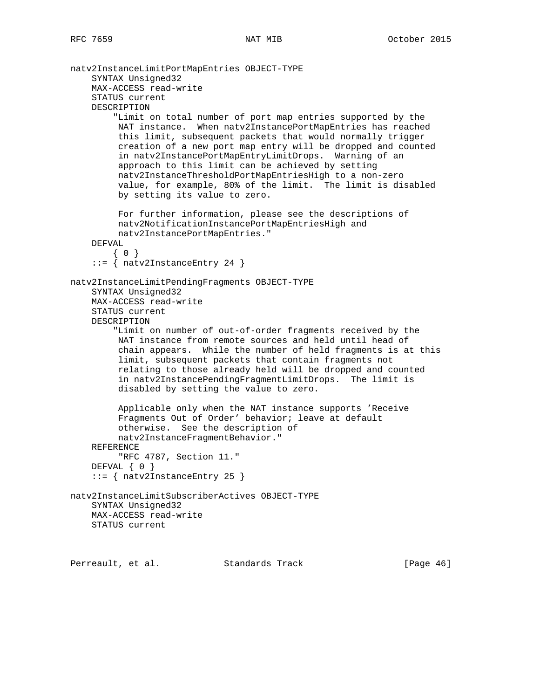```
natv2InstanceLimitPortMapEntries OBJECT-TYPE
     SYNTAX Unsigned32
     MAX-ACCESS read-write
     STATUS current
     DESCRIPTION
         "Limit on total number of port map entries supported by the
          NAT instance. When natv2InstancePortMapEntries has reached
          this limit, subsequent packets that would normally trigger
          creation of a new port map entry will be dropped and counted
          in natv2InstancePortMapEntryLimitDrops. Warning of an
          approach to this limit can be achieved by setting
          natv2InstanceThresholdPortMapEntriesHigh to a non-zero
          value, for example, 80% of the limit. The limit is disabled
          by setting its value to zero.
          For further information, please see the descriptions of
          natv2NotificationInstancePortMapEntriesHigh and
          natv2InstancePortMapEntries."
     DEFVAL
       { 0 }
     ::= { natv2InstanceEntry 24 }
natv2InstanceLimitPendingFragments OBJECT-TYPE
     SYNTAX Unsigned32
     MAX-ACCESS read-write
     STATUS current
     DESCRIPTION
         "Limit on number of out-of-order fragments received by the
          NAT instance from remote sources and held until head of
          chain appears. While the number of held fragments is at this
          limit, subsequent packets that contain fragments not
          relating to those already held will be dropped and counted
          in natv2InstancePendingFragmentLimitDrops. The limit is
          disabled by setting the value to zero.
          Applicable only when the NAT instance supports 'Receive
          Fragments Out of Order' behavior; leave at default
          otherwise. See the description of
          natv2InstanceFragmentBehavior."
     REFERENCE
          "RFC 4787, Section 11."
     DEFVAL { 0 }
     ::= { natv2InstanceEntry 25 }
natv2InstanceLimitSubscriberActives OBJECT-TYPE
     SYNTAX Unsigned32
     MAX-ACCESS read-write
     STATUS current
```
Perreault, et al. Standards Track [Page 46]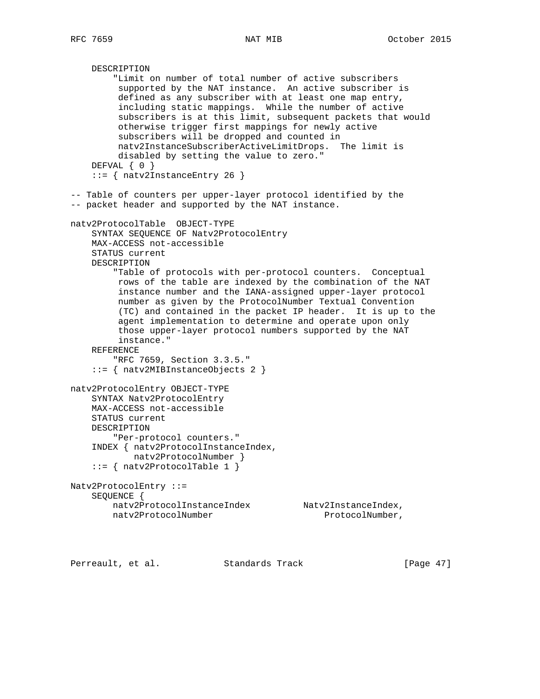```
 DESCRIPTION
         "Limit on number of total number of active subscribers
          supported by the NAT instance. An active subscriber is
         defined as any subscriber with at least one map entry,
          including static mappings. While the number of active
         subscribers is at this limit, subsequent packets that would
          otherwise trigger first mappings for newly active
          subscribers will be dropped and counted in
         natv2InstanceSubscriberActiveLimitDrops. The limit is
         disabled by setting the value to zero."
    DEFVAL \{ 0 \} ::= { natv2InstanceEntry 26 }
-- Table of counters per upper-layer protocol identified by the
-- packet header and supported by the NAT instance.
natv2ProtocolTable OBJECT-TYPE
     SYNTAX SEQUENCE OF Natv2ProtocolEntry
    MAX-ACCESS not-accessible
     STATUS current
    DESCRIPTION
         "Table of protocols with per-protocol counters. Conceptual
         rows of the table are indexed by the combination of the NAT
         instance number and the IANA-assigned upper-layer protocol
         number as given by the ProtocolNumber Textual Convention
          (TC) and contained in the packet IP header. It is up to the
          agent implementation to determine and operate upon only
         those upper-layer protocol numbers supported by the NAT
         instance."
     REFERENCE
         "RFC 7659, Section 3.3.5."
     ::= { natv2MIBInstanceObjects 2 }
natv2ProtocolEntry OBJECT-TYPE
     SYNTAX Natv2ProtocolEntry
    MAX-ACCESS not-accessible
     STATUS current
     DESCRIPTION
        "Per-protocol counters."
     INDEX { natv2ProtocolInstanceIndex,
            natv2ProtocolNumber }
     ::= { natv2ProtocolTable 1 }
Natv2ProtocolEntry ::=
     SEQUENCE {
       natv2ProtocolInstanceIndex Natv2InstanceIndex,
       natv2ProtocolNumber ProtocolNumber,
```
Perreault, et al. Standards Track [Page 47]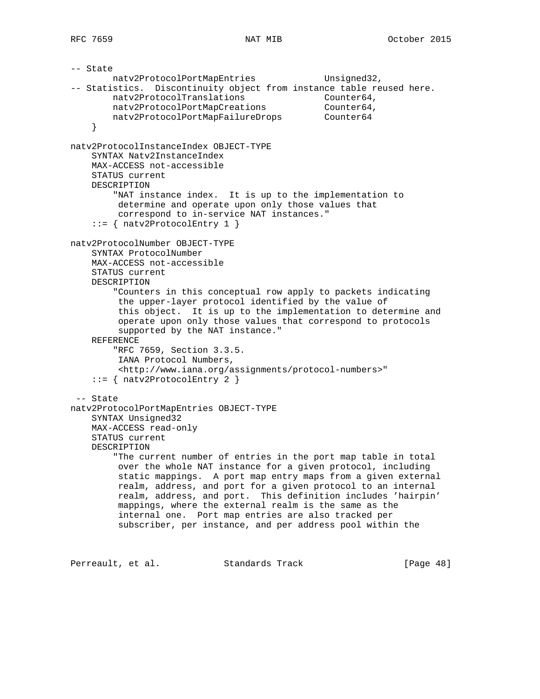-- State natv2ProtocolPortMapEntries Unsigned32, -- Statistics. Discontinuity object from instance table reused here. natv2ProtocolTranslations matv2ProtocolTranslations natv2ProtocolPortMapCreations Counter64, natv2ProtocolPortMapFailureDrops Counter64 } natv2ProtocolInstanceIndex OBJECT-TYPE SYNTAX Natv2InstanceIndex MAX-ACCESS not-accessible STATUS current DESCRIPTION "NAT instance index. It is up to the implementation to determine and operate upon only those values that correspond to in-service NAT instances."  $::=$  { natv2ProtocolEntry 1 } natv2ProtocolNumber OBJECT-TYPE SYNTAX ProtocolNumber MAX-ACCESS not-accessible STATUS current DESCRIPTION "Counters in this conceptual row apply to packets indicating the upper-layer protocol identified by the value of this object. It is up to the implementation to determine and operate upon only those values that correspond to protocols supported by the NAT instance." REFERENCE "RFC 7659, Section 3.3.5. IANA Protocol Numbers, <http://www.iana.org/assignments/protocol-numbers>" ::= { natv2ProtocolEntry 2 } -- State natv2ProtocolPortMapEntries OBJECT-TYPE SYNTAX Unsigned32 MAX-ACCESS read-only STATUS current DESCRIPTION "The current number of entries in the port map table in total over the whole NAT instance for a given protocol, including static mappings. A port map entry maps from a given external realm, address, and port for a given protocol to an internal realm, address, and port. This definition includes 'hairpin' mappings, where the external realm is the same as the internal one. Port map entries are also tracked per subscriber, per instance, and per address pool within the Perreault, et al. Standards Track [Page 48]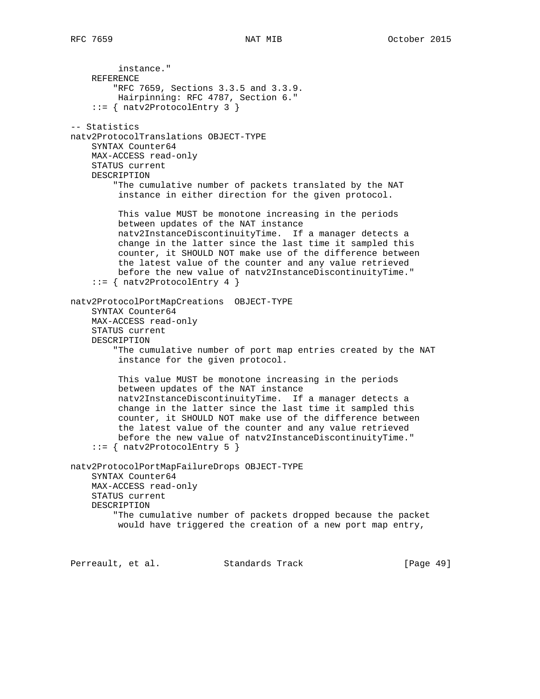instance." REFERENCE "RFC 7659, Sections 3.3.5 and 3.3.9. Hairpinning: RFC 4787, Section 6."  $::=$  { natv2ProtocolEntry 3 } -- Statistics natv2ProtocolTranslations OBJECT-TYPE SYNTAX Counter64 MAX-ACCESS read-only STATUS current DESCRIPTION "The cumulative number of packets translated by the NAT instance in either direction for the given protocol. This value MUST be monotone increasing in the periods between updates of the NAT instance natv2InstanceDiscontinuityTime. If a manager detects a change in the latter since the last time it sampled this counter, it SHOULD NOT make use of the difference between the latest value of the counter and any value retrieved before the new value of natv2InstanceDiscontinuityTime."  $::=$  { natv2ProtocolEntry 4 } natv2ProtocolPortMapCreations OBJECT-TYPE SYNTAX Counter64 MAX-ACCESS read-only STATUS current DESCRIPTION "The cumulative number of port map entries created by the NAT instance for the given protocol. This value MUST be monotone increasing in the periods between updates of the NAT instance natv2InstanceDiscontinuityTime. If a manager detects a change in the latter since the last time it sampled this counter, it SHOULD NOT make use of the difference between the latest value of the counter and any value retrieved before the new value of natv2InstanceDiscontinuityTime."  $::=$  { natv2ProtocolEntry 5 } natv2ProtocolPortMapFailureDrops OBJECT-TYPE SYNTAX Counter64 MAX-ACCESS read-only STATUS current DESCRIPTION "The cumulative number of packets dropped because the packet would have triggered the creation of a new port map entry,

Perreault, et al. Standards Track [Page 49]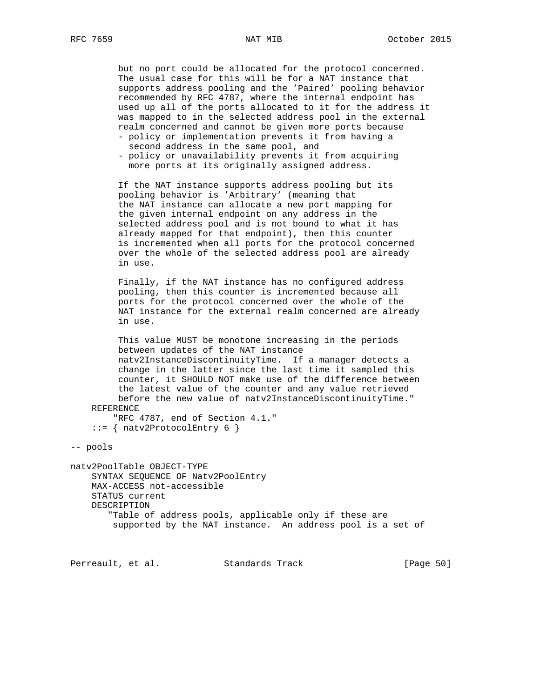but no port could be allocated for the protocol concerned. The usual case for this will be for a NAT instance that supports address pooling and the 'Paired' pooling behavior recommended by RFC 4787, where the internal endpoint has used up all of the ports allocated to it for the address it was mapped to in the selected address pool in the external realm concerned and cannot be given more ports because

- policy or implementation prevents it from having a second address in the same pool, and
- policy or unavailability prevents it from acquiring more ports at its originally assigned address.

 If the NAT instance supports address pooling but its pooling behavior is 'Arbitrary' (meaning that the NAT instance can allocate a new port mapping for the given internal endpoint on any address in the selected address pool and is not bound to what it has already mapped for that endpoint), then this counter is incremented when all ports for the protocol concerned over the whole of the selected address pool are already in use.

 Finally, if the NAT instance has no configured address pooling, then this counter is incremented because all ports for the protocol concerned over the whole of the NAT instance for the external realm concerned are already in use.

 This value MUST be monotone increasing in the periods between updates of the NAT instance natv2InstanceDiscontinuityTime. If a manager detects a change in the latter since the last time it sampled this counter, it SHOULD NOT make use of the difference between the latest value of the counter and any value retrieved before the new value of natv2InstanceDiscontinuityTime." REFERENCE

 "RFC 4787, end of Section 4.1."  $::=$  { natv2ProtocolEntry 6 }

-- pools

natv2PoolTable OBJECT-TYPE SYNTAX SEQUENCE OF Natv2PoolEntry MAX-ACCESS not-accessible STATUS current DESCRIPTION "Table of address pools, applicable only if these are supported by the NAT instance. An address pool is a set of

Perreault, et al. Standards Track [Page 50]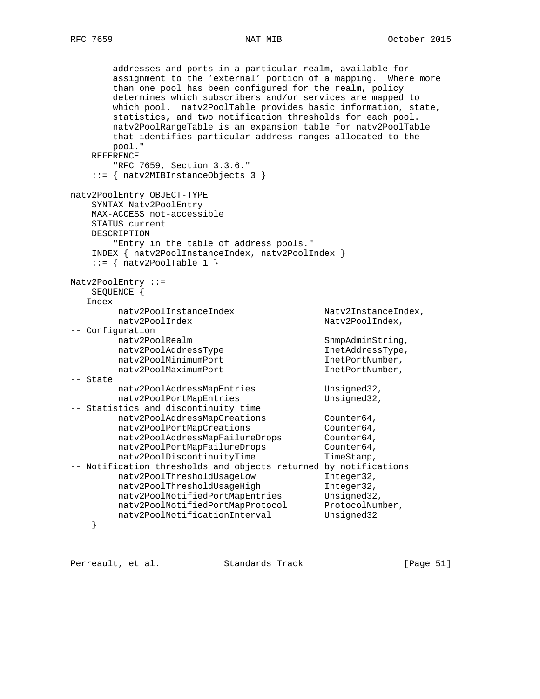addresses and ports in a particular realm, available for assignment to the 'external' portion of a mapping. Where more than one pool has been configured for the realm, policy determines which subscribers and/or services are mapped to which pool. natv2PoolTable provides basic information, state, statistics, and two notification thresholds for each pool. natv2PoolRangeTable is an expansion table for natv2PoolTable that identifies particular address ranges allocated to the pool." REFERENCE "RFC 7659, Section 3.3.6." ::= { natv2MIBInstanceObjects 3 } natv2PoolEntry OBJECT-TYPE SYNTAX Natv2PoolEntry MAX-ACCESS not-accessible STATUS current DESCRIPTION "Entry in the table of address pools." INDEX { natv2PoolInstanceIndex, natv2PoolIndex }  $::=$  { natv2PoolTable 1 } Natv2PoolEntry ::= SEQUENCE { -- Index natv2PoolInstanceIndex Natv2InstanceIndex, natv2PoolIndex Natv2PoolIndex, -- Configuration natv2PoolRealm SnmpAdminString,<br>natv2PoolAddressType SnmpAdminString, natv2PoolAddressType natv2PoolAddressType natv2PoolMinimumPort InetPortNumber, natv2PoolMaximumPort InetPortNumber, -- State natv2PoolAddressMapEntries Unsigned32, natv2PoolPortMapEntries Unsigned32, -- Statistics and discontinuity time stics and discondinately crace<br>natv2PoolAddressMapCreations Counter64, natv2PoolPortMapCreations Counter64, natv2PoolAddressMapFailureDrops Counter64, natv2PoolPortMapFailureDrops Counter64, natv2PoolDiscontinuityTime TimeStamp, -- Notification thresholds and objects returned by notifications natv2PoolThresholdUsageLow Integer32,<br>natv2PoolThresholdUsageHigh Integer32, natv2PoolThresholdUsageHigh Integer32, natv2PoolNotifiedPortMapEntries Unsigned32, natv2PoolNotifiedPortMapProtocol ProtocolNumber, natv2PoolNotificationInterval Unsigned32 }

Perreault, et al. Standards Track [Page 51]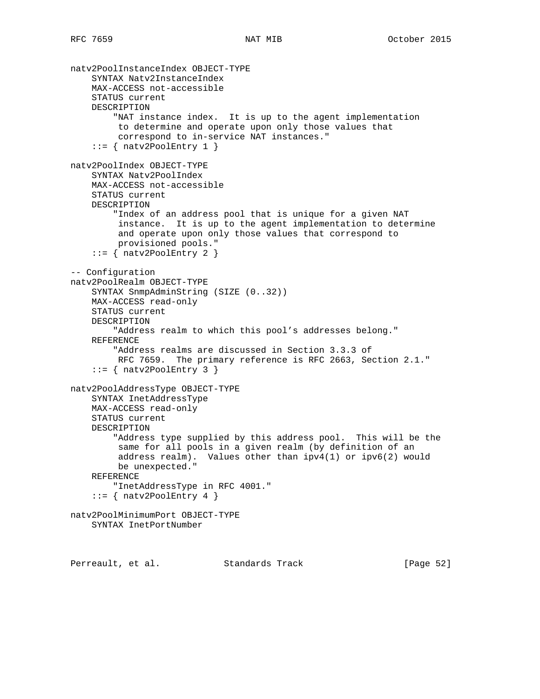```
natv2PoolInstanceIndex OBJECT-TYPE
     SYNTAX Natv2InstanceIndex
     MAX-ACCESS not-accessible
     STATUS current
     DESCRIPTION
         "NAT instance index. It is up to the agent implementation
         to determine and operate upon only those values that
          correspond to in-service NAT instances."
    ::= { natv2PoolEntry 1 }
natv2PoolIndex OBJECT-TYPE
    SYNTAX Natv2PoolIndex
     MAX-ACCESS not-accessible
     STATUS current
     DESCRIPTION
         "Index of an address pool that is unique for a given NAT
          instance. It is up to the agent implementation to determine
          and operate upon only those values that correspond to
         provisioned pools."
    ::= { natv2PoolEntry 2 }
-- Configuration
natv2PoolRealm OBJECT-TYPE
     SYNTAX SnmpAdminString (SIZE (0..32))
     MAX-ACCESS read-only
     STATUS current
     DESCRIPTION
         "Address realm to which this pool's addresses belong."
     REFERENCE
         "Address realms are discussed in Section 3.3.3 of
         RFC 7659. The primary reference is RFC 2663, Section 2.1."
    ::= { natv2PoolEntry 3 }
natv2PoolAddressType OBJECT-TYPE
     SYNTAX InetAddressType
     MAX-ACCESS read-only
     STATUS current
     DESCRIPTION
         "Address type supplied by this address pool. This will be the
          same for all pools in a given realm (by definition of an
          address realm). Values other than ipv4(1) or ipv6(2) would
          be unexpected."
     REFERENCE
         "InetAddressType in RFC 4001."
    ::= { natv2PoolEntry 4 }
natv2PoolMinimumPort OBJECT-TYPE
     SYNTAX InetPortNumber
```
Perreault, et al. Standards Track [Page 52]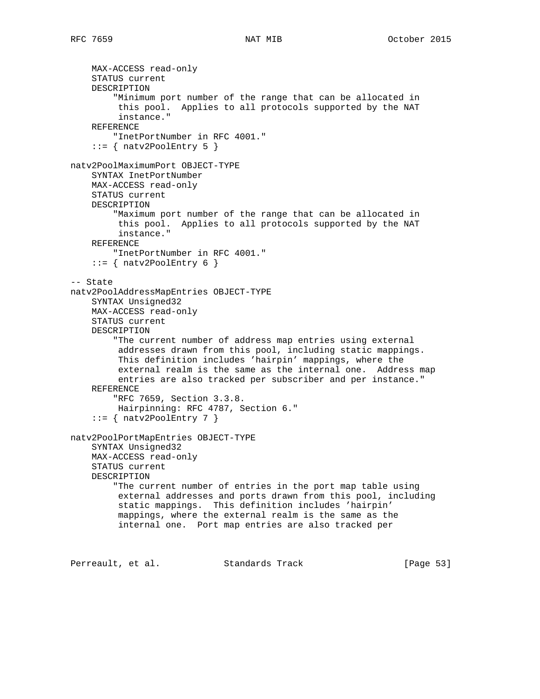```
 MAX-ACCESS read-only
     STATUS current
     DESCRIPTION
         "Minimum port number of the range that can be allocated in
          this pool. Applies to all protocols supported by the NAT
          instance."
     REFERENCE
         "InetPortNumber in RFC 4001."
    ::= { natv2PoolEntry 5 }
natv2PoolMaximumPort OBJECT-TYPE
    SYNTAX InetPortNumber
    MAX-ACCESS read-only
     STATUS current
     DESCRIPTION
         "Maximum port number of the range that can be allocated in
          this pool. Applies to all protocols supported by the NAT
          instance."
     REFERENCE
        "InetPortNumber in RFC 4001."
    ::= { natv2PoolEntry 6 }
-- State
natv2PoolAddressMapEntries OBJECT-TYPE
     SYNTAX Unsigned32
    MAX-ACCESS read-only
     STATUS current
     DESCRIPTION
         "The current number of address map entries using external
          addresses drawn from this pool, including static mappings.
          This definition includes 'hairpin' mappings, where the
          external realm is the same as the internal one. Address map
          entries are also tracked per subscriber and per instance."
     REFERENCE
         "RFC 7659, Section 3.3.8.
         Hairpinning: RFC 4787, Section 6."
    ::= { natv2PoolEntry 7 }
natv2PoolPortMapEntries OBJECT-TYPE
     SYNTAX Unsigned32
     MAX-ACCESS read-only
     STATUS current
     DESCRIPTION
         "The current number of entries in the port map table using
          external addresses and ports drawn from this pool, including
          static mappings. This definition includes 'hairpin'
          mappings, where the external realm is the same as the
          internal one. Port map entries are also tracked per
Perreault, et al. Standards Track [Page 53]
```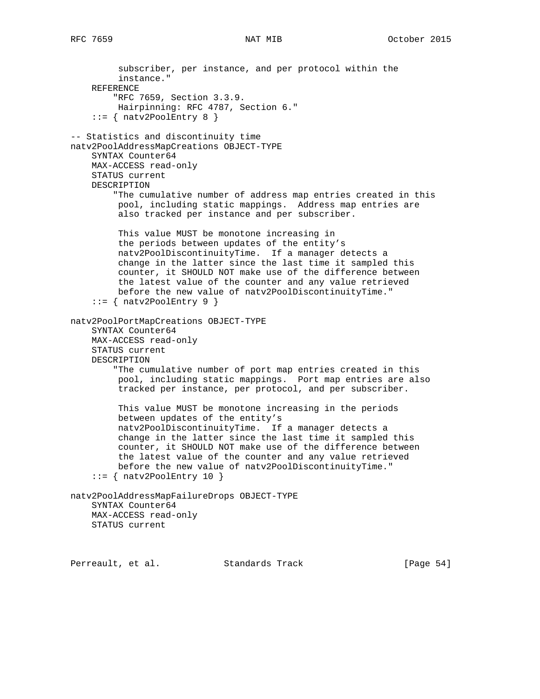```
 subscriber, per instance, and per protocol within the
          instance."
     REFERENCE
         "RFC 7659, Section 3.3.9.
          Hairpinning: RFC 4787, Section 6."
    ::= { natv2PoolEntry 8 }
-- Statistics and discontinuity time
natv2PoolAddressMapCreations OBJECT-TYPE
     SYNTAX Counter64
     MAX-ACCESS read-only
     STATUS current
     DESCRIPTION
         "The cumulative number of address map entries created in this
          pool, including static mappings. Address map entries are
          also tracked per instance and per subscriber.
          This value MUST be monotone increasing in
          the periods between updates of the entity's
          natv2PoolDiscontinuityTime. If a manager detects a
          change in the latter since the last time it sampled this
          counter, it SHOULD NOT make use of the difference between
          the latest value of the counter and any value retrieved
          before the new value of natv2PoolDiscontinuityTime."
    ::= { natv2PoolEntry 9 }
natv2PoolPortMapCreations OBJECT-TYPE
     SYNTAX Counter64
     MAX-ACCESS read-only
     STATUS current
     DESCRIPTION
         "The cumulative number of port map entries created in this
          pool, including static mappings. Port map entries are also
          tracked per instance, per protocol, and per subscriber.
          This value MUST be monotone increasing in the periods
          between updates of the entity's
          natv2PoolDiscontinuityTime. If a manager detects a
          change in the latter since the last time it sampled this
          counter, it SHOULD NOT make use of the difference between
          the latest value of the counter and any value retrieved
          before the new value of natv2PoolDiscontinuityTime."
    ::= { natv2PoolEntry 10 }
natv2PoolAddressMapFailureDrops OBJECT-TYPE
     SYNTAX Counter64
     MAX-ACCESS read-only
     STATUS current
```
Perreault, et al. Standards Track [Page 54]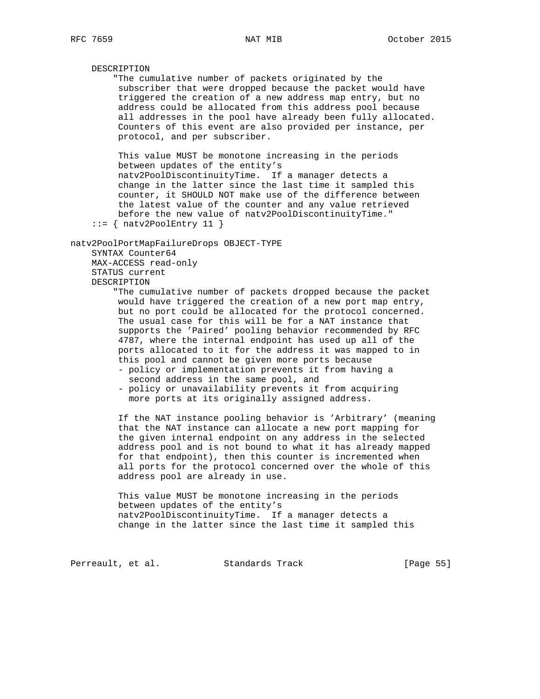# DESCRIPTION "The cumulative number of packets originated by the subscriber that were dropped because the packet would have triggered the creation of a new address map entry, but no address could be allocated from this address pool because all addresses in the pool have already been fully allocated. Counters of this event are also provided per instance, per protocol, and per subscriber. This value MUST be monotone increasing in the periods between updates of the entity's natv2PoolDiscontinuityTime. If a manager detects a change in the latter since the last time it sampled this counter, it SHOULD NOT make use of the difference between the latest value of the counter and any value retrieved before the new value of natv2PoolDiscontinuityTime."  $::=$  { natv2PoolEntry 11 } natv2PoolPortMapFailureDrops OBJECT-TYPE SYNTAX Counter64 MAX-ACCESS read-only STATUS current DESCRIPTION "The cumulative number of packets dropped because the packet would have triggered the creation of a new port map entry, but no port could be allocated for the protocol concerned. The usual case for this will be for a NAT instance that supports the 'Paired' pooling behavior recommended by RFC 4787, where the internal endpoint has used up all of the ports allocated to it for the address it was mapped to in this pool and cannot be given more ports because - policy or implementation prevents it from having a second address in the same pool, and - policy or unavailability prevents it from acquiring more ports at its originally assigned address. If the NAT instance pooling behavior is 'Arbitrary' (meaning that the NAT instance can allocate a new port mapping for the given internal endpoint on any address in the selected address pool and is not bound to what it has already mapped for that endpoint), then this counter is incremented when all ports for the protocol concerned over the whole of this address pool are already in use. This value MUST be monotone increasing in the periods

 between updates of the entity's natv2PoolDiscontinuityTime. If a manager detects a change in the latter since the last time it sampled this

Perreault, et al. Standards Track [Page 55]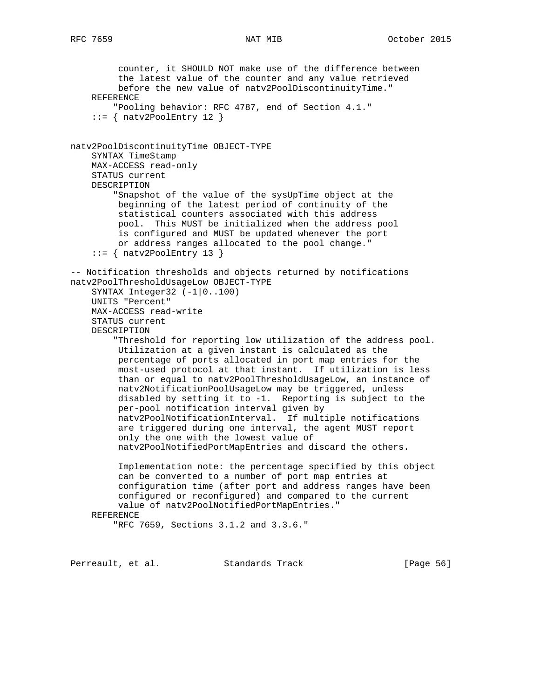counter, it SHOULD NOT make use of the difference between the latest value of the counter and any value retrieved before the new value of natv2PoolDiscontinuityTime." REFERENCE "Pooling behavior: RFC 4787, end of Section 4.1."  $::=$  { natv2PoolEntry 12 } natv2PoolDiscontinuityTime OBJECT-TYPE SYNTAX TimeStamp MAX-ACCESS read-only STATUS current DESCRIPTION "Snapshot of the value of the sysUpTime object at the beginning of the latest period of continuity of the statistical counters associated with this address pool. This MUST be initialized when the address pool is configured and MUST be updated whenever the port or address ranges allocated to the pool change."  $::=$  { natv2PoolEntry 13 } -- Notification thresholds and objects returned by notifications natv2PoolThresholdUsageLow OBJECT-TYPE SYNTAX Integer32 (-1|0..100) UNITS "Percent" MAX-ACCESS read-write STATUS current DESCRIPTION "Threshold for reporting low utilization of the address pool. Utilization at a given instant is calculated as the percentage of ports allocated in port map entries for the most-used protocol at that instant. If utilization is less than or equal to natv2PoolThresholdUsageLow, an instance of natv2NotificationPoolUsageLow may be triggered, unless disabled by setting it to -1. Reporting is subject to the per-pool notification interval given by natv2PoolNotificationInterval. If multiple notifications are triggered during one interval, the agent MUST report only the one with the lowest value of natv2PoolNotifiedPortMapEntries and discard the others. Implementation note: the percentage specified by this object can be converted to a number of port map entries at configuration time (after port and address ranges have been configured or reconfigured) and compared to the current value of natv2PoolNotifiedPortMapEntries." REFERENCE "RFC 7659, Sections 3.1.2 and 3.3.6."

Perreault, et al. Standards Track [Page 56]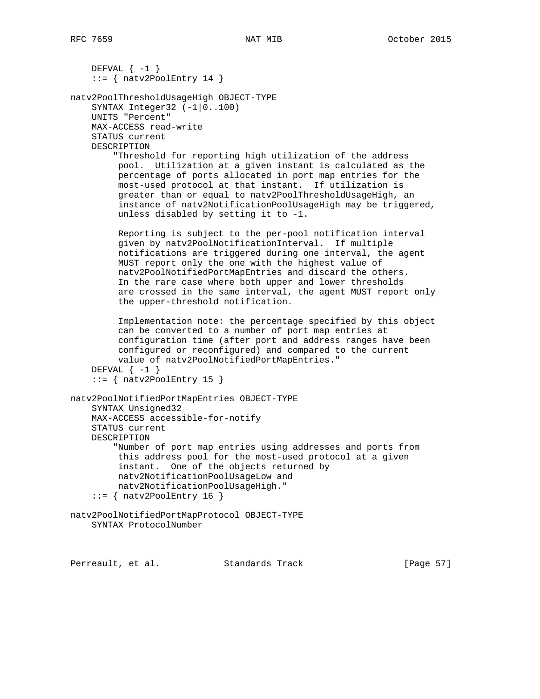```
DEFVAL \{-1\}::= { natv2PoolEntry 14 }
natv2PoolThresholdUsageHigh OBJECT-TYPE
     SYNTAX Integer32 (-1|0..100)
     UNITS "Percent"
     MAX-ACCESS read-write
     STATUS current
     DESCRIPTION
         "Threshold for reporting high utilization of the address
          pool. Utilization at a given instant is calculated as the
          percentage of ports allocated in port map entries for the
          most-used protocol at that instant. If utilization is
          greater than or equal to natv2PoolThresholdUsageHigh, an
          instance of natv2NotificationPoolUsageHigh may be triggered,
          unless disabled by setting it to -1.
          Reporting is subject to the per-pool notification interval
          given by natv2PoolNotificationInterval. If multiple
          notifications are triggered during one interval, the agent
          MUST report only the one with the highest value of
          natv2PoolNotifiedPortMapEntries and discard the others.
          In the rare case where both upper and lower thresholds
          are crossed in the same interval, the agent MUST report only
          the upper-threshold notification.
          Implementation note: the percentage specified by this object
          can be converted to a number of port map entries at
          configuration time (after port and address ranges have been
          configured or reconfigured) and compared to the current
          value of natv2PoolNotifiedPortMapEntries."
    DEFVAL \{-1\}::= { natv2PoolEntry 15 }
natv2PoolNotifiedPortMapEntries OBJECT-TYPE
     SYNTAX Unsigned32
     MAX-ACCESS accessible-for-notify
     STATUS current
     DESCRIPTION
         "Number of port map entries using addresses and ports from
          this address pool for the most-used protocol at a given
          instant. One of the objects returned by
          natv2NotificationPoolUsageLow and
         natv2NotificationPoolUsageHigh."
    ::= { natv2PoolEntry 16 }
natv2PoolNotifiedPortMapProtocol OBJECT-TYPE
     SYNTAX ProtocolNumber
```
Perreault, et al. Standards Track [Page 57]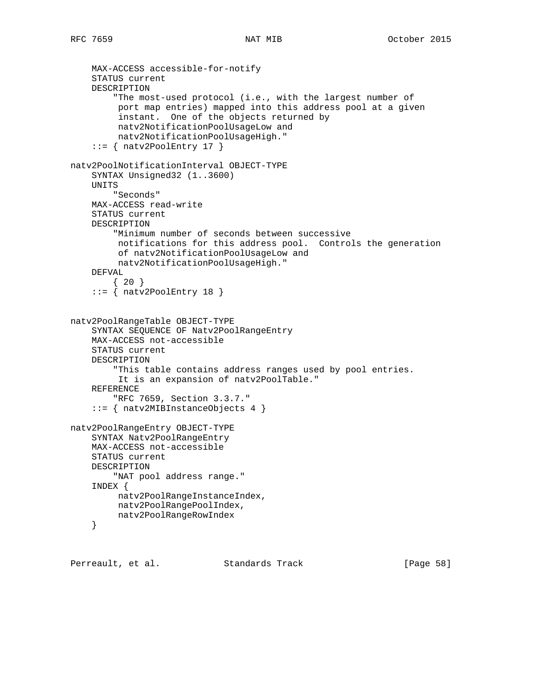```
 MAX-ACCESS accessible-for-notify
     STATUS current
     DESCRIPTION
         "The most-used protocol (i.e., with the largest number of
          port map entries) mapped into this address pool at a given
          instant. One of the objects returned by
          natv2NotificationPoolUsageLow and
          natv2NotificationPoolUsageHigh."
    ::= { natv2PoolEntry 17 }
natv2PoolNotificationInterval OBJECT-TYPE
     SYNTAX Unsigned32 (1..3600)
     UNITS
        "Seconds"
     MAX-ACCESS read-write
     STATUS current
     DESCRIPTION
         "Minimum number of seconds between successive
          notifications for this address pool. Controls the generation
          of natv2NotificationPoolUsageLow and
         natv2NotificationPoolUsageHigh."
     DEFVAL
        {20}::= { natv2PoolEntry 18 }
natv2PoolRangeTable OBJECT-TYPE
     SYNTAX SEQUENCE OF Natv2PoolRangeEntry
     MAX-ACCESS not-accessible
     STATUS current
     DESCRIPTION
         "This table contains address ranges used by pool entries.
          It is an expansion of natv2PoolTable."
     REFERENCE
         "RFC 7659, Section 3.3.7."
     ::= { natv2MIBInstanceObjects 4 }
natv2PoolRangeEntry OBJECT-TYPE
     SYNTAX Natv2PoolRangeEntry
     MAX-ACCESS not-accessible
     STATUS current
     DESCRIPTION
         "NAT pool address range."
     INDEX {
         natv2PoolRangeInstanceIndex,
         natv2PoolRangePoolIndex,
         natv2PoolRangeRowIndex
     }
```
Perreault, et al. Standards Track [Page 58]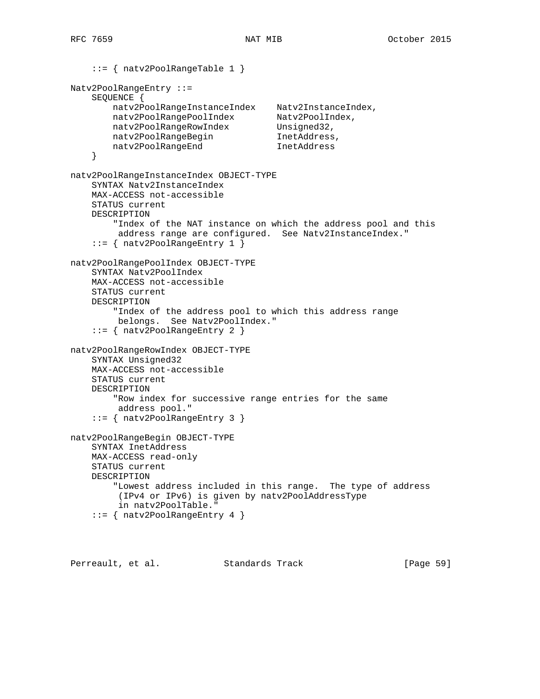```
 ::= { natv2PoolRangeTable 1 }
Natv2PoolRangeEntry ::=
    SEQUENCE {
 natv2PoolRangeInstanceIndex Natv2InstanceIndex,
 natv2PoolRangePoolIndex Natv2PoolIndex,
natv2PoolRangeRowIndex Unsigned32,
natv2PoolRangeBegin inetAddress,
 natv2PoolRangeEnd InetAddress
     }
natv2PoolRangeInstanceIndex OBJECT-TYPE
     SYNTAX Natv2InstanceIndex
    MAX-ACCESS not-accessible
    STATUS current
    DESCRIPTION
         "Index of the NAT instance on which the address pool and this
         address range are configured. See Natv2InstanceIndex."
     ::= { natv2PoolRangeEntry 1 }
natv2PoolRangePoolIndex OBJECT-TYPE
     SYNTAX Natv2PoolIndex
    MAX-ACCESS not-accessible
    STATUS current
    DESCRIPTION
         "Index of the address pool to which this address range
         belongs. See Natv2PoolIndex."
     ::= { natv2PoolRangeEntry 2 }
natv2PoolRangeRowIndex OBJECT-TYPE
    SYNTAX Unsigned32
    MAX-ACCESS not-accessible
    STATUS current
    DESCRIPTION
         "Row index for successive range entries for the same
         address pool."
     ::= { natv2PoolRangeEntry 3 }
natv2PoolRangeBegin OBJECT-TYPE
    SYNTAX InetAddress
    MAX-ACCESS read-only
    STATUS current
    DESCRIPTION
        "Lowest address included in this range. The type of address
         (IPv4 or IPv6) is given by natv2PoolAddressType
         in natv2PoolTable."
     ::= { natv2PoolRangeEntry 4 }
```
Perreault, et al. Standards Track [Page 59]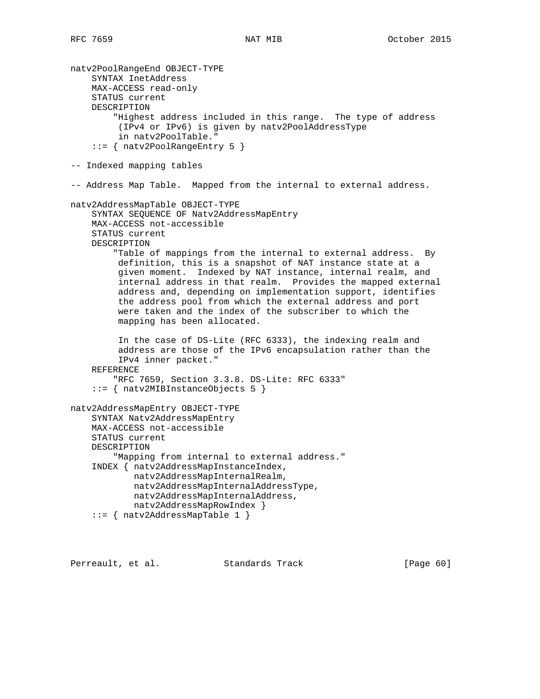```
natv2PoolRangeEnd OBJECT-TYPE
     SYNTAX InetAddress
     MAX-ACCESS read-only
     STATUS current
     DESCRIPTION
         "Highest address included in this range. The type of address
         (IPv4 or IPv6) is given by natv2PoolAddressType
          in natv2PoolTable."
     ::= { natv2PoolRangeEntry 5 }
-- Indexed mapping tables
-- Address Map Table. Mapped from the internal to external address.
natv2AddressMapTable OBJECT-TYPE
     SYNTAX SEQUENCE OF Natv2AddressMapEntry
     MAX-ACCESS not-accessible
     STATUS current
     DESCRIPTION
         "Table of mappings from the internal to external address. By
          definition, this is a snapshot of NAT instance state at a
          given moment. Indexed by NAT instance, internal realm, and
          internal address in that realm. Provides the mapped external
          address and, depending on implementation support, identifies
          the address pool from which the external address and port
          were taken and the index of the subscriber to which the
          mapping has been allocated.
          In the case of DS-Lite (RFC 6333), the indexing realm and
          address are those of the IPv6 encapsulation rather than the
          IPv4 inner packet."
     REFERENCE
         "RFC 7659, Section 3.3.8. DS-Lite: RFC 6333"
     ::= { natv2MIBInstanceObjects 5 }
natv2AddressMapEntry OBJECT-TYPE
     SYNTAX Natv2AddressMapEntry
     MAX-ACCESS not-accessible
     STATUS current
     DESCRIPTION
         "Mapping from internal to external address."
     INDEX { natv2AddressMapInstanceIndex,
             natv2AddressMapInternalRealm,
             natv2AddressMapInternalAddressType,
            natv2AddressMapInternalAddress,
            natv2AddressMapRowIndex }
     ::= { natv2AddressMapTable 1 }
```
Perreault, et al. Standards Track [Page 60]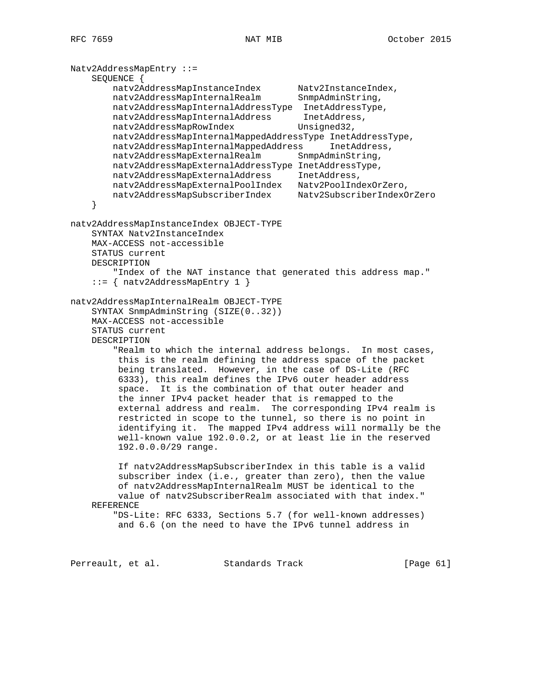Natv2AddressMapEntry ::= SEQUENCE { natv2AddressMapInstanceIndex Natv2InstanceIndex, natv2AddressMapInternalRealm SnmpAdminString, natv2AddressMapInternalAddressType InetAddressType, natv2AddressMapInternalAddress InetAddress, natv2AddressMapRowIndex Unsigned32, natv2AddressMapInternalMappedAddressType InetAddressType, natv2AddressMapInternalMappedAddress InetAddress, natv2AddressMapExternalRealm SnmpAdminString, natv2AddressMapExternalAddressType InetAddressType, natv2AddressMapExternalAddress InetAddress, natv2AddressMapExternalPoolIndex Natv2PoolIndexOrZero, natv2AddressMapSubscriberIndex Natv2SubscriberIndexOrZero } natv2AddressMapInstanceIndex OBJECT-TYPE SYNTAX Natv2InstanceIndex MAX-ACCESS not-accessible STATUS current DESCRIPTION "Index of the NAT instance that generated this address map." ::= { natv2AddressMapEntry 1 } natv2AddressMapInternalRealm OBJECT-TYPE SYNTAX SnmpAdminString (SIZE(0..32)) MAX-ACCESS not-accessible STATUS current DESCRIPTION "Realm to which the internal address belongs. In most cases, this is the realm defining the address space of the packet being translated. However, in the case of DS-Lite (RFC 6333), this realm defines the IPv6 outer header address space. It is the combination of that outer header and the inner IPv4 packet header that is remapped to the external address and realm. The corresponding IPv4 realm is restricted in scope to the tunnel, so there is no point in identifying it. The mapped IPv4 address will normally be the well-known value 192.0.0.2, or at least lie in the reserved 192.0.0.0/29 range. If natv2AddressMapSubscriberIndex in this table is a valid subscriber index (i.e., greater than zero), then the value of natv2AddressMapInternalRealm MUST be identical to the value of natv2SubscriberRealm associated with that index." REFERENCE "DS-Lite: RFC 6333, Sections 5.7 (for well-known addresses) and 6.6 (on the need to have the IPv6 tunnel address in

Perreault, et al. Standards Track [Page 61]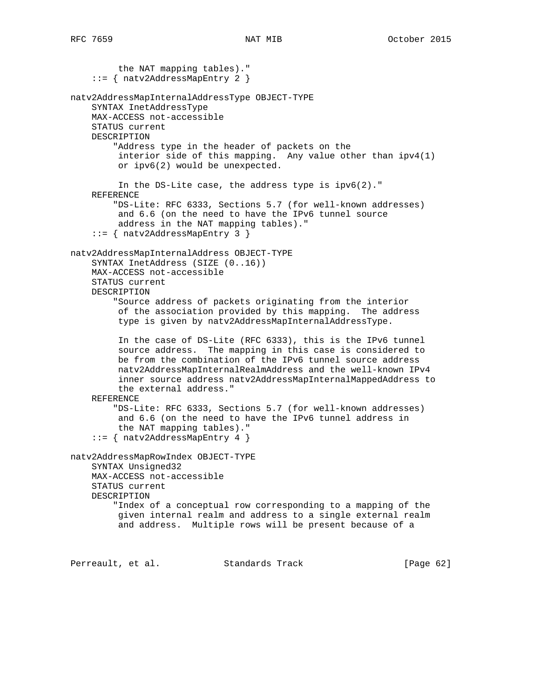the NAT mapping tables)." ::= { natv2AddressMapEntry 2 } natv2AddressMapInternalAddressType OBJECT-TYPE SYNTAX InetAddressType MAX-ACCESS not-accessible STATUS current DESCRIPTION "Address type in the header of packets on the interior side of this mapping. Any value other than ipv4(1) or ipv6(2) would be unexpected. In the DS-Lite case, the address type is ipv6(2)." REFERENCE "DS-Lite: RFC 6333, Sections 5.7 (for well-known addresses) and 6.6 (on the need to have the IPv6 tunnel source address in the NAT mapping tables)." ::= { natv2AddressMapEntry 3 } natv2AddressMapInternalAddress OBJECT-TYPE SYNTAX InetAddress (SIZE (0..16)) MAX-ACCESS not-accessible STATUS current DESCRIPTION "Source address of packets originating from the interior of the association provided by this mapping. The address type is given by natv2AddressMapInternalAddressType. In the case of DS-Lite (RFC 6333), this is the IPv6 tunnel source address. The mapping in this case is considered to be from the combination of the IPv6 tunnel source address natv2AddressMapInternalRealmAddress and the well-known IPv4 inner source address natv2AddressMapInternalMappedAddress to the external address." REFERENCE "DS-Lite: RFC 6333, Sections 5.7 (for well-known addresses) and 6.6 (on the need to have the IPv6 tunnel address in the NAT mapping tables)." ::= { natv2AddressMapEntry 4 } natv2AddressMapRowIndex OBJECT-TYPE SYNTAX Unsigned32 MAX-ACCESS not-accessible STATUS current DESCRIPTION "Index of a conceptual row corresponding to a mapping of the given internal realm and address to a single external realm and address. Multiple rows will be present because of a

Perreault, et al. Standards Track [Page 62]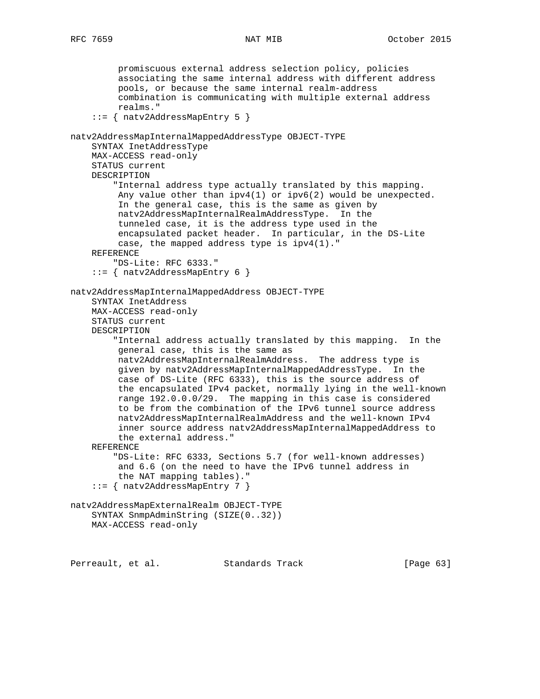```
 promiscuous external address selection policy, policies
          associating the same internal address with different address
          pools, or because the same internal realm-address
          combination is communicating with multiple external address
          realms."
     ::= { natv2AddressMapEntry 5 }
natv2AddressMapInternalMappedAddressType OBJECT-TYPE
     SYNTAX InetAddressType
     MAX-ACCESS read-only
     STATUS current
     DESCRIPTION
         "Internal address type actually translated by this mapping.
         Any value other than ipv4(1) or ipv6(2) would be unexpected.
          In the general case, this is the same as given by
          natv2AddressMapInternalRealmAddressType. In the
          tunneled case, it is the address type used in the
          encapsulated packet header. In particular, in the DS-Lite
          case, the mapped address type is ipv4(1)."
     REFERENCE
         "DS-Lite: RFC 6333."
     ::= { natv2AddressMapEntry 6 }
natv2AddressMapInternalMappedAddress OBJECT-TYPE
     SYNTAX InetAddress
     MAX-ACCESS read-only
     STATUS current
     DESCRIPTION
         "Internal address actually translated by this mapping. In the
          general case, this is the same as
          natv2AddressMapInternalRealmAddress. The address type is
          given by natv2AddressMapInternalMappedAddressType. In the
          case of DS-Lite (RFC 6333), this is the source address of
          the encapsulated IPv4 packet, normally lying in the well-known
          range 192.0.0.0/29. The mapping in this case is considered
          to be from the combination of the IPv6 tunnel source address
          natv2AddressMapInternalRealmAddress and the well-known IPv4
          inner source address natv2AddressMapInternalMappedAddress to
          the external address."
     REFERENCE
         "DS-Lite: RFC 6333, Sections 5.7 (for well-known addresses)
          and 6.6 (on the need to have the IPv6 tunnel address in
          the NAT mapping tables)."
     ::= { natv2AddressMapEntry 7 }
natv2AddressMapExternalRealm OBJECT-TYPE
     SYNTAX SnmpAdminString (SIZE(0..32))
     MAX-ACCESS read-only
```
Perreault, et al. Standards Track [Page 63]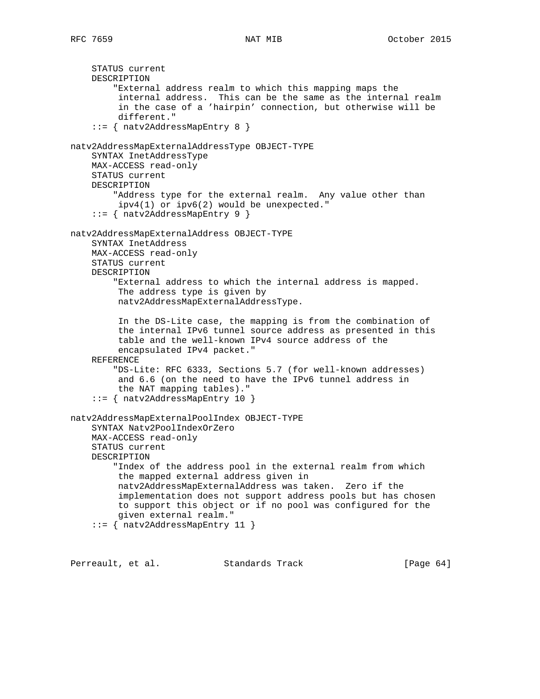```
 STATUS current
     DESCRIPTION
         "External address realm to which this mapping maps the
          internal address. This can be the same as the internal realm
          in the case of a 'hairpin' connection, but otherwise will be
          different."
     ::= { natv2AddressMapEntry 8 }
natv2AddressMapExternalAddressType OBJECT-TYPE
     SYNTAX InetAddressType
     MAX-ACCESS read-only
     STATUS current
     DESCRIPTION
         "Address type for the external realm. Any value other than
          ipv4(1) or ipv6(2) would be unexpected."
     ::= { natv2AddressMapEntry 9 }
natv2AddressMapExternalAddress OBJECT-TYPE
     SYNTAX InetAddress
     MAX-ACCESS read-only
     STATUS current
     DESCRIPTION
         "External address to which the internal address is mapped.
          The address type is given by
          natv2AddressMapExternalAddressType.
          In the DS-Lite case, the mapping is from the combination of
          the internal IPv6 tunnel source address as presented in this
          table and the well-known IPv4 source address of the
          encapsulated IPv4 packet."
     REFERENCE
```
 "DS-Lite: RFC 6333, Sections 5.7 (for well-known addresses) and 6.6 (on the need to have the IPv6 tunnel address in the NAT mapping tables)." ::= { natv2AddressMapEntry 10 }

```
natv2AddressMapExternalPoolIndex OBJECT-TYPE
     SYNTAX Natv2PoolIndexOrZero
     MAX-ACCESS read-only
     STATUS current
     DESCRIPTION
         "Index of the address pool in the external realm from which
          the mapped external address given in
          natv2AddressMapExternalAddress was taken. Zero if the
          implementation does not support address pools but has chosen
          to support this object or if no pool was configured for the
          given external realm."
     ::= { natv2AddressMapEntry 11 }
```
Perreault, et al. Standards Track [Page 64]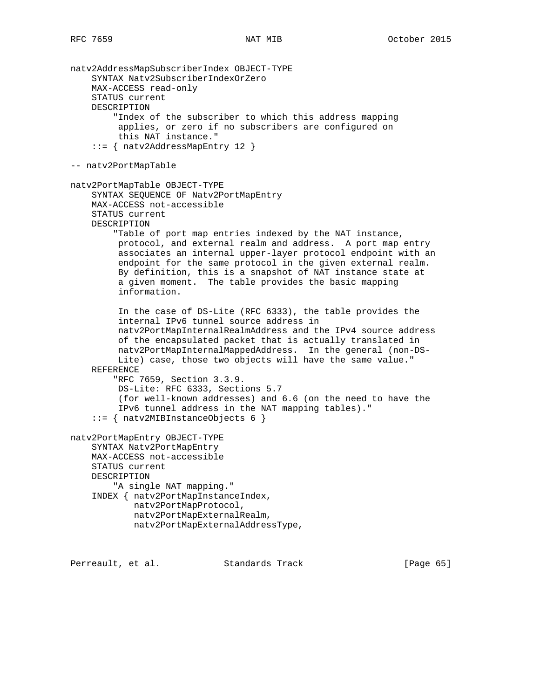natv2AddressMapSubscriberIndex OBJECT-TYPE SYNTAX Natv2SubscriberIndexOrZero MAX-ACCESS read-only STATUS current DESCRIPTION "Index of the subscriber to which this address mapping applies, or zero if no subscribers are configured on this NAT instance." ::= { natv2AddressMapEntry 12 } -- natv2PortMapTable natv2PortMapTable OBJECT-TYPE SYNTAX SEQUENCE OF Natv2PortMapEntry MAX-ACCESS not-accessible STATUS current DESCRIPTION "Table of port map entries indexed by the NAT instance, protocol, and external realm and address. A port map entry associates an internal upper-layer protocol endpoint with an endpoint for the same protocol in the given external realm. By definition, this is a snapshot of NAT instance state at a given moment. The table provides the basic mapping information. In the case of DS-Lite (RFC 6333), the table provides the internal IPv6 tunnel source address in natv2PortMapInternalRealmAddress and the IPv4 source address of the encapsulated packet that is actually translated in natv2PortMapInternalMappedAddress. In the general (non-DS- Lite) case, those two objects will have the same value." REFERENCE "RFC 7659, Section 3.3.9. DS-Lite: RFC 6333, Sections 5.7 (for well-known addresses) and 6.6 (on the need to have the IPv6 tunnel address in the NAT mapping tables)." ::= { natv2MIBInstanceObjects 6 } natv2PortMapEntry OBJECT-TYPE SYNTAX Natv2PortMapEntry MAX-ACCESS not-accessible STATUS current DESCRIPTION "A single NAT mapping." INDEX { natv2PortMapInstanceIndex, natv2PortMapProtocol, natv2PortMapExternalRealm, natv2PortMapExternalAddressType,

Perreault, et al. Standards Track [Page 65]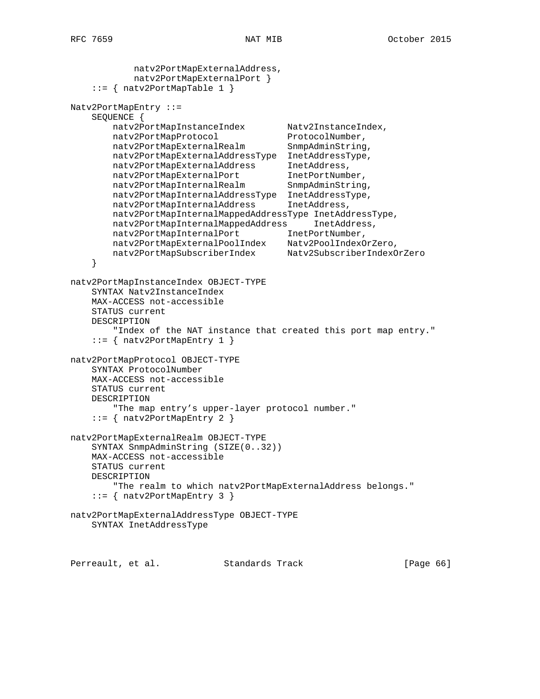```
 natv2PortMapExternalAddress,
            natv2PortMapExternalPort }
     ::= { natv2PortMapTable 1 }
Natv2PortMapEntry ::=
    SEQUENCE {
       natv2PortMapInstanceIndex Natv2InstanceIndex,
natv2PortMapProtocol ProtocolNumber,
natv2PortMapExternalRealm SnmpAdminString,
        natv2PortMapExternalAddressType InetAddressType,
 natv2PortMapExternalAddress InetAddress,
 natv2PortMapExternalPort InetPortNumber,
natv2PortMapInternalRealm SnmpAdminString,
 natv2PortMapInternalAddressType InetAddressType,
 natv2PortMapInternalAddress InetAddress,
        natv2PortMapInternalMappedAddressType InetAddressType,
        natv2PortMapInternalMappedAddress InetAddress,
natv2PortMapInternalPort 1netPortNumber,
 natv2PortMapExternalPoolIndex Natv2PoolIndexOrZero,
 natv2PortMapSubscriberIndex Natv2SubscriberIndexOrZero
     }
natv2PortMapInstanceIndex OBJECT-TYPE
    SYNTAX Natv2InstanceIndex
    MAX-ACCESS not-accessible
    STATUS current
    DESCRIPTION
        "Index of the NAT instance that created this port map entry."
     ::= { natv2PortMapEntry 1 }
natv2PortMapProtocol OBJECT-TYPE
    SYNTAX ProtocolNumber
    MAX-ACCESS not-accessible
    STATUS current
    DESCRIPTION
        "The map entry's upper-layer protocol number."
     ::= { natv2PortMapEntry 2 }
natv2PortMapExternalRealm OBJECT-TYPE
    SYNTAX SnmpAdminString (SIZE(0..32))
    MAX-ACCESS not-accessible
    STATUS current
    DESCRIPTION
        "The realm to which natv2PortMapExternalAddress belongs."
     ::= { natv2PortMapEntry 3 }
natv2PortMapExternalAddressType OBJECT-TYPE
    SYNTAX InetAddressType
```
Perreault, et al. Standards Track [Page 66]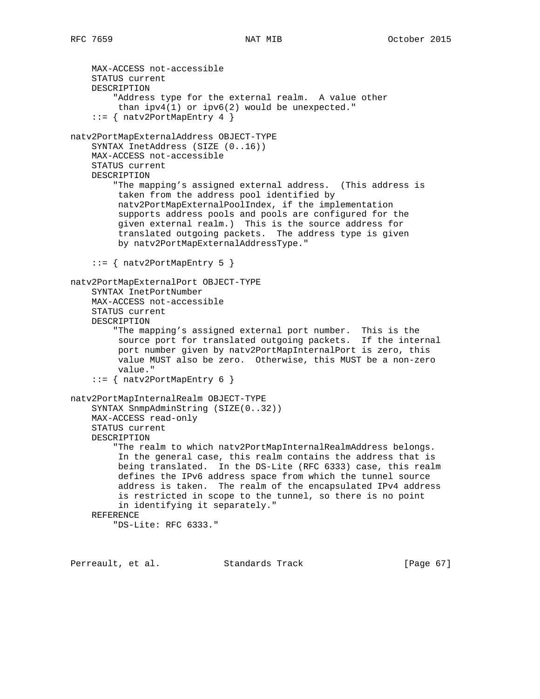MAX-ACCESS not-accessible STATUS current DESCRIPTION "Address type for the external realm. A value other than ipv4(1) or ipv6(2) would be unexpected."  $::=$  { natv2PortMapEntry 4 } natv2PortMapExternalAddress OBJECT-TYPE SYNTAX InetAddress (SIZE (0..16)) MAX-ACCESS not-accessible STATUS current DESCRIPTION "The mapping's assigned external address. (This address is taken from the address pool identified by natv2PortMapExternalPoolIndex, if the implementation supports address pools and pools are configured for the given external realm.) This is the source address for translated outgoing packets. The address type is given by natv2PortMapExternalAddressType." ::= { natv2PortMapEntry 5 } natv2PortMapExternalPort OBJECT-TYPE SYNTAX InetPortNumber MAX-ACCESS not-accessible STATUS current DESCRIPTION "The mapping's assigned external port number. This is the source port for translated outgoing packets. If the internal port number given by natv2PortMapInternalPort is zero, this value MUST also be zero. Otherwise, this MUST be a non-zero value." ::= { natv2PortMapEntry 6 } natv2PortMapInternalRealm OBJECT-TYPE SYNTAX SnmpAdminString (SIZE(0..32)) MAX-ACCESS read-only STATUS current DESCRIPTION "The realm to which natv2PortMapInternalRealmAddress belongs. In the general case, this realm contains the address that is being translated. In the DS-Lite (RFC 6333) case, this realm defines the IPv6 address space from which the tunnel source address is taken. The realm of the encapsulated IPv4 address is restricted in scope to the tunnel, so there is no point in identifying it separately." REFERENCE "DS-Lite: RFC 6333."

Perreault, et al. Standards Track [Page 67]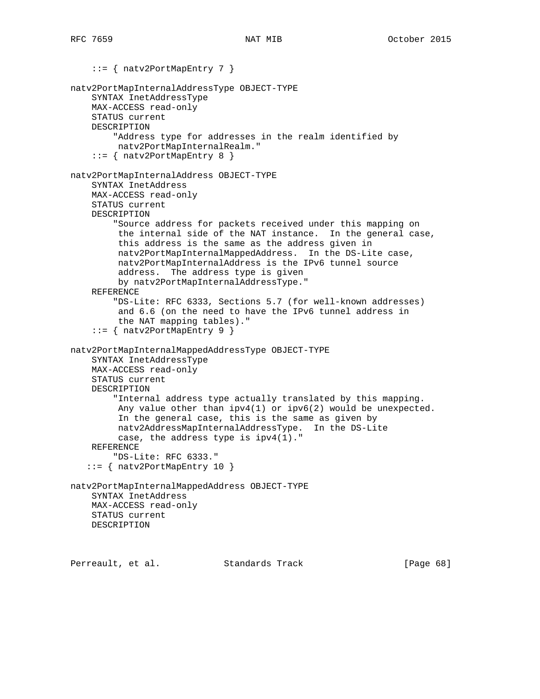```
 ::= { natv2PortMapEntry 7 }
natv2PortMapInternalAddressType OBJECT-TYPE
     SYNTAX InetAddressType
     MAX-ACCESS read-only
     STATUS current
     DESCRIPTION
         "Address type for addresses in the realm identified by
         natv2PortMapInternalRealm."
     ::= { natv2PortMapEntry 8 }
natv2PortMapInternalAddress OBJECT-TYPE
     SYNTAX InetAddress
     MAX-ACCESS read-only
     STATUS current
     DESCRIPTION
         "Source address for packets received under this mapping on
          the internal side of the NAT instance. In the general case,
          this address is the same as the address given in
          natv2PortMapInternalMappedAddress. In the DS-Lite case,
          natv2PortMapInternalAddress is the IPv6 tunnel source
          address. The address type is given
         by natv2PortMapInternalAddressType."
     REFERENCE
         "DS-Lite: RFC 6333, Sections 5.7 (for well-known addresses)
          and 6.6 (on the need to have the IPv6 tunnel address in
         the NAT mapping tables)."
     ::= { natv2PortMapEntry 9 }
natv2PortMapInternalMappedAddressType OBJECT-TYPE
     SYNTAX InetAddressType
     MAX-ACCESS read-only
     STATUS current
     DESCRIPTION
         "Internal address type actually translated by this mapping.
        Any value other than ipv4(1) or ipv6(2) would be unexpected.
          In the general case, this is the same as given by
          natv2AddressMapInternalAddressType. In the DS-Lite
          case, the address type is ipv4(1)."
     REFERENCE
         "DS-Lite: RFC 6333."
    ::= { natv2PortMapEntry 10 }
natv2PortMapInternalMappedAddress OBJECT-TYPE
     SYNTAX InetAddress
    MAX-ACCESS read-only
    STATUS current
    DESCRIPTION
Perreault, et al. Standards Track [Page 68]
```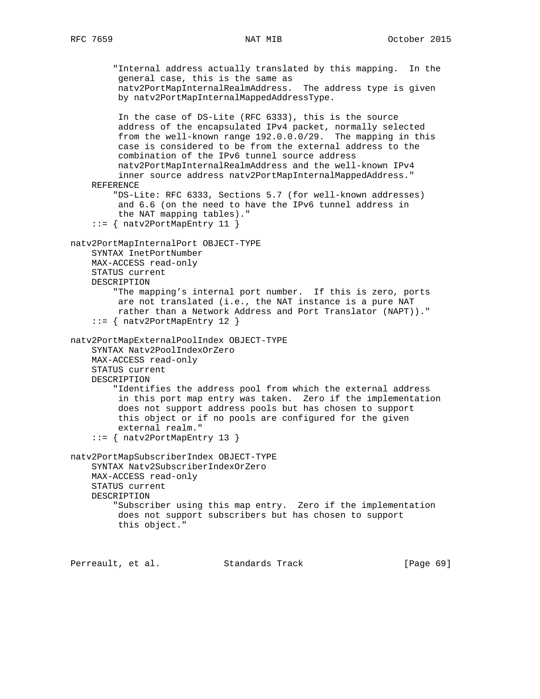"Internal address actually translated by this mapping. In the general case, this is the same as natv2PortMapInternalRealmAddress. The address type is given by natv2PortMapInternalMappedAddressType. In the case of DS-Lite (RFC 6333), this is the source address of the encapsulated IPv4 packet, normally selected from the well-known range 192.0.0.0/29. The mapping in this case is considered to be from the external address to the combination of the IPv6 tunnel source address natv2PortMapInternalRealmAddress and the well-known IPv4 inner source address natv2PortMapInternalMappedAddress." REFERENCE "DS-Lite: RFC 6333, Sections 5.7 (for well-known addresses) and 6.6 (on the need to have the IPv6 tunnel address in the NAT mapping tables)." ::= { natv2PortMapEntry 11 } natv2PortMapInternalPort OBJECT-TYPE SYNTAX InetPortNumber MAX-ACCESS read-only STATUS current DESCRIPTION "The mapping's internal port number. If this is zero, ports are not translated (i.e., the NAT instance is a pure NAT rather than a Network Address and Port Translator (NAPT))." ::= { natv2PortMapEntry 12 } natv2PortMapExternalPoolIndex OBJECT-TYPE SYNTAX Natv2PoolIndexOrZero MAX-ACCESS read-only STATUS current DESCRIPTION "Identifies the address pool from which the external address in this port map entry was taken. Zero if the implementation does not support address pools but has chosen to support this object or if no pools are configured for the given external realm." ::= { natv2PortMapEntry 13 } natv2PortMapSubscriberIndex OBJECT-TYPE SYNTAX Natv2SubscriberIndexOrZero MAX-ACCESS read-only STATUS current DESCRIPTION "Subscriber using this map entry. Zero if the implementation does not support subscribers but has chosen to support this object."

Perreault, et al. Standards Track [Page 69]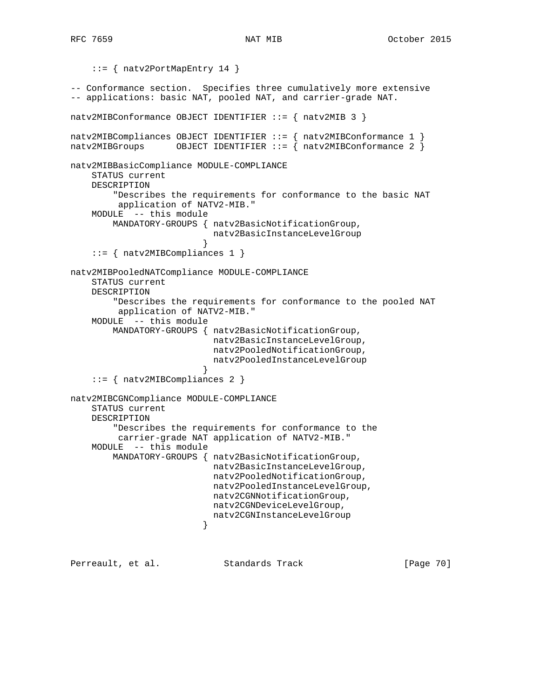```
 ::= { natv2PortMapEntry 14 }
-- Conformance section. Specifies three cumulatively more extensive
-- applications: basic NAT, pooled NAT, and carrier-grade NAT.
natv2MIBConformance OBJECT IDENTIFIER ::= { natv2MIB 3 }
natv2MIBCompliances OBJECT IDENTIFYER ::= { natv2MIBConformance 1 }natv2MIBGroups OBJECT IDENTIFIER ::= { natv2MIBConformance 2 }
natv2MIBBasicCompliance MODULE-COMPLIANCE
    STATUS current
    DESCRIPTION
         "Describes the requirements for conformance to the basic NAT
         application of NATV2-MIB."
    MODULE -- this module
        MANDATORY-GROUPS { natv2BasicNotificationGroup,
                          natv2BasicInstanceLevelGroup
 }
     ::= { natv2MIBCompliances 1 }
natv2MIBPooledNATCompliance MODULE-COMPLIANCE
    STATUS current
    DESCRIPTION
         "Describes the requirements for conformance to the pooled NAT
         application of NATV2-MIB."
    MODULE -- this module
        MANDATORY-GROUPS { natv2BasicNotificationGroup,
                          natv2BasicInstanceLevelGroup,
                          natv2PooledNotificationGroup,
                          natv2PooledInstanceLevelGroup
 }
     ::= { natv2MIBCompliances 2 }
natv2MIBCGNCompliance MODULE-COMPLIANCE
    STATUS current
    DESCRIPTION
         "Describes the requirements for conformance to the
         carrier-grade NAT application of NATV2-MIB."
    MODULE -- this module
        MANDATORY-GROUPS { natv2BasicNotificationGroup,
                           natv2BasicInstanceLevelGroup,
                          natv2PooledNotificationGroup,
                          natv2PooledInstanceLevelGroup,
                          natv2CGNNotificationGroup,
                          natv2CGNDeviceLevelGroup,
                         natv2CGNInstanceLevelGroup
 }
Perreault, et al. Standards Track [Page 70]
```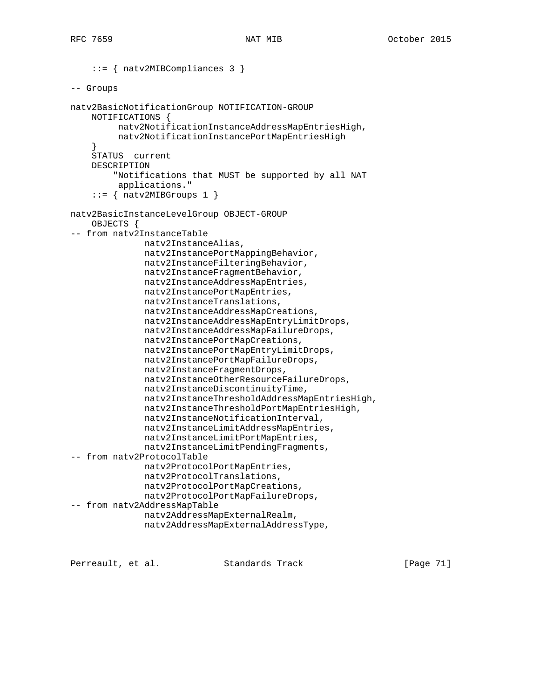```
 ::= { natv2MIBCompliances 3 }
-- Groups
natv2BasicNotificationGroup NOTIFICATION-GROUP
     NOTIFICATIONS {
          natv2NotificationInstanceAddressMapEntriesHigh,
          natv2NotificationInstancePortMapEntriesHigh
     }
     STATUS current
     DESCRIPTION
         "Notifications that MUST be supported by all NAT
          applications."
    ::= { natv2MIBGroups 1 }
natv2BasicInstanceLevelGroup OBJECT-GROUP
     OBJECTS {
-- from natv2InstanceTable
               natv2InstanceAlias,
               natv2InstancePortMappingBehavior,
               natv2InstanceFilteringBehavior,
               natv2InstanceFragmentBehavior,
               natv2InstanceAddressMapEntries,
               natv2InstancePortMapEntries,
               natv2InstanceTranslations,
               natv2InstanceAddressMapCreations,
               natv2InstanceAddressMapEntryLimitDrops,
               natv2InstanceAddressMapFailureDrops,
               natv2InstancePortMapCreations,
               natv2InstancePortMapEntryLimitDrops,
               natv2InstancePortMapFailureDrops,
               natv2InstanceFragmentDrops,
               natv2InstanceOtherResourceFailureDrops,
               natv2InstanceDiscontinuityTime,
               natv2InstanceThresholdAddressMapEntriesHigh,
               natv2InstanceThresholdPortMapEntriesHigh,
               natv2InstanceNotificationInterval,
               natv2InstanceLimitAddressMapEntries,
               natv2InstanceLimitPortMapEntries,
               natv2InstanceLimitPendingFragments,
-- from natv2ProtocolTable
               natv2ProtocolPortMapEntries,
               natv2ProtocolTranslations,
               natv2ProtocolPortMapCreations,
               natv2ProtocolPortMapFailureDrops,
-- from natv2AddressMapTable
               natv2AddressMapExternalRealm,
               natv2AddressMapExternalAddressType,
```
Perreault, et al. Standards Track [Page 71]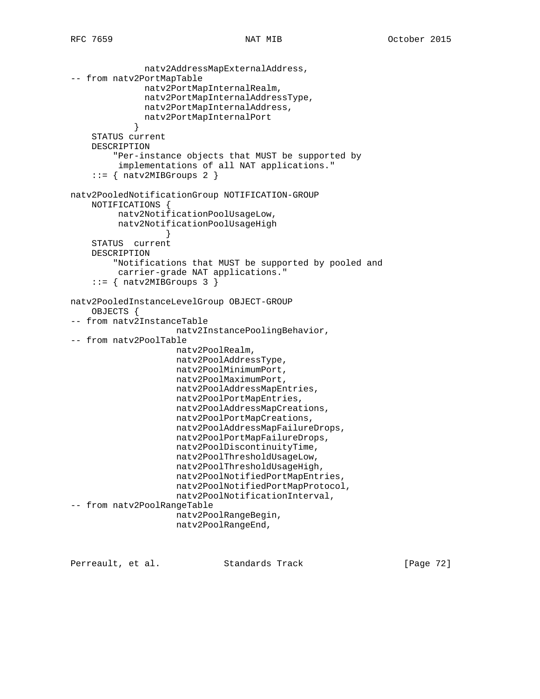```
 natv2AddressMapExternalAddress,
-- from natv2PortMapTable
               natv2PortMapInternalRealm,
               natv2PortMapInternalAddressType,
               natv2PortMapInternalAddress,
               natv2PortMapInternalPort
 }
     STATUS current
     DESCRIPTION
         "Per-instance objects that MUST be supported by
          implementations of all NAT applications."
     ::= { natv2MIBGroups 2 }
natv2PooledNotificationGroup NOTIFICATION-GROUP
     NOTIFICATIONS {
          natv2NotificationPoolUsageLow,
          natv2NotificationPoolUsageHigh
 }
     STATUS current
     DESCRIPTION
         "Notifications that MUST be supported by pooled and
         carrier-grade NAT applications."
     ::= { natv2MIBGroups 3 }
natv2PooledInstanceLevelGroup OBJECT-GROUP
     OBJECTS {
-- from natv2InstanceTable
                     natv2InstancePoolingBehavior,
-- from natv2PoolTable
                    natv2PoolRealm,
                     natv2PoolAddressType,
                     natv2PoolMinimumPort,
                     natv2PoolMaximumPort,
                     natv2PoolAddressMapEntries,
                     natv2PoolPortMapEntries,
                     natv2PoolAddressMapCreations,
                     natv2PoolPortMapCreations,
                     natv2PoolAddressMapFailureDrops,
                     natv2PoolPortMapFailureDrops,
                     natv2PoolDiscontinuityTime,
                     natv2PoolThresholdUsageLow,
                     natv2PoolThresholdUsageHigh,
                     natv2PoolNotifiedPortMapEntries,
                     natv2PoolNotifiedPortMapProtocol,
                     natv2PoolNotificationInterval,
-- from natv2PoolRangeTable
                     natv2PoolRangeBegin,
                     natv2PoolRangeEnd,
```
Perreault, et al. Standards Track [Page 72]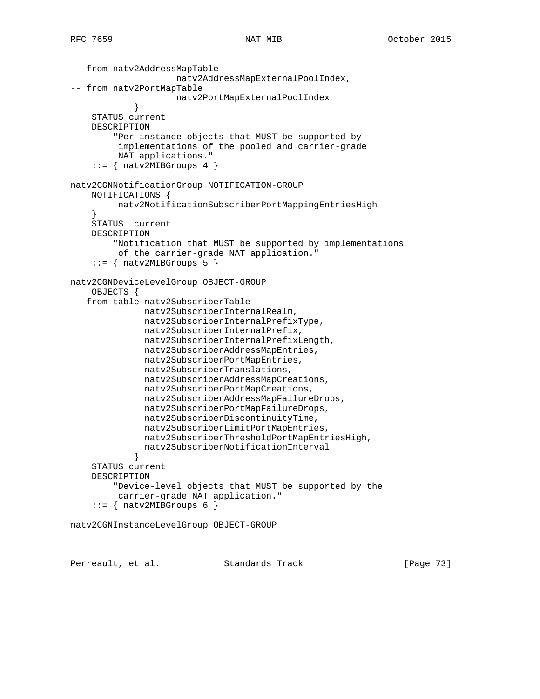```
-- from natv2AddressMapTable
                     natv2AddressMapExternalPoolIndex,
-- from natv2PortMapTable
                     natv2PortMapExternalPoolIndex
 }
     STATUS current
     DESCRIPTION
         "Per-instance objects that MUST be supported by
          implementations of the pooled and carrier-grade
         NAT applications."
    ::= { natv2MIBGroups 4 }
natv2CGNNotificationGroup NOTIFICATION-GROUP
     NOTIFICATIONS {
          natv2NotificationSubscriberPortMappingEntriesHigh
 }
     STATUS current
     DESCRIPTION
         "Notification that MUST be supported by implementations
         of the carrier-grade NAT application."
    ::= { natv2MIBGroups 5 }
natv2CGNDeviceLevelGroup OBJECT-GROUP
     OBJECTS {
-- from table natv2SubscriberTable
               natv2SubscriberInternalRealm,
               natv2SubscriberInternalPrefixType,
               natv2SubscriberInternalPrefix,
               natv2SubscriberInternalPrefixLength,
               natv2SubscriberAddressMapEntries,
               natv2SubscriberPortMapEntries,
               natv2SubscriberTranslations,
               natv2SubscriberAddressMapCreations,
               natv2SubscriberPortMapCreations,
               natv2SubscriberAddressMapFailureDrops,
               natv2SubscriberPortMapFailureDrops,
               natv2SubscriberDiscontinuityTime,
               natv2SubscriberLimitPortMapEntries,
               natv2SubscriberThresholdPortMapEntriesHigh,
               natv2SubscriberNotificationInterval
 }
     STATUS current
     DESCRIPTION
         "Device-level objects that MUST be supported by the
         carrier-grade NAT application."
    ::= { natv2MIBGroups 6 }
natv2CGNInstanceLevelGroup OBJECT-GROUP
```
Perreault, et al. Standards Track [Page 73]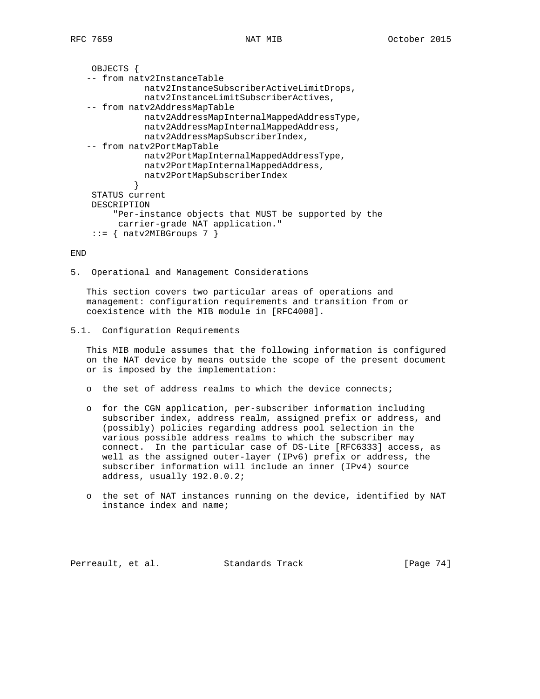```
 OBJECTS {
 -- from natv2InstanceTable
            natv2InstanceSubscriberActiveLimitDrops,
            natv2InstanceLimitSubscriberActives,
 -- from natv2AddressMapTable
            natv2AddressMapInternalMappedAddressType,
            natv2AddressMapInternalMappedAddress,
            natv2AddressMapSubscriberIndex,
 -- from natv2PortMapTable
           natv2PortMapInternalMappedAddressType,
            natv2PortMapInternalMappedAddress,
           natv2PortMapSubscriberIndex
          }
  STATUS current
 DESCRIPTION
      "Per-instance objects that MUST be supported by the
      carrier-grade NAT application."
 ::= { natv2MIBGroups 7 }
```
END

5. Operational and Management Considerations

 This section covers two particular areas of operations and management: configuration requirements and transition from or coexistence with the MIB module in [RFC4008].

```
5.1. Configuration Requirements
```
 This MIB module assumes that the following information is configured on the NAT device by means outside the scope of the present document or is imposed by the implementation:

- o the set of address realms to which the device connects;
- o for the CGN application, per-subscriber information including subscriber index, address realm, assigned prefix or address, and (possibly) policies regarding address pool selection in the various possible address realms to which the subscriber may connect. In the particular case of DS-Lite [RFC6333] access, as well as the assigned outer-layer (IPv6) prefix or address, the subscriber information will include an inner (IPv4) source address, usually 192.0.0.2;
- o the set of NAT instances running on the device, identified by NAT instance index and name;

Perreault, et al. Standards Track [Page 74]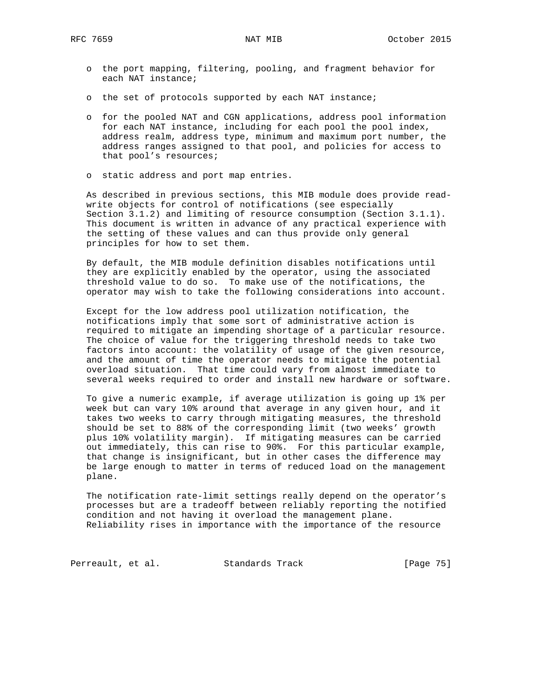- o the port mapping, filtering, pooling, and fragment behavior for each NAT instance;
- o the set of protocols supported by each NAT instance;
- o for the pooled NAT and CGN applications, address pool information for each NAT instance, including for each pool the pool index, address realm, address type, minimum and maximum port number, the address ranges assigned to that pool, and policies for access to that pool's resources;
- o static address and port map entries.

 As described in previous sections, this MIB module does provide read write objects for control of notifications (see especially Section 3.1.2) and limiting of resource consumption (Section 3.1.1). This document is written in advance of any practical experience with the setting of these values and can thus provide only general principles for how to set them.

 By default, the MIB module definition disables notifications until they are explicitly enabled by the operator, using the associated threshold value to do so. To make use of the notifications, the operator may wish to take the following considerations into account.

 Except for the low address pool utilization notification, the notifications imply that some sort of administrative action is required to mitigate an impending shortage of a particular resource. The choice of value for the triggering threshold needs to take two factors into account: the volatility of usage of the given resource, and the amount of time the operator needs to mitigate the potential overload situation. That time could vary from almost immediate to several weeks required to order and install new hardware or software.

 To give a numeric example, if average utilization is going up 1% per week but can vary 10% around that average in any given hour, and it takes two weeks to carry through mitigating measures, the threshold should be set to 88% of the corresponding limit (two weeks' growth plus 10% volatility margin). If mitigating measures can be carried out immediately, this can rise to 90%. For this particular example, that change is insignificant, but in other cases the difference may be large enough to matter in terms of reduced load on the management plane.

 The notification rate-limit settings really depend on the operator's processes but are a tradeoff between reliably reporting the notified condition and not having it overload the management plane. Reliability rises in importance with the importance of the resource

Perreault, et al. Standards Track [Page 75]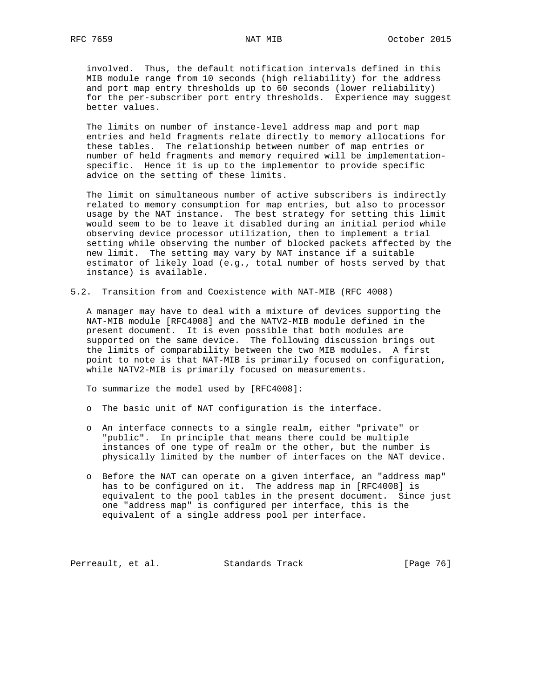involved. Thus, the default notification intervals defined in this MIB module range from 10 seconds (high reliability) for the address and port map entry thresholds up to 60 seconds (lower reliability) for the per-subscriber port entry thresholds. Experience may suggest better values.

 The limits on number of instance-level address map and port map entries and held fragments relate directly to memory allocations for these tables. The relationship between number of map entries or number of held fragments and memory required will be implementation specific. Hence it is up to the implementor to provide specific advice on the setting of these limits.

 The limit on simultaneous number of active subscribers is indirectly related to memory consumption for map entries, but also to processor usage by the NAT instance. The best strategy for setting this limit would seem to be to leave it disabled during an initial period while observing device processor utilization, then to implement a trial setting while observing the number of blocked packets affected by the new limit. The setting may vary by NAT instance if a suitable estimator of likely load (e.g., total number of hosts served by that instance) is available.

5.2. Transition from and Coexistence with NAT-MIB (RFC 4008)

 A manager may have to deal with a mixture of devices supporting the NAT-MIB module [RFC4008] and the NATV2-MIB module defined in the present document. It is even possible that both modules are supported on the same device. The following discussion brings out the limits of comparability between the two MIB modules. A first point to note is that NAT-MIB is primarily focused on configuration, while NATV2-MIB is primarily focused on measurements.

To summarize the model used by [RFC4008]:

- o The basic unit of NAT configuration is the interface.
- o An interface connects to a single realm, either "private" or "public". In principle that means there could be multiple instances of one type of realm or the other, but the number is physically limited by the number of interfaces on the NAT device.
- o Before the NAT can operate on a given interface, an "address map" has to be configured on it. The address map in [RFC4008] is equivalent to the pool tables in the present document. Since just one "address map" is configured per interface, this is the equivalent of a single address pool per interface.

Perreault, et al. Standards Track [Page 76]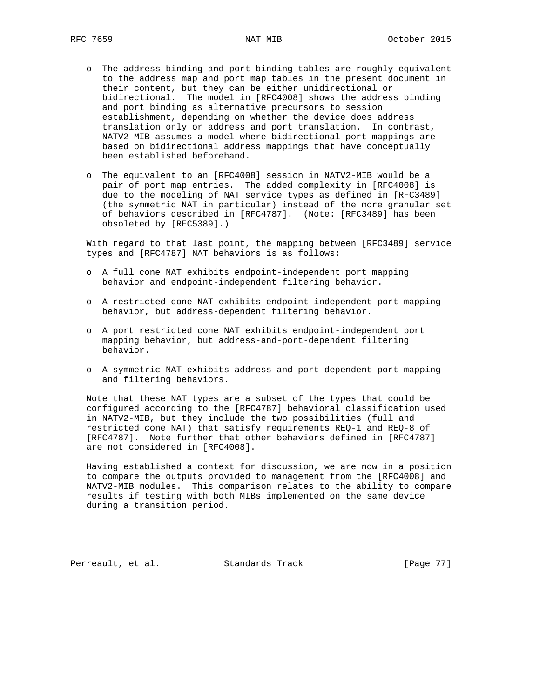- o The address binding and port binding tables are roughly equivalent to the address map and port map tables in the present document in their content, but they can be either unidirectional or bidirectional. The model in [RFC4008] shows the address binding and port binding as alternative precursors to session establishment, depending on whether the device does address translation only or address and port translation. In contrast, NATV2-MIB assumes a model where bidirectional port mappings are based on bidirectional address mappings that have conceptually been established beforehand.
- o The equivalent to an [RFC4008] session in NATV2-MIB would be a pair of port map entries. The added complexity in [RFC4008] is due to the modeling of NAT service types as defined in [RFC3489] (the symmetric NAT in particular) instead of the more granular set of behaviors described in [RFC4787]. (Note: [RFC3489] has been obsoleted by [RFC5389].)

 With regard to that last point, the mapping between [RFC3489] service types and [RFC4787] NAT behaviors is as follows:

- o A full cone NAT exhibits endpoint-independent port mapping behavior and endpoint-independent filtering behavior.
- o A restricted cone NAT exhibits endpoint-independent port mapping behavior, but address-dependent filtering behavior.
- o A port restricted cone NAT exhibits endpoint-independent port mapping behavior, but address-and-port-dependent filtering behavior.
- o A symmetric NAT exhibits address-and-port-dependent port mapping and filtering behaviors.

 Note that these NAT types are a subset of the types that could be configured according to the [RFC4787] behavioral classification used in NATV2-MIB, but they include the two possibilities (full and restricted cone NAT) that satisfy requirements REQ-1 and REQ-8 of [RFC4787]. Note further that other behaviors defined in [RFC4787] are not considered in [RFC4008].

 Having established a context for discussion, we are now in a position to compare the outputs provided to management from the [RFC4008] and NATV2-MIB modules. This comparison relates to the ability to compare results if testing with both MIBs implemented on the same device during a transition period.

Perreault, et al. Standards Track [Page 77]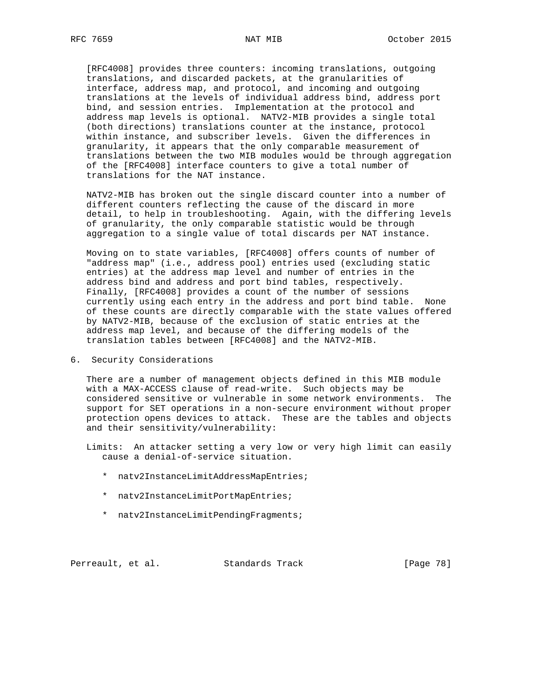[RFC4008] provides three counters: incoming translations, outgoing translations, and discarded packets, at the granularities of interface, address map, and protocol, and incoming and outgoing translations at the levels of individual address bind, address port bind, and session entries. Implementation at the protocol and address map levels is optional. NATV2-MIB provides a single total (both directions) translations counter at the instance, protocol within instance, and subscriber levels. Given the differences in granularity, it appears that the only comparable measurement of translations between the two MIB modules would be through aggregation of the [RFC4008] interface counters to give a total number of translations for the NAT instance.

 NATV2-MIB has broken out the single discard counter into a number of different counters reflecting the cause of the discard in more detail, to help in troubleshooting. Again, with the differing levels of granularity, the only comparable statistic would be through aggregation to a single value of total discards per NAT instance.

 Moving on to state variables, [RFC4008] offers counts of number of "address map" (i.e., address pool) entries used (excluding static entries) at the address map level and number of entries in the address bind and address and port bind tables, respectively. Finally, [RFC4008] provides a count of the number of sessions currently using each entry in the address and port bind table. None of these counts are directly comparable with the state values offered by NATV2-MIB, because of the exclusion of static entries at the address map level, and because of the differing models of the translation tables between [RFC4008] and the NATV2-MIB.

6. Security Considerations

 There are a number of management objects defined in this MIB module with a MAX-ACCESS clause of read-write. Such objects may be considered sensitive or vulnerable in some network environments. The support for SET operations in a non-secure environment without proper protection opens devices to attack. These are the tables and objects and their sensitivity/vulnerability:

 Limits: An attacker setting a very low or very high limit can easily cause a denial-of-service situation.

- \* natv2InstanceLimitAddressMapEntries;
- \* natv2InstanceLimitPortMapEntries;
- \* natv2InstanceLimitPendingFragments;

Perreault, et al. Standards Track [Page 78]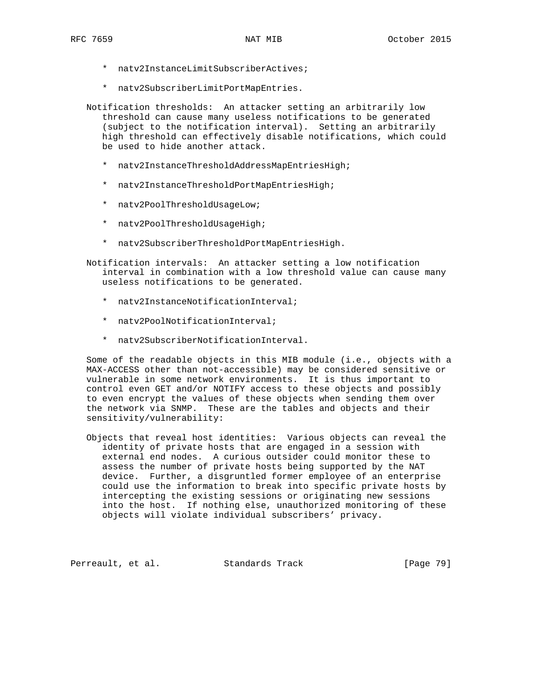- \* natv2InstanceLimitSubscriberActives;
- \* natv2SubscriberLimitPortMapEntries.
- Notification thresholds: An attacker setting an arbitrarily low threshold can cause many useless notifications to be generated (subject to the notification interval). Setting an arbitrarily high threshold can effectively disable notifications, which could be used to hide another attack.
	- \* natv2InstanceThresholdAddressMapEntriesHigh;
	- \* natv2InstanceThresholdPortMapEntriesHigh;
	- \* natv2PoolThresholdUsageLow;
	- \* natv2PoolThresholdUsageHigh;
	- \* natv2SubscriberThresholdPortMapEntriesHigh.

 Notification intervals: An attacker setting a low notification interval in combination with a low threshold value can cause many useless notifications to be generated.

- \* natv2InstanceNotificationInterval;
- \* natv2PoolNotificationInterval;
- \* natv2SubscriberNotificationInterval.

 Some of the readable objects in this MIB module (i.e., objects with a MAX-ACCESS other than not-accessible) may be considered sensitive or vulnerable in some network environments. It is thus important to control even GET and/or NOTIFY access to these objects and possibly to even encrypt the values of these objects when sending them over the network via SNMP. These are the tables and objects and their sensitivity/vulnerability:

 Objects that reveal host identities: Various objects can reveal the identity of private hosts that are engaged in a session with external end nodes. A curious outsider could monitor these to assess the number of private hosts being supported by the NAT device. Further, a disgruntled former employee of an enterprise could use the information to break into specific private hosts by intercepting the existing sessions or originating new sessions into the host. If nothing else, unauthorized monitoring of these objects will violate individual subscribers' privacy.

Perreault, et al. Standards Track [Page 79]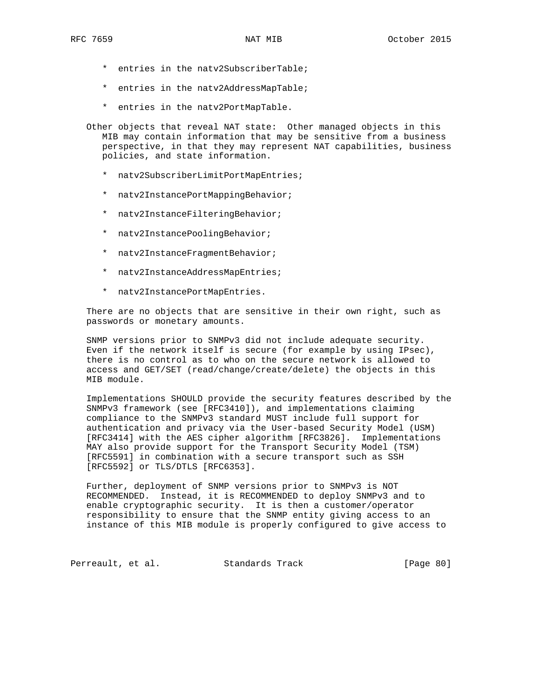- \* entries in the natv2SubscriberTable;
- \* entries in the natv2AddressMapTable;
- \* entries in the natv2PortMapTable.
- Other objects that reveal NAT state: Other managed objects in this MIB may contain information that may be sensitive from a business perspective, in that they may represent NAT capabilities, business policies, and state information.
	- \* natv2SubscriberLimitPortMapEntries;
	- \* natv2InstancePortMappingBehavior;
	- \* natv2InstanceFilteringBehavior;
	- \* natv2InstancePoolingBehavior;
	- \* natv2InstanceFragmentBehavior;
	- \* natv2InstanceAddressMapEntries;
	- \* natv2InstancePortMapEntries.

 There are no objects that are sensitive in their own right, such as passwords or monetary amounts.

 SNMP versions prior to SNMPv3 did not include adequate security. Even if the network itself is secure (for example by using IPsec), there is no control as to who on the secure network is allowed to access and GET/SET (read/change/create/delete) the objects in this MIB module.

 Implementations SHOULD provide the security features described by the SNMPv3 framework (see [RFC3410]), and implementations claiming compliance to the SNMPv3 standard MUST include full support for authentication and privacy via the User-based Security Model (USM) [RFC3414] with the AES cipher algorithm [RFC3826]. Implementations MAY also provide support for the Transport Security Model (TSM) [RFC5591] in combination with a secure transport such as SSH [RFC5592] or TLS/DTLS [RFC6353].

 Further, deployment of SNMP versions prior to SNMPv3 is NOT RECOMMENDED. Instead, it is RECOMMENDED to deploy SNMPv3 and to enable cryptographic security. It is then a customer/operator responsibility to ensure that the SNMP entity giving access to an instance of this MIB module is properly configured to give access to

Perreault, et al. Standards Track [Page 80]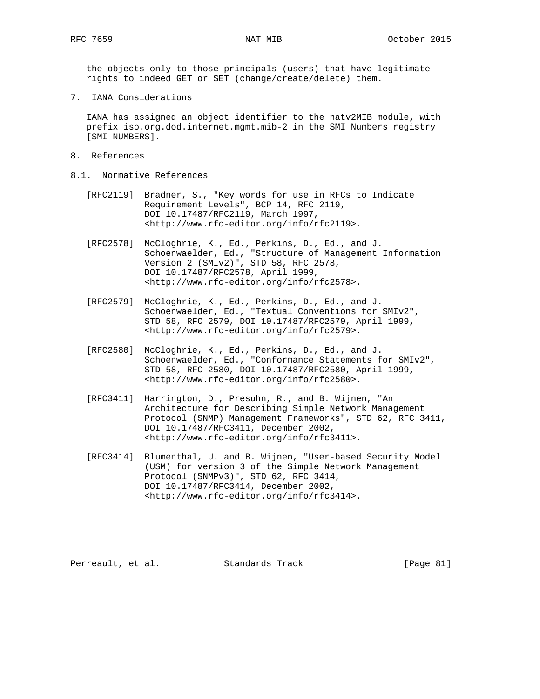the objects only to those principals (users) that have legitimate rights to indeed GET or SET (change/create/delete) them.

7. IANA Considerations

 IANA has assigned an object identifier to the natv2MIB module, with prefix iso.org.dod.internet.mgmt.mib-2 in the SMI Numbers registry [SMI-NUMBERS].

- 8. References
- 8.1. Normative References
	- [RFC2119] Bradner, S., "Key words for use in RFCs to Indicate Requirement Levels", BCP 14, RFC 2119, DOI 10.17487/RFC2119, March 1997, <http://www.rfc-editor.org/info/rfc2119>.
	- [RFC2578] McCloghrie, K., Ed., Perkins, D., Ed., and J. Schoenwaelder, Ed., "Structure of Management Information Version 2 (SMIv2)", STD 58, RFC 2578, DOI 10.17487/RFC2578, April 1999, <http://www.rfc-editor.org/info/rfc2578>.
	- [RFC2579] McCloghrie, K., Ed., Perkins, D., Ed., and J. Schoenwaelder, Ed., "Textual Conventions for SMIv2", STD 58, RFC 2579, DOI 10.17487/RFC2579, April 1999, <http://www.rfc-editor.org/info/rfc2579>.
	- [RFC2580] McCloghrie, K., Ed., Perkins, D., Ed., and J. Schoenwaelder, Ed., "Conformance Statements for SMIv2", STD 58, RFC 2580, DOI 10.17487/RFC2580, April 1999, <http://www.rfc-editor.org/info/rfc2580>.
	- [RFC3411] Harrington, D., Presuhn, R., and B. Wijnen, "An Architecture for Describing Simple Network Management Protocol (SNMP) Management Frameworks", STD 62, RFC 3411, DOI 10.17487/RFC3411, December 2002, <http://www.rfc-editor.org/info/rfc3411>.
	- [RFC3414] Blumenthal, U. and B. Wijnen, "User-based Security Model (USM) for version 3 of the Simple Network Management Protocol (SNMPv3)", STD 62, RFC 3414, DOI 10.17487/RFC3414, December 2002, <http://www.rfc-editor.org/info/rfc3414>.

Perreault, et al. Standards Track [Page 81]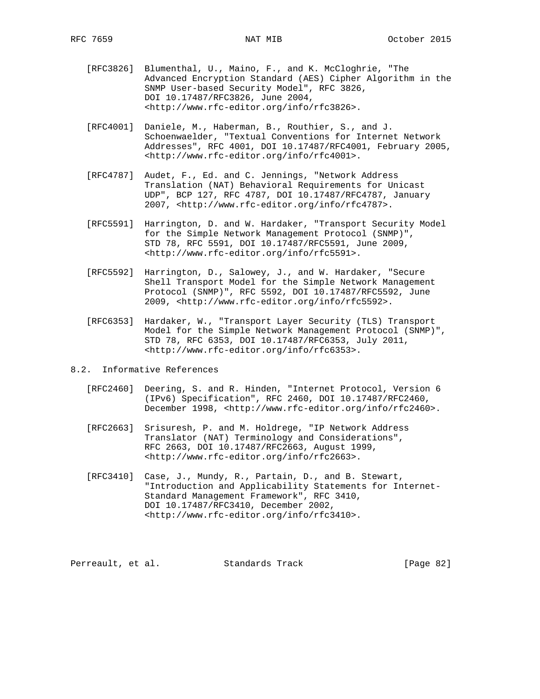- [RFC3826] Blumenthal, U., Maino, F., and K. McCloghrie, "The Advanced Encryption Standard (AES) Cipher Algorithm in the SNMP User-based Security Model", RFC 3826, DOI 10.17487/RFC3826, June 2004, <http://www.rfc-editor.org/info/rfc3826>.
- [RFC4001] Daniele, M., Haberman, B., Routhier, S., and J. Schoenwaelder, "Textual Conventions for Internet Network Addresses", RFC 4001, DOI 10.17487/RFC4001, February 2005, <http://www.rfc-editor.org/info/rfc4001>.
- [RFC4787] Audet, F., Ed. and C. Jennings, "Network Address Translation (NAT) Behavioral Requirements for Unicast UDP", BCP 127, RFC 4787, DOI 10.17487/RFC4787, January 2007, <http://www.rfc-editor.org/info/rfc4787>.
- [RFC5591] Harrington, D. and W. Hardaker, "Transport Security Model for the Simple Network Management Protocol (SNMP)", STD 78, RFC 5591, DOI 10.17487/RFC5591, June 2009, <http://www.rfc-editor.org/info/rfc5591>.
- [RFC5592] Harrington, D., Salowey, J., and W. Hardaker, "Secure Shell Transport Model for the Simple Network Management Protocol (SNMP)", RFC 5592, DOI 10.17487/RFC5592, June 2009, <http://www.rfc-editor.org/info/rfc5592>.
- [RFC6353] Hardaker, W., "Transport Layer Security (TLS) Transport Model for the Simple Network Management Protocol (SNMP)", STD 78, RFC 6353, DOI 10.17487/RFC6353, July 2011, <http://www.rfc-editor.org/info/rfc6353>.
- 8.2. Informative References
	- [RFC2460] Deering, S. and R. Hinden, "Internet Protocol, Version 6 (IPv6) Specification", RFC 2460, DOI 10.17487/RFC2460, December 1998, <http://www.rfc-editor.org/info/rfc2460>.
	- [RFC2663] Srisuresh, P. and M. Holdrege, "IP Network Address Translator (NAT) Terminology and Considerations", RFC 2663, DOI 10.17487/RFC2663, August 1999, <http://www.rfc-editor.org/info/rfc2663>.
	- [RFC3410] Case, J., Mundy, R., Partain, D., and B. Stewart, "Introduction and Applicability Statements for Internet- Standard Management Framework", RFC 3410, DOI 10.17487/RFC3410, December 2002, <http://www.rfc-editor.org/info/rfc3410>.

Perreault, et al. Standards Track [Page 82]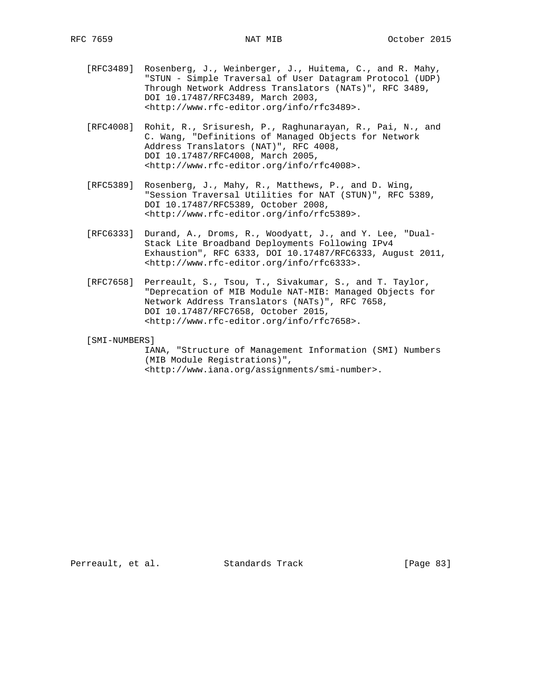- [RFC3489] Rosenberg, J., Weinberger, J., Huitema, C., and R. Mahy, "STUN - Simple Traversal of User Datagram Protocol (UDP) Through Network Address Translators (NATs)", RFC 3489, DOI 10.17487/RFC3489, March 2003, <http://www.rfc-editor.org/info/rfc3489>.
- [RFC4008] Rohit, R., Srisuresh, P., Raghunarayan, R., Pai, N., and C. Wang, "Definitions of Managed Objects for Network Address Translators (NAT)", RFC 4008, DOI 10.17487/RFC4008, March 2005, <http://www.rfc-editor.org/info/rfc4008>.
- [RFC5389] Rosenberg, J., Mahy, R., Matthews, P., and D. Wing, "Session Traversal Utilities for NAT (STUN)", RFC 5389, DOI 10.17487/RFC5389, October 2008, <http://www.rfc-editor.org/info/rfc5389>.
- [RFC6333] Durand, A., Droms, R., Woodyatt, J., and Y. Lee, "Dual- Stack Lite Broadband Deployments Following IPv4 Exhaustion", RFC 6333, DOI 10.17487/RFC6333, August 2011, <http://www.rfc-editor.org/info/rfc6333>.
- [RFC7658] Perreault, S., Tsou, T., Sivakumar, S., and T. Taylor, "Deprecation of MIB Module NAT-MIB: Managed Objects for Network Address Translators (NATs)", RFC 7658, DOI 10.17487/RFC7658, October 2015, <http://www.rfc-editor.org/info/rfc7658>.

[SMI-NUMBERS]

 IANA, "Structure of Management Information (SMI) Numbers (MIB Module Registrations)", <http://www.iana.org/assignments/smi-number>.

Perreault, et al. Standards Track [Page 83]